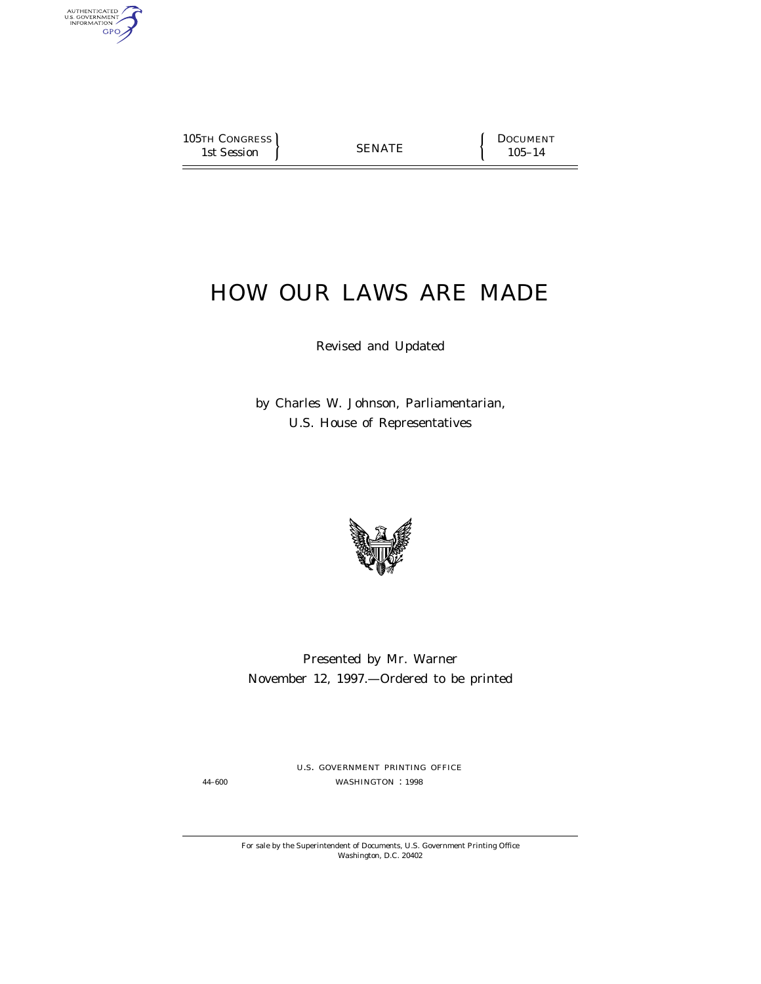| 105TH CONGRESS I   |               | <b>DOCUMENT</b> |
|--------------------|---------------|-----------------|
| <b>1st Session</b> | <b>SENATE</b> | 105–14          |

# HOW OUR LAWS ARE MADE

Revised and Updated

by Charles W. Johnson, Parliamentarian, U.S. House of Representatives



Presented by Mr. Warner November 12, 1997.—Ordered to be printed

U.S. GOVERNMENT PRINTING OFFICE 44-600 WASHINGTON : 1998

> For sale by the Superintendent of Documents, U.S. Government Printing Office Washington, D.C. 20402

AUTHENTICATED<br>U.S. GOVERNMENT<br>INFORMATION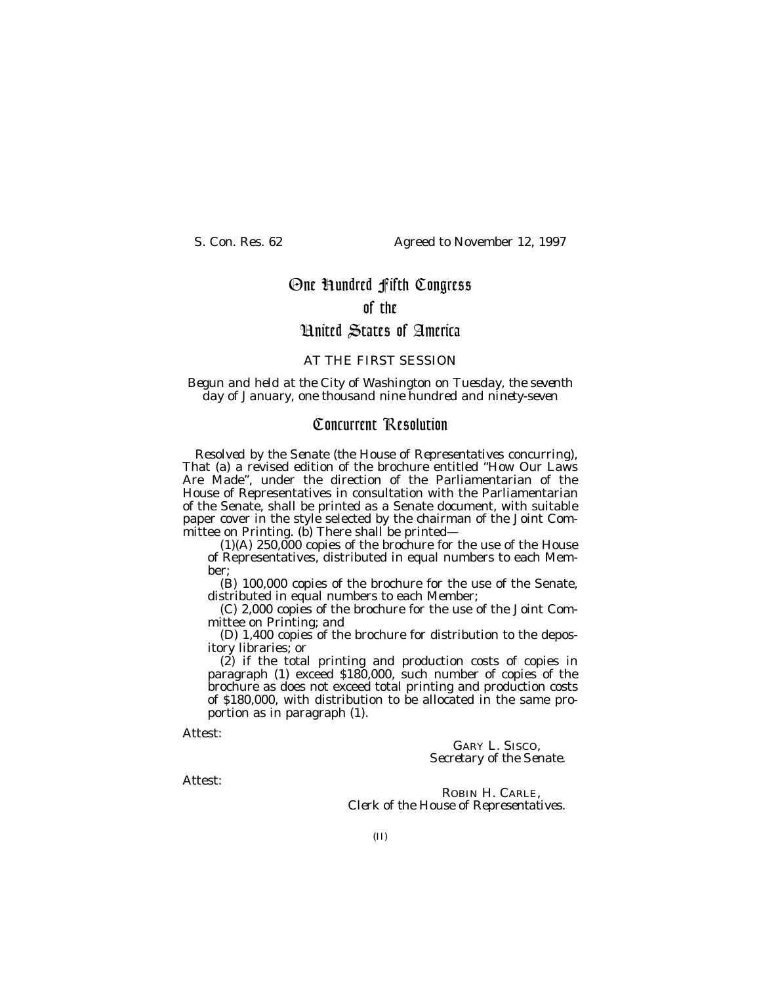S. Con. Res. 62 Agreed to November 12, 1997

## One Hundred Fifth Congress

### of the

## United States of America

#### AT THE FIRST SESSION

#### *Begun and held at the City of Washington on Tuesday, the seventh day of January, one thousand nine hundred and ninety-seven*

### Concurrent Resolution

*Resolved by the Senate (the House of Representatives concurring),* That (a) a revised edition of the brochure entitled ''How Our Laws Are Made'', under the direction of the Parliamentarian of the House of Representatives in consultation with the Parliamentarian of the Senate, shall be printed as a Senate document, with suitable paper cover in the style selected by the chairman of the Joint Committee on Printing. (b) There shall be printed—

 $(1)(A)$  250,000 copies of the brochure for the use of the House of Representatives, distributed in equal numbers to each Member;

(B) 100,000 copies of the brochure for the use of the Senate, distributed in equal numbers to each Member;

(C) 2,000 copies of the brochure for the use of the Joint Committee on Printing; and

(D) 1,400 copies of the brochure for distribution to the depository libraries; or

(2) if the total printing and production costs of copies in paragraph (1) exceed \$180,000, such number of copies of the brochure as does not exceed total printing and production costs of \$180,000, with distribution to be allocated in the same proportion as in paragraph (1).

Attest:

GARY L. SISCO, *Secretary of the Senate.*

Attest:

ROBIN H. CARLE, *Clerk of the House of Representatives.*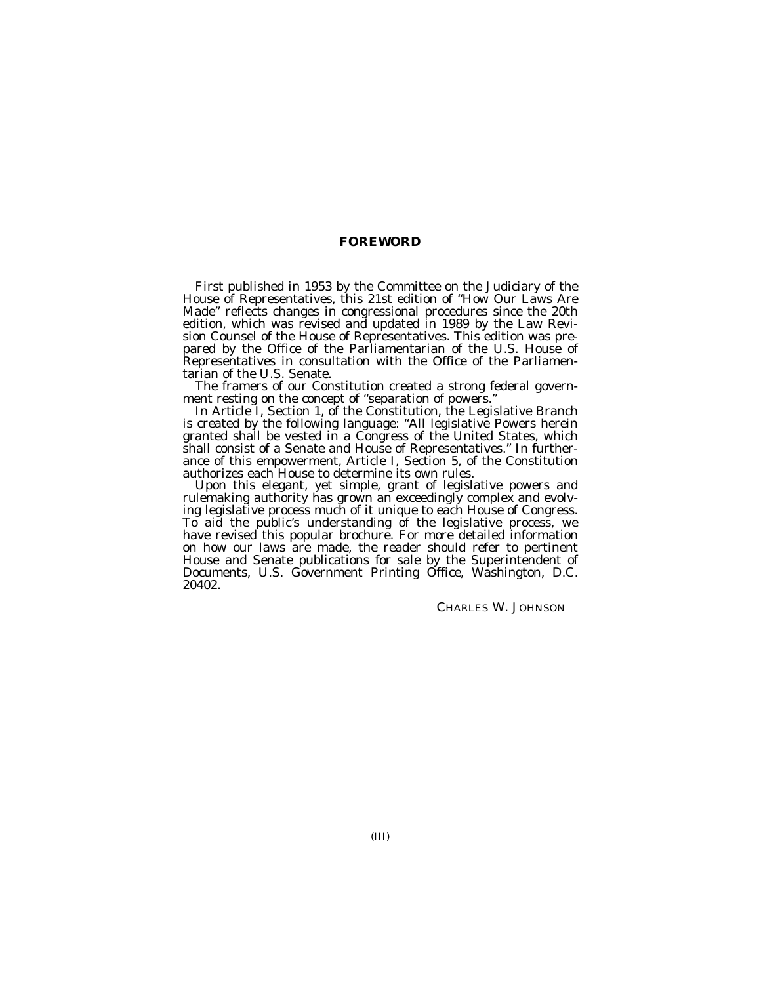#### **FOREWORD**

First published in 1953 by the Committee on the Judiciary of the House of Representatives, this 21st edition of ''How Our Laws Are Made'' reflects changes in congressional procedures since the 20th edition, which was revised and updated in 1989 by the Law Revision Counsel of the House of Representatives. This edition was prepared by the Office of the Parliamentarian of the U.S. House of Representatives in consultation with the Office of the Parliamentarian of the U.S. Senate.

The framers of our Constitution created a strong federal government resting on the concept of ''separation of powers.''

In Article I, Section 1, of the Constitution, the Legislative Branch is created by the following language: ''All legislative Powers herein granted shall be vested in a Congress of the United States, which shall consist of a Senate and House of Representatives.'' In furtherance of this empowerment, Article I, Section 5, of the Constitution authorizes each House to determine its own rules.

Upon this elegant, yet simple, grant of legislative powers and rulemaking authority has grown an exceedingly complex and evolving legislative process much of it unique to each House of Congress. To aid the public's understanding of the legislative process, we have revised this popular brochure. For more detailed information on how our laws are made, the reader should refer to pertinent House and Senate publications for sale by the Superintendent of Documents, U.S. Government Printing Office, Washington, D.C. 20402.

CHARLES W. JOHNSON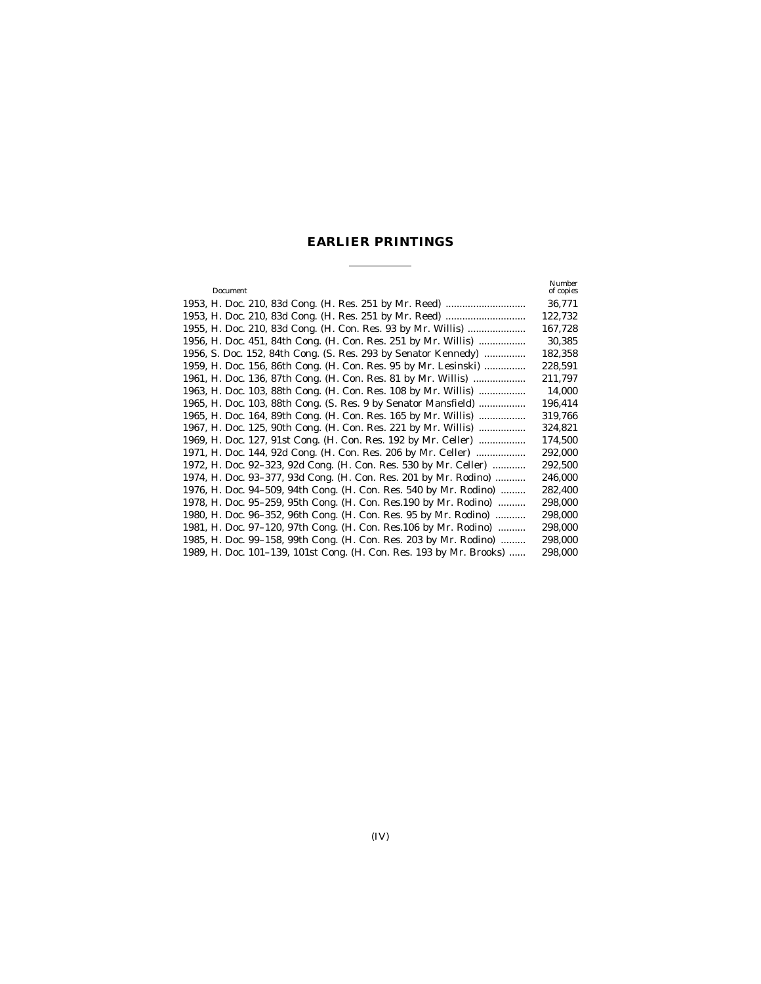### **EARLIER PRINTINGS**

 $\overline{\phantom{a}}$ 

| <b>Document</b>                                                     | <b>Number</b><br>of copies |
|---------------------------------------------------------------------|----------------------------|
|                                                                     | 36,771                     |
|                                                                     | 122,732                    |
| 1955, H. Doc. 210, 83d Cong. (H. Con. Res. 93 by Mr. Willis)        | 167,728                    |
| 1956, H. Doc. 451, 84th Cong. (H. Con. Res. 251 by Mr. Willis)      | 30,385                     |
| 1956, S. Doc. 152, 84th Cong. (S. Res. 293 by Senator Kennedy)      | 182,358                    |
| 1959, H. Doc. 156, 86th Cong. (H. Con. Res. 95 by Mr. Lesinski)     | 228,591                    |
| 1961, H. Doc. 136, 87th Cong. (H. Con. Res. 81 by Mr. Willis)       | 211,797                    |
| 1963, H. Doc. 103, 88th Cong. (H. Con. Res. 108 by Mr. Willis)      | 14,000                     |
| 1965, H. Doc. 103, 88th Cong. (S. Res. 9 by Senator Mansfield)      | 196,414                    |
| 1965, H. Doc. 164, 89th Cong. (H. Con. Res. 165 by Mr. Willis)      | 319,766                    |
| 1967, H. Doc. 125, 90th Cong. (H. Con. Res. 221 by Mr. Willis)      | 324,821                    |
| 1969, H. Doc. 127, 91st Cong. (H. Con. Res. 192 by Mr. Celler)      | 174,500                    |
| 1971, H. Doc. 144, 92d Cong. (H. Con. Res. 206 by Mr. Celler)       | 292,000                    |
| 1972, H. Doc. 92–323, 92d Cong. (H. Con. Res. 530 by Mr. Celler)    | 292,500                    |
| 1974, H. Doc. 93–377, 93d Cong. (H. Con. Res. 201 by Mr. Rodino)    | 246,000                    |
| 1976, H. Doc. 94–509, 94th Cong. (H. Con. Res. 540 by Mr. Rodino)   | 282,400                    |
| 1978, H. Doc. 95–259, 95th Cong. (H. Con. Res. 190 by Mr. Rodino)   | 298,000                    |
| 1980, H. Doc. 96–352, 96th Cong. (H. Con. Res. 95 by Mr. Rodino)    | 298,000                    |
| 1981, H. Doc. 97–120, 97th Cong. (H. Con. Res. 106 by Mr. Rodino)   | 298,000                    |
| 1985, H. Doc. 99–158, 99th Cong. (H. Con. Res. 203 by Mr. Rodino)   | 298,000                    |
| 1989, H. Doc. 101–139, 101st Cong. (H. Con. Res. 193 by Mr. Brooks) | 298,000                    |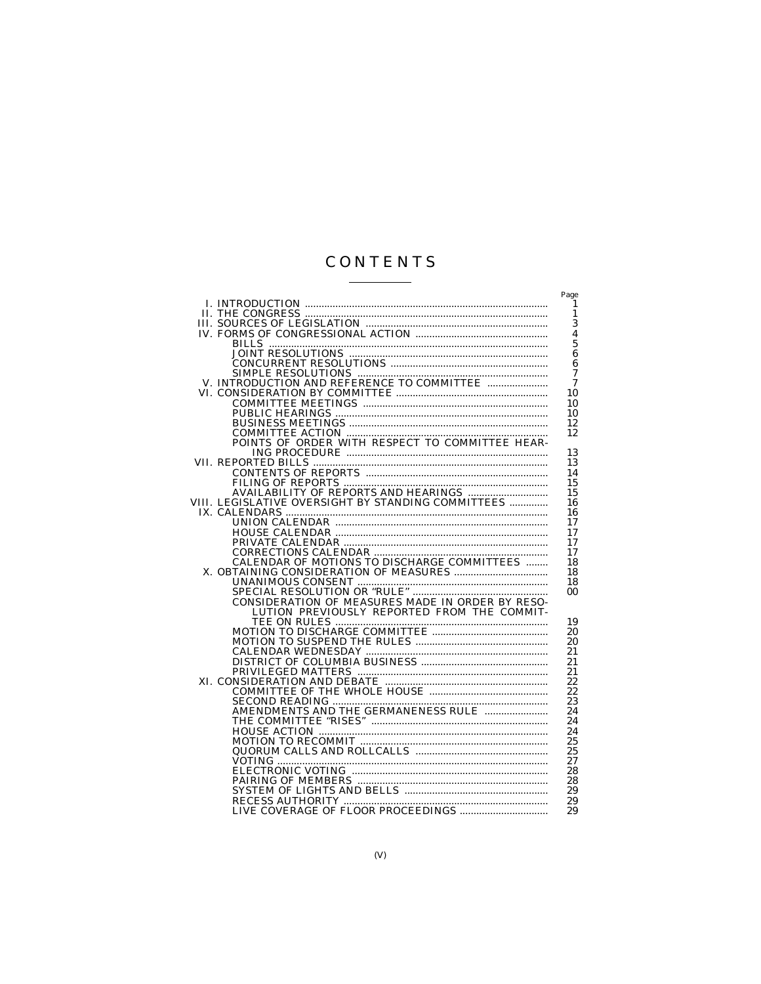### CONTENTS  $\begin{tabular}{l} \multicolumn{2}{c} {\textbf{1}}\\ \multicolumn{2}{c} {\textbf{2}}\\ \multicolumn{2}{c} {\textbf{3}}\\ \multicolumn{2}{c} {\textbf{4}}\\ \multicolumn{2}{c} {\textbf{5}}\\ \multicolumn{2}{c} {\textbf{6}}\\ \multicolumn{2}{c} {\textbf{6}}\\ \multicolumn{2}{c} {\textbf{7}}\\ \multicolumn{2}{c} {\textbf{8}}\\ \multicolumn{2}{c} {\textbf{9}}\\ \multicolumn{2}{c} {\textbf{1}}\\ \multicolumn{2}{c} {\textbf{1}}\\ \multicolumn{2}{c} {\textbf{1}}\\ \multicolumn$

|                                                    | Page                    |
|----------------------------------------------------|-------------------------|
|                                                    | 1                       |
|                                                    | 1                       |
|                                                    | 3                       |
|                                                    | $\overline{\mathbf{4}}$ |
|                                                    | 5                       |
|                                                    | $\boldsymbol{6}$        |
|                                                    | 6                       |
|                                                    | 7                       |
|                                                    |                         |
|                                                    | $\overline{7}$          |
|                                                    | 10                      |
|                                                    | 10                      |
|                                                    | 10                      |
|                                                    | 12                      |
|                                                    | 12                      |
| POINTS OF ORDER WITH RESPECT TO COMMITTEE HEAR-    |                         |
|                                                    | 13                      |
|                                                    | 13                      |
|                                                    | 14                      |
|                                                    |                         |
|                                                    | 15                      |
|                                                    | 15                      |
| VIII. LEGISLATIVE OVERSIGHT BY STANDING COMMITTEES | 16                      |
|                                                    | 16                      |
|                                                    | 17                      |
|                                                    | 17                      |
|                                                    | 17                      |
|                                                    | 17                      |
| CALENDAR OF MOTIONS TO DISCHARGE COMMITTEES        | 18                      |
|                                                    | 18                      |
|                                                    |                         |
|                                                    | 18                      |
|                                                    | 00                      |
| CONSIDERATION OF MEASURES MADE IN ORDER BY RESO-   |                         |
| LUTION PREVIOUSLY REPORTED FROM THE COMMIT-        |                         |
|                                                    | 19                      |
|                                                    | 20                      |
|                                                    | 20                      |
|                                                    | 21                      |
|                                                    | 21                      |
|                                                    | 21                      |
|                                                    | 22                      |
|                                                    | 22                      |
|                                                    | 23                      |
|                                                    |                         |
| AMENDMENTS AND THE GERMANENESS RULE                | 24                      |
|                                                    | 24                      |
|                                                    | 24                      |
|                                                    | 25                      |
|                                                    | 25                      |
| VOTING                                             | 27                      |
|                                                    | 28                      |
|                                                    | 28                      |
|                                                    | 29                      |
|                                                    | 29                      |
|                                                    | 29                      |
|                                                    |                         |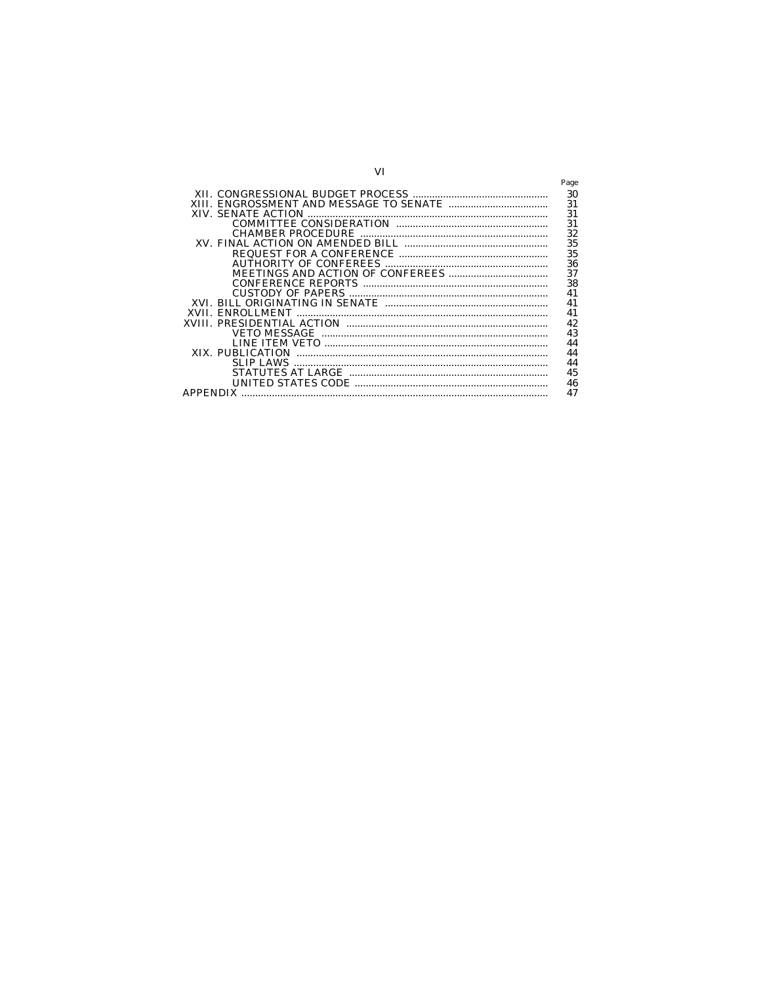|                    | Page |
|--------------------|------|
|                    | 30   |
|                    | 31   |
| XIV. SENATE ACTION | 31   |
|                    | 31   |
|                    | 32   |
|                    | 35   |
|                    | 35   |
|                    | 36   |
|                    | 37   |
|                    | 38   |
|                    | 41   |
|                    | 41   |
| XVII. ENROLLMENT   | 41   |
|                    | 42   |
|                    | 43   |
|                    | 44   |
| XIX PUBLICATION    | 44   |
| <b>SLIP LAWS</b>   | 44   |
|                    | 45   |
|                    | 46   |
| <b>APPENDIX</b>    | 47   |

 $VI$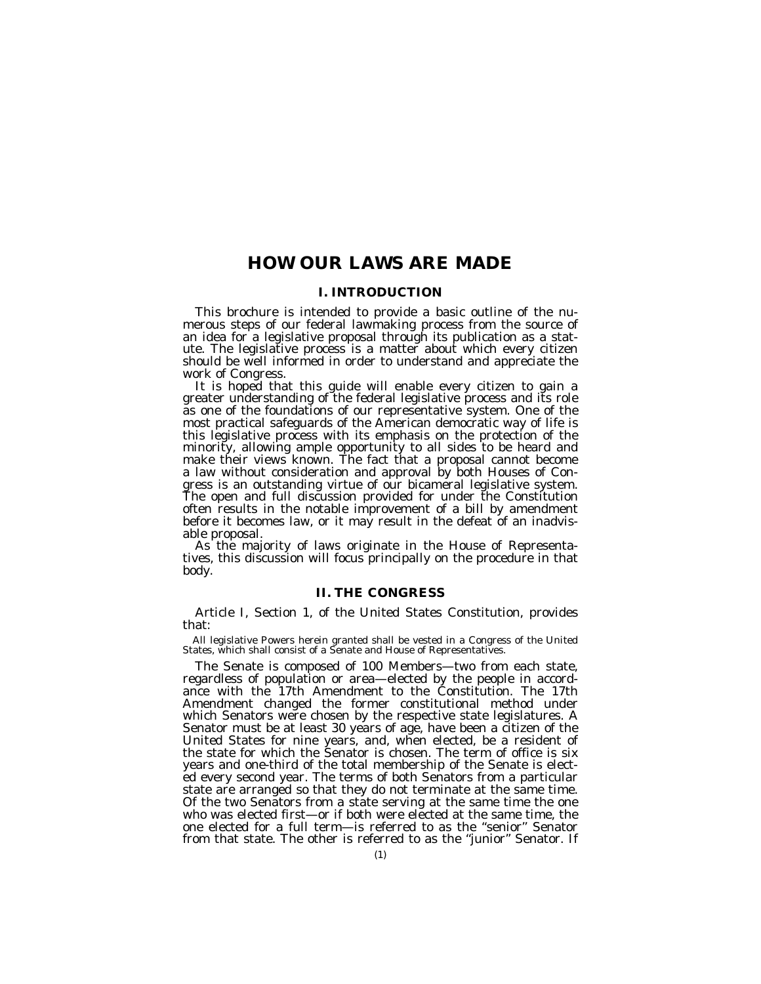### **HOW OUR LAWS ARE MADE**

#### **I. INTRODUCTION**

This brochure is intended to provide a basic outline of the numerous steps of our federal lawmaking process from the source of an idea for a legislative proposal through its publication as a statute. The legislative process is a matter about which every citizen should be well informed in order to understand and appreciate the work of Congress.

It is hoped that this guide will enable every citizen to gain a greater understanding of the federal legislative process and its role as one of the foundations of our representative system. One of the most practical safeguards of the American democratic way of life is this legislative process with its emphasis on the protection of the minority, allowing ample opportunity to all sides to be heard and make their views known. The fact that a proposal cannot become a law without consideration and approval by both Houses of Congress is an outstanding virtue of our bicameral legislative system. The open and full discussion provided for under the Constitution often results in the notable improvement of a bill by amendment before it becomes law, or it may result in the defeat of an inadvisable proposal.<br>As the majority of laws originate in the House of Representa-

tives, this discussion will focus principally on the procedure in that body.

#### **II. THE CONGRESS**

Article I, Section 1, of the United States Constitution, provides that:

All legislative Powers herein granted shall be vested in a Congress of the United States, which shall consist of a Senate and House of Representatives.

The Senate is composed of 100 Members—two from each state, regardless of population or area—elected by the people in accordance with the 17th Amendment to the Constitution. The 17th Amendment changed the former constitutional method under which Senators were chosen by the respective state legislatures. A Senator must be at least 30 years of age, have been a citizen of the United States for nine years, and, when elected, be a resident of the state for which the Senator is chosen. The term of office is six years and one-third of the total membership of the Senate is elected every second year. The terms of both Senators from a particular state are arranged so that they do not terminate at the same time. Of the two Senators from a state serving at the same time the one who was elected first—or if both were elected at the same time, the one elected for a full term—is referred to as the ''senior'' Senator from that state. The other is referred to as the "junior" Senator. If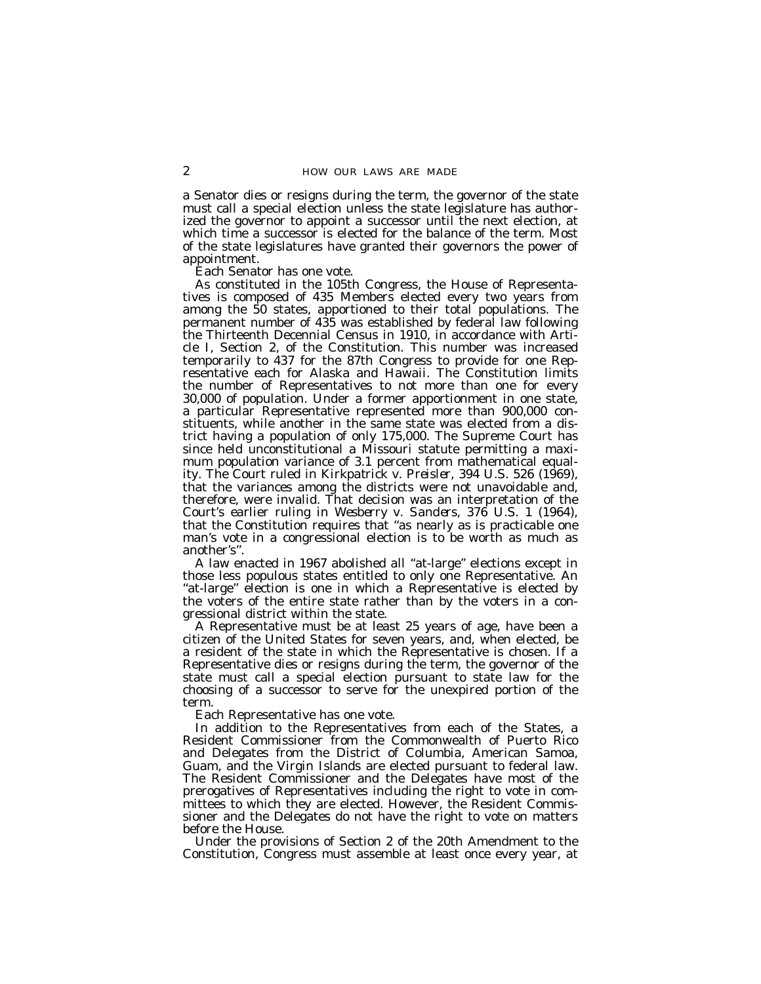a Senator dies or resigns during the term, the governor of the state must call a special election unless the state legislature has authorized the governor to appoint a successor until the next election, at which time a successor is elected for the balance of the term. Most of the state legislatures have granted their governors the power of appointment.

Each Senator has one vote.

As constituted in the 105th Congress, the House of Representatives is composed of 435 Members elected every two years from among the 50 states, apportioned to their total populations. The permanent number of 435 was established by federal law following the Thirteenth Decennial Census in 1910, in accordance with Article I, Section 2, of the Constitution. This number was increased temporarily to 437 for the 87th Congress to provide for one Representative each for Alaska and Hawaii. The Constitution limits the number of Representatives to not more than one for every 30,000 of population. Under a former apportionment in one state, a particular Representative represented more than 900,000 constituents, while another in the same state was elected from a district having a population of only 175,000. The Supreme Court has since held unconstitutional a Missouri statute permitting a maximum population variance of 3.1 percent from mathematical equality. The Court ruled in *Kirkpatrick* v. *Preisler*, 394 U.S. 526 (1969), that the variances among the districts were not unavoidable and, therefore, were invalid. That decision was an interpretation of the Court's earlier ruling in *Wesberry* v. *Sanders*, 376 U.S. 1 (1964), that the Constitution requires that ''as nearly as is practicable one man's vote in a congressional election is to be worth as much as another's''.

A law enacted in 1967 abolished all ''at-large'' elections except in those less populous states entitled to only one Representative. An "at-large" election is one in which a Representative is elected by the voters of the entire state rather than by the voters in a congressional district within the state.

A Representative must be at least 25 years of age, have been a citizen of the United States for seven years, and, when elected, be a resident of the state in which the Representative is chosen. If a Representative dies or resigns during the term, the governor of the state must call a special election pursuant to state law for the choosing of a successor to serve for the unexpired portion of the term.

Each Representative has one vote.

In addition to the Representatives from each of the States, a Resident Commissioner from the Commonwealth of Puerto Rico and Delegates from the District of Columbia, American Samoa, Guam, and the Virgin Islands are elected pursuant to federal law. The Resident Commissioner and the Delegates have most of the prerogatives of Representatives including the right to vote in committees to which they are elected. However, the Resident Commissioner and the Delegates do not have the right to vote on matters before the House.

Under the provisions of Section 2 of the 20th Amendment to the Constitution, Congress must assemble at least once every year, at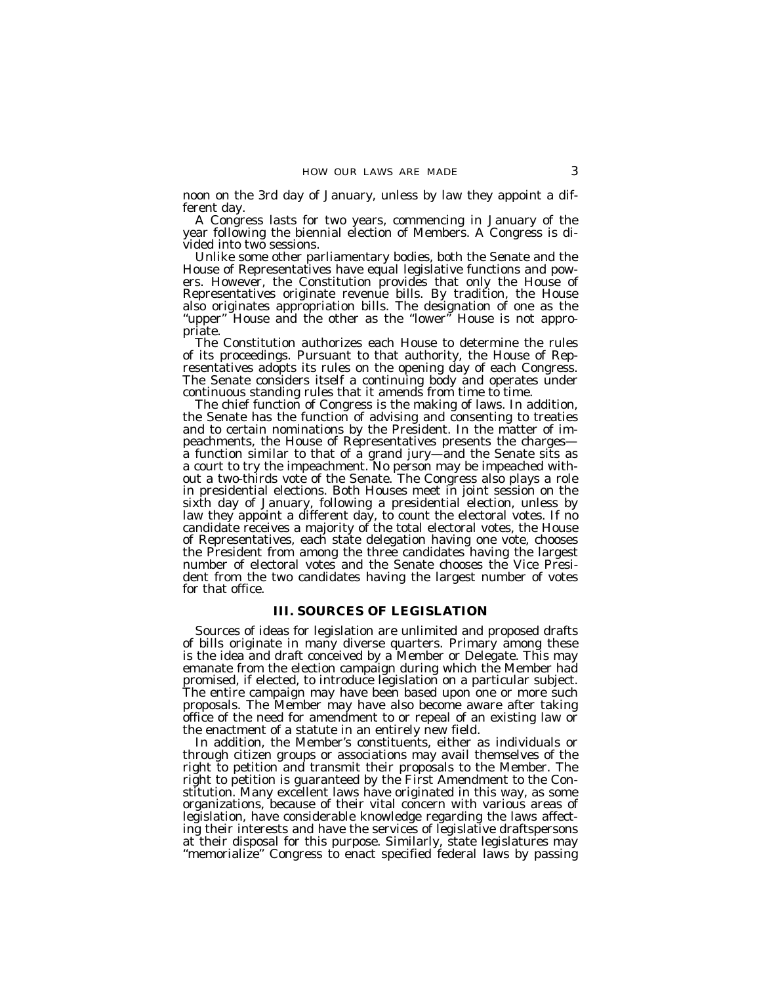noon on the 3rd day of January, unless by law they appoint a dif-

ferent day. A Congress lasts for two years, commencing in January of the year following the biennial election of Members. A Congress is di-

vided into two sessions.<br>Unlike some other parliamentary bodies, both the Senate and the House of Representatives have equal legislative functions and powers. However, the Constitution provides that only the House of Representatives originate revenue bills. By tradition, the House also originates appropriation bills. The designation of one as the "upper" House and the other as the "lower" House is not appropriate.

The Constitution authorizes each House to determine the rules of its proceedings. Pursuant to that authority, the House of Representatives adopts its rules on the opening day of each Congress. The Senate considers itself a continuing body and operates under

continuous standing rules that it amends from time to time. The chief function of Congress is the making of laws. In addition, the Senate has the function of advising and consenting to treaties and to certain nominations by the President. In the matter of impeachments, the House of Representatives presents the charges a function similar to that of a grand jury—and the Senate sits as a court to try the impeachment. No person may be impeached without a two-thirds vote of the Senate. The Congress also plays a role in presidential elections. Both Houses meet in joint session on the sixth day of January, following a presidential election, unless by law they appoint a different day, to count the electoral votes. If no candidate receives a majority of the total electoral votes, the House of Representatives, each state delegation having one vote, chooses the President from among the three candidates having the largest number of electoral votes and the Senate chooses the Vice President from the two candidates having the largest number of votes for that office.

#### **III. SOURCES OF LEGISLATION**

Sources of ideas for legislation are unlimited and proposed drafts of bills originate in many diverse quarters. Primary among these is the idea and draft conceived by a Member or Delegate. This may emanate from the election campaign during which the Member had promised, if elected, to introduce legislation on a particular subject. The entire campaign may have been based upon one or more such proposals. The Member may have also become aware after taking office of the need for amendment to or repeal of an existing law or the enactment of a statute in an entirely new field.

In addition, the Member's constituents, either as individuals or through citizen groups or associations may avail themselves of the right to petition and transmit their proposals to the Member. The right to petition is guaranteed by the First Amendment to the Constitution. Many excellent laws have originated in this way, as some organizations, because of their vital concern with various areas of legislation, have considerable knowledge regarding the laws affecting their interests and have the services of legislative draftspersons at their disposal for this purpose. Similarly, state legislatures may "memorialize" Congress to enact specified federal laws by passing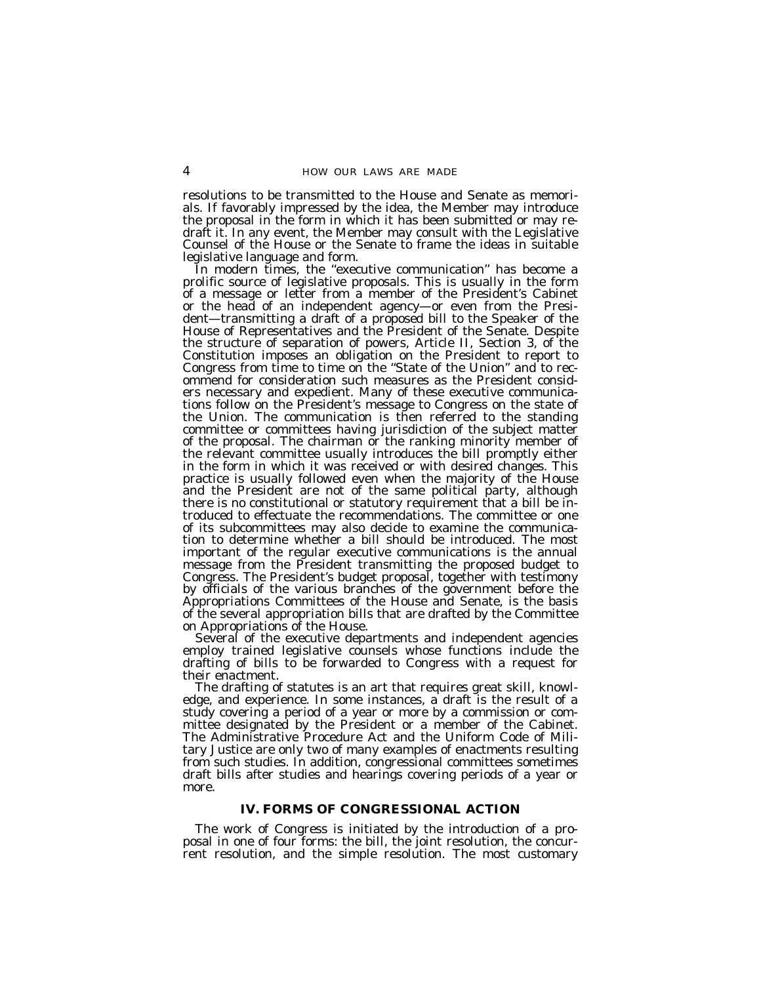resolutions to be transmitted to the House and Senate as memorials. If favorably impressed by the idea, the Member may introduce the proposal in the form in which it has been submitted or may redraft it. In any event, the Member may consult with the Legislative Counsel of the House or the Senate to frame the ideas in suitable

In modern times, the "executive communication" has become a prolific source of legislative proposals. This is usually in the form of a message or letter from a member of the President's Cabinet or the head of an independent agency—or even from the President—transmitting a draft of a proposed bill to the Speaker of the House of Representatives and the President of the Senate. Despite the structure of separation of powers, Article II, Section 3, of the Constitution imposes an obligation on the President to report to Congress from time to time on the "State of the Union" and to recommend for consideration such measures as the President considers necessary and expedient. Many of these executive communications follow on the President's message to Congress on the state of the Union. The communication is then referred to the standing committee or committees having jurisdiction of the subject matter of the proposal. The chairman or the ranking minority member of the relevant committee usually introduces the bill promptly either in the form in which it was received or with desired changes. This practice is usually followed even when the majority of the House and the President are not of the same political party, although there is no constitutional or statutory requirement that a bill be introduced to effectuate the recommendations. The committee or one of its subcommittees may also decide to examine the communication to determine whether a bill should be introduced. The most important of the regular executive communications is the annual message from the President transmitting the proposed budget to Congress. The President's budget proposal, together with testimony by officials of the various branches of the government before the Appropriations Committees of the House and Senate, is the basis of the several appropriation bills that are drafted by the Committee on Appropriations of the House.

Several of the executive departments and independent agencies employ trained legislative counsels whose functions include the drafting of bills to be forwarded to Congress with a request for their enactment.

The drafting of statutes is an art that requires great skill, knowledge, and experience. In some instances, a draft is the result of a study covering a period of a year or more by a commission or committee designated by the President or a member of the Cabinet. The Administrative Procedure Act and the Uniform Code of Military Justice are only two of many examples of enactments resulting from such studies. In addition, congressional committees sometimes draft bills after studies and hearings covering periods of a year or more.

#### **IV. FORMS OF CONGRESSIONAL ACTION**

The work of Congress is initiated by the introduction of a proposal in one of four forms: the bill, the joint resolution, the concurrent resolution, and the simple resolution. The most customary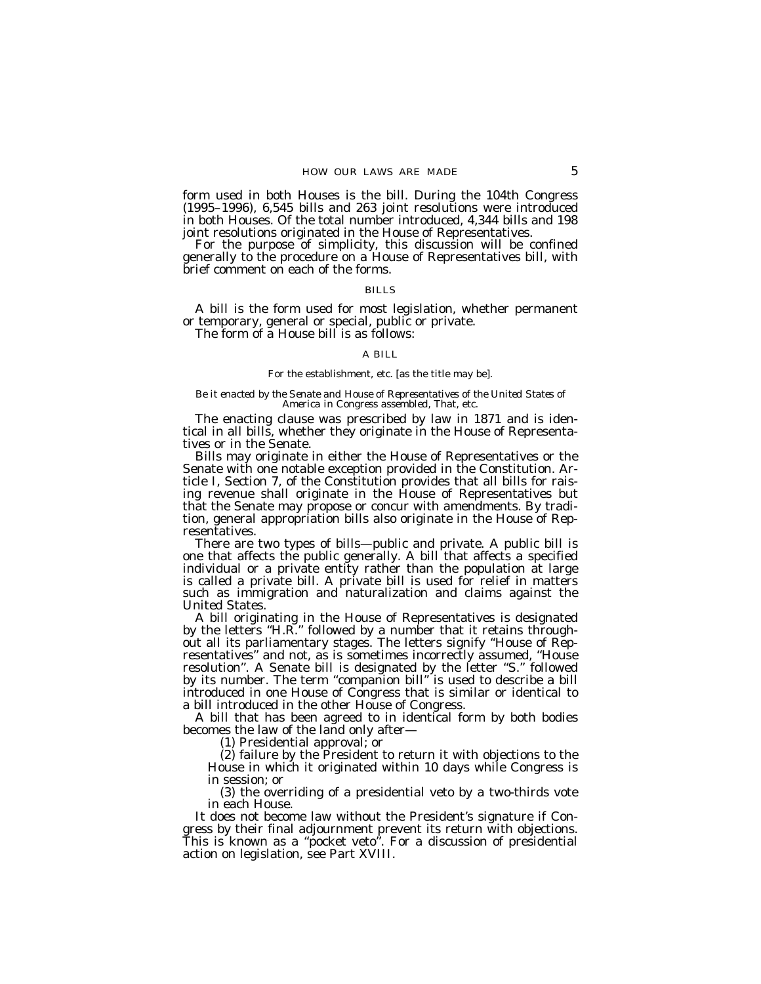form used in both Houses is the bill. During the 104th Congress (1995–1996), 6,545 bills and 263 joint resolutions were introduced in both Houses. Of the total number introduced, 4,344 bills and 198

joint resolutions originated in the House of Representatives. For the purpose of simplicity, this discussion will be confined generally to the procedure on a House of Representatives bill, with brief comment on each of the forms.

#### BILLS

A bill is the form used for most legislation, whether permanent or temporary, general or special, public or private. The form of a House bill is as follows:

#### A BILL

#### For the establishment, etc. [as the title may be].

#### *Be it enacted by the Senate and House of Representatives of the United States of America in Congress assembled,* That, etc.

The enacting clause was prescribed by law in 1871 and is identical in all bills, whether they originate in the House of Representatives or in the Senate.

Bills may originate in either the House of Representatives or the Senate with one notable exception provided in the Constitution. Article I, Section 7, of the Constitution provides that all bills for raising revenue shall originate in the House of Representatives but that the Senate may propose or concur with amendments. By tradition, general appropriation bills also originate in the House of Representatives.

There are two types of bills—public and private. A public bill is one that affects the public generally. A bill that affects a specified individual or a private entity rather than the population at large is called a private bill. A private bill is used for relief in matters such as immigration and naturalization and claims against the United States.

A bill originating in the House of Representatives is designated by the letters "H.R." followed by a number that it retains throughout all its parliamentary stages. The letters signify "House of Representatives'' and not, as is sometimes incorrectly assumed, ''House resolution''. A Senate bill is designated by the letter ''S.'' followed by its number. The term ''companion bill'' is used to describe a bill introduced in one House of Congress that is similar or identical to a bill introduced in the other House of Congress.

A bill that has been agreed to in identical form by both bodies becomes the law of the land only after—

(1) Presidential approval; or

(2) failure by the President to return it with objections to the House in which it originated within 10 days while Congress is in session; or

(3) the overriding of a presidential veto by a two-thirds vote in each House.

It does not become law without the President's signature if Congress by their final adjournment prevent its return with objections. This is known as a ''pocket veto''. For a discussion of presidential action on legislation, see Part XVIII.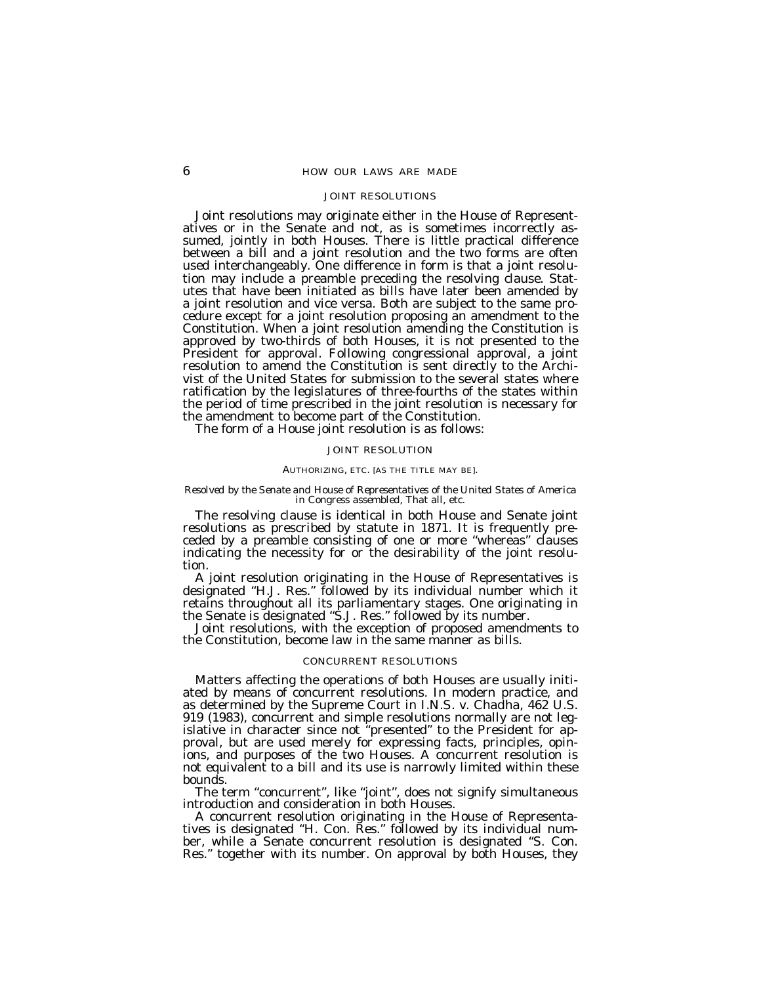#### JOINT RESOLUTIONS

Joint resolutions may originate either in the House of Representatives or in the Senate and not, as is sometimes incorrectly assumed, jointly in both Houses. There is little practical difference between a bill and a joint resolution and the two forms are often used interchangeably. One difference in form is that a joint resolution may include a preamble preceding the resolving clause. Statutes that have been initiated as bills have later been amended by a joint resolution and vice versa. Both are subject to the same procedure except for a joint resolution proposing an amendment to the Constitution. When a joint resolution amending the Constitution is approved by two-thirds of both Houses, it is not presented to the President for approval. Following congressional approval, a joint resolution to amend the Constitution is sent directly to the Archivist of the United States for submission to the several states where ratification by the legislatures of three-fourths of the states within the period of time prescribed in the joint resolution is necessary for the amendment to become part of the Constitution.

The form of a House joint resolution is as follows:

#### JOINT RESOLUTION

#### AUTHORIZING, ETC. [AS THE TITLE MAY BE].

#### *Resolved by the Senate and House of Representatives of the United States of America in Congress assembled,* That all, etc.

The resolving clause is identical in both House and Senate joint resolutions as prescribed by statute in 1871. It is frequently preceded by a preamble consisting of one or more ''whereas'' clauses indicating the necessity for or the desirability of the joint resolution.

A joint resolution originating in the House of Representatives is designated ''H.J. Res.'' followed by its individual number which it retains throughout all its parliamentary stages. One originating in the Senate is designated ''S.J. Res.'' followed by its number.

Joint resolutions, with the exception of proposed amendments to the Constitution, become law in the same manner as bills.

#### CONCURRENT RESOLUTIONS

Matters affecting the operations of both Houses are usually initiated by means of concurrent resolutions. In modern practice, and as determined by the Supreme Court in *I.N.S. v. Chadha*, 462 U.S. 919 (1983), concurrent and simple resolutions normally are not legislative in character since not ''presented'' to the President for approval, but are used merely for expressing facts, principles, opinions, and purposes of the two Houses. A concurrent resolution is not equivalent to a bill and its use is narrowly limited within these bounds.

The term ''concurrent'', like ''joint'', does not signify simultaneous introduction and consideration in both Houses.

A concurrent resolution originating in the House of Representatives is designated ''H. Con. Res.'' followed by its individual number, while a Senate concurrent resolution is designated ''S. Con. Res.'' together with its number. On approval by both Houses, they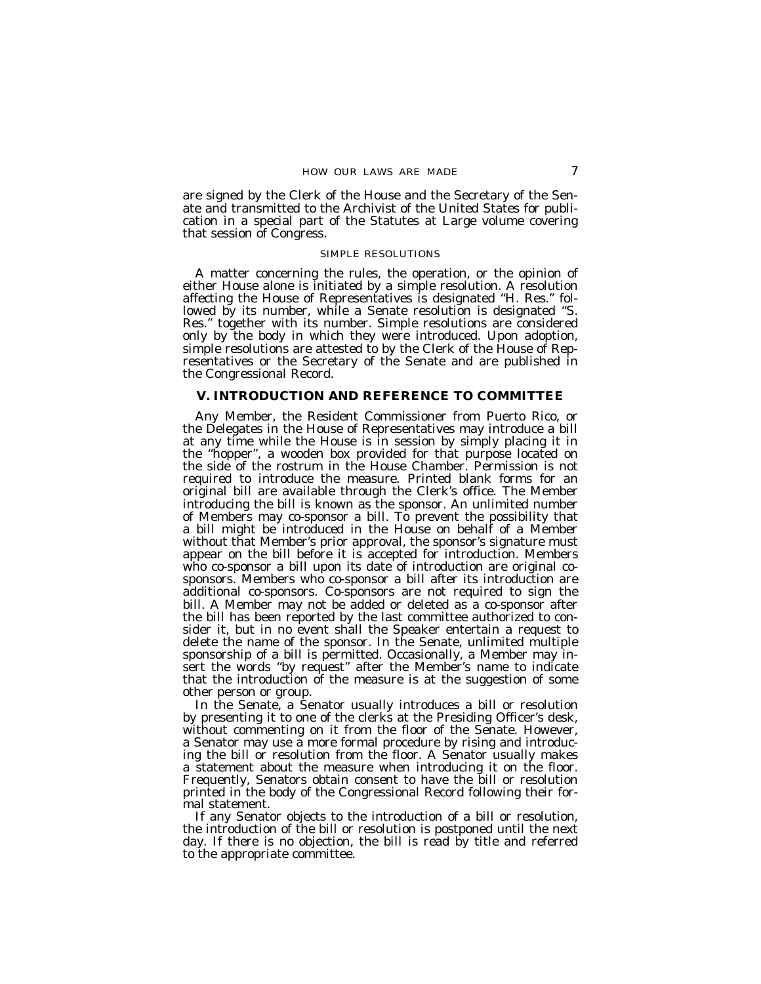are signed by the Clerk of the House and the Secretary of the Senate and transmitted to the Archivist of the United States for publication in a special part of the Statutes at Large volume covering that session of Congress.

#### SIMPLE RESOLUTIONS

A matter concerning the rules, the operation, or the opinion of either House alone is initiated by a simple resolution. A resolution affecting the House of Representatives is designated ''H. Res.'' followed by its number, while a Senate resolution is designated ''S. Res.'' together with its number. Simple resolutions are considered only by the body in which they were introduced. Upon adoption, simple resolutions are attested to by the Clerk of the House of Representatives or the Secretary of the Senate and are published in the Congressional Record.

#### **V. INTRODUCTION AND REFERENCE TO COMMITTEE**

Any Member, the Resident Commissioner from Puerto Rico, or the Delegates in the House of Representatives may introduce a bill at any time while the House is in session by simply placing it in the ''hopper'', a wooden box provided for that purpose located on the side of the rostrum in the House Chamber. Permission is not required to introduce the measure. Printed blank forms for an original bill are available through the Clerk's office. The Member introducing the bill is known as the sponsor. An unlimited number of Members may co-sponsor a bill. To prevent the possibility that a bill might be introduced in the House on behalf of a Member without that Member's prior approval, the sponsor's signature must appear on the bill before it is accepted for introduction. Members who co-sponsor a bill upon its date of introduction are original cosponsors. Members who co-sponsor a bill after its introduction are additional co-sponsors. Co-sponsors are not required to sign the bill. A Member may not be added or deleted as a co-sponsor after the bill has been reported by the last committee authorized to consider it, but in no event shall the Speaker entertain a request to delete the name of the sponsor. In the Senate, unlimited multiple sponsorship of a bill is permitted. Occasionally, a Member may insert the words "by request" after the Member's name to indicate that the introduction of the measure is at the suggestion of some other person or group.

In the Senate, a Senator usually introduces a bill or resolution by presenting it to one of the clerks at the Presiding Officer's desk, without commenting on it from the floor of the Senate. However, a Senator may use a more formal procedure by rising and introducing the bill or resolution from the floor. A Senator usually makes a statement about the measure when introducing it on the floor. Frequently, Senators obtain consent to have the bill or resolution printed in the body of the Congressional Record following their formal statement.

If any Senator objects to the introduction of a bill or resolution, the introduction of the bill or resolution is postponed until the next day. If there is no objection, the bill is read by title and referred to the appropriate committee.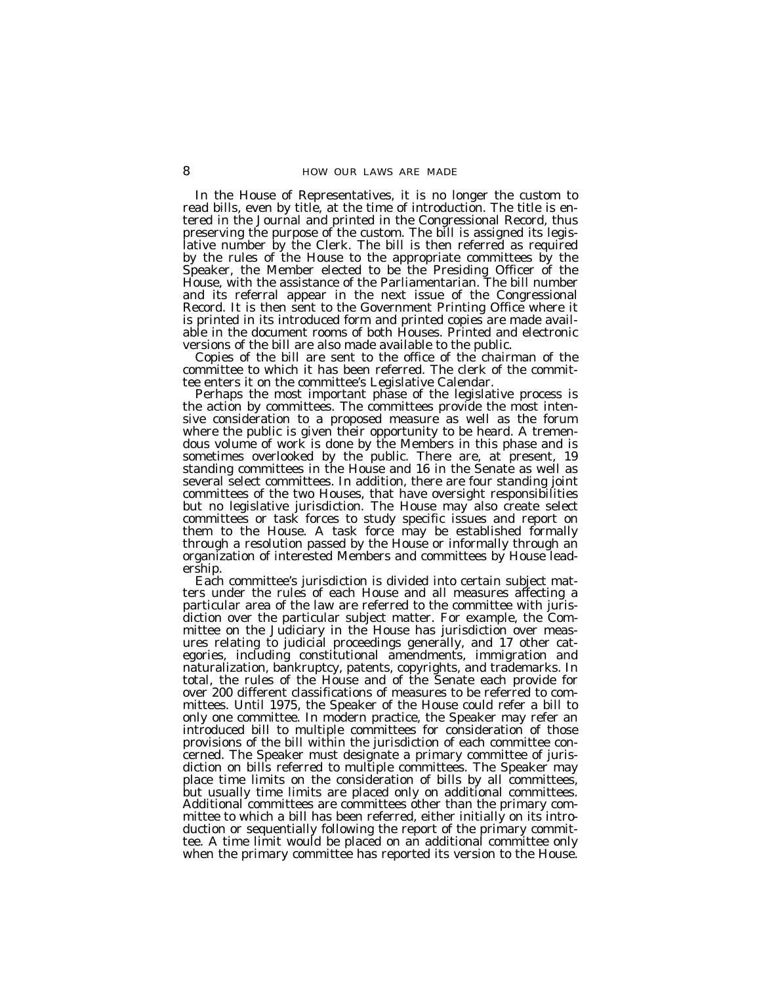In the House of Representatives, it is no longer the custom to read bills, even by title, at the time of introduction. The title is entered in the Journal and printed in the Congressional Record, thus preserving the purpose of the custom. The bill is assigned its legislative number by the Clerk. The bill is then referred as required by the rules of the House to the appropriate committees by the Speaker, the Member elected to be the Presiding Officer of the House, with the assistance of the Parliamentarian. The bill number and its referral appear in the next issue of the Congressional Record. It is then sent to the Government Printing Office where it is printed in its introduced form and printed copies are made available in the document rooms of both Houses. Printed and electronic versions of the bill are also made available to the public.

Copies of the bill are sent to the office of the chairman of the committee to which it has been referred. The clerk of the committee enters it on the committee's Legislative Calendar.

Perhaps the most important phase of the legislative process is the action by committees. The committees provide the most intensive consideration to a proposed measure as well as the forum where the public is given their opportunity to be heard. A tremendous volume of work is done by the Members in this phase and is sometimes overlooked by the public. There are, at present, 19 standing committees in the House and 16 in the Senate as well as several select committees. In addition, there are four standing joint committees of the two Houses, that have oversight responsibilities but no legislative jurisdiction. The House may also create select committees or task forces to study specific issues and report on them to the House. A task force may be established formally through a resolution passed by the House or informally through an organization of interested Members and committees by House leadership.

Each committee's jurisdiction is divided into certain subject matters under the rules of each House and all measures affecting a particular area of the law are referred to the committee with jurisdiction over the particular subject matter. For example, the Committee on the Judiciary in the House has jurisdiction over measures relating to judicial proceedings generally, and 17 other categories, including constitutional amendments, immigration and naturalization, bankruptcy, patents, copyrights, and trademarks. In total, the rules of the House and of the Senate each provide for over 200 different classifications of measures to be referred to committees. Until 1975, the Speaker of the House could refer a bill to only one committee. In modern practice, the Speaker may refer an introduced bill to multiple committees for consideration of those provisions of the bill within the jurisdiction of each committee concerned. The Speaker must designate a primary committee of jurisdiction on bills referred to multiple committees. The Speaker may place time limits on the consideration of bills by all committees, but usually time limits are placed only on additional committees. Additional committees are committees other than the primary committee to which a bill has been referred, either initially on its introduction or sequentially following the report of the primary committee. A time limit would be placed on an additional committee only when the primary committee has reported its version to the House.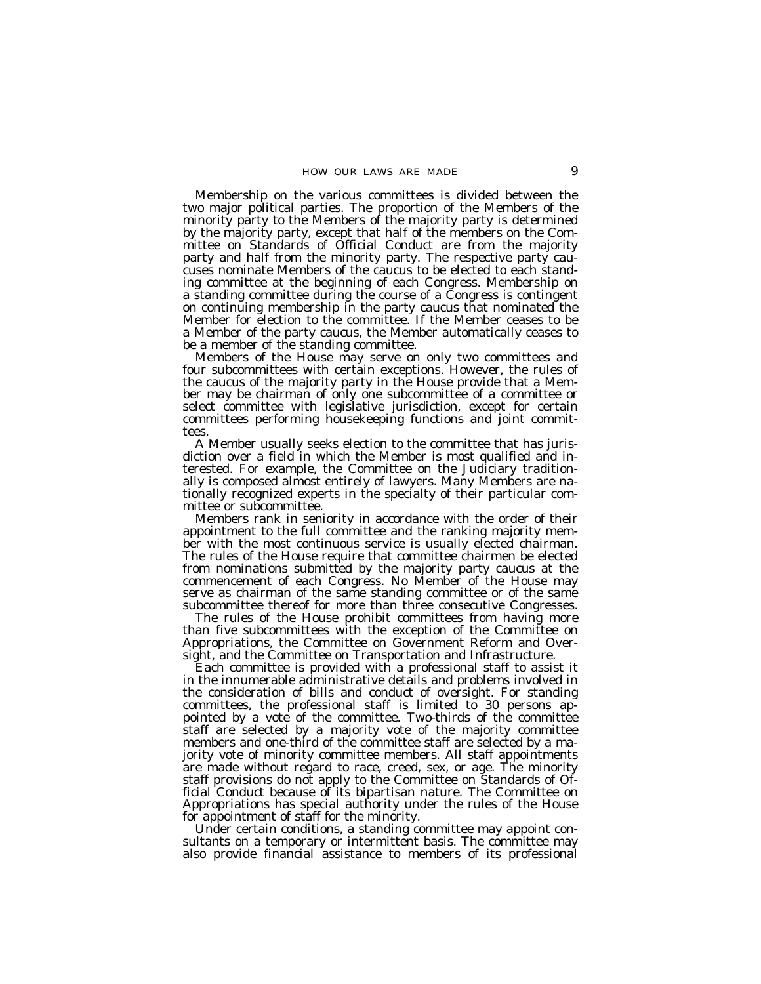Membership on the various committees is divided between the two major political parties. The proportion of the Members of the minority party to the Members of the majority party is determined by the majority party, except that half of the members on the Committee on Standards of Official Conduct are from the majority party and half from the minority party. The respective party caucuses nominate Members of the caucus to be elected to each standing committee at the beginning of each Congress. Membership on a standing committee during the course of a Congress is contingent on continuing membership in the party caucus that nominated the Member for election to the committee. If the Member ceases to be a Member of the party caucus, the Member automatically ceases to be a member of the standing committee.

Members of the House may serve on only two committees and four subcommittees with certain exceptions. However, the rules of the caucus of the majority party in the House provide that a Member may be chairman of only one subcommittee of a committee or select committee with legislative jurisdiction, except for certain committees performing housekeeping functions and joint committees.

A Member usually seeks election to the committee that has jurisdiction over a field in which the Member is most qualified and interested. For example, the Committee on the Judiciary traditionally is composed almost entirely of lawyers. Many Members are nationally recognized experts in the specialty of their particular committee or subcommittee.

Members rank in seniority in accordance with the order of their appointment to the full committee and the ranking majority member with the most continuous service is usually elected chairman. The rules of the House require that committee chairmen be elected from nominations submitted by the majority party caucus at the commencement of each Congress. No Member of the House may serve as chairman of the same standing committee or of the same subcommittee thereof for more than three consecutive Congresses.

The rules of the House prohibit committees from having more than five subcommittees with the exception of the Committee on Appropriations, the Committee on Government Reform and Oversight, and the Committee on Transportation and Infrastructure.

Each committee is provided with a professional staff to assist it in the innumerable administrative details and problems involved in the consideration of bills and conduct of oversight. For standing committees, the professional staff is limited to  $30$  persons appointed by a vote of the committee. Two-thirds of the committee staff are selected by a majority vote of the majority committee members and one-third of the committee staff are selected by a majority vote of minority committee members. All staff appointments are made without regard to race, creed, sex, or age. The minority staff provisions do not apply to the Committee on Standards of Official Conduct because of its bipartisan nature. The Committee on Appropriations has special authority under the rules of the House for appointment of staff for the minority.

Under certain conditions, a standing committee may appoint consultants on a temporary or intermittent basis. The committee may also provide financial assistance to members of its professional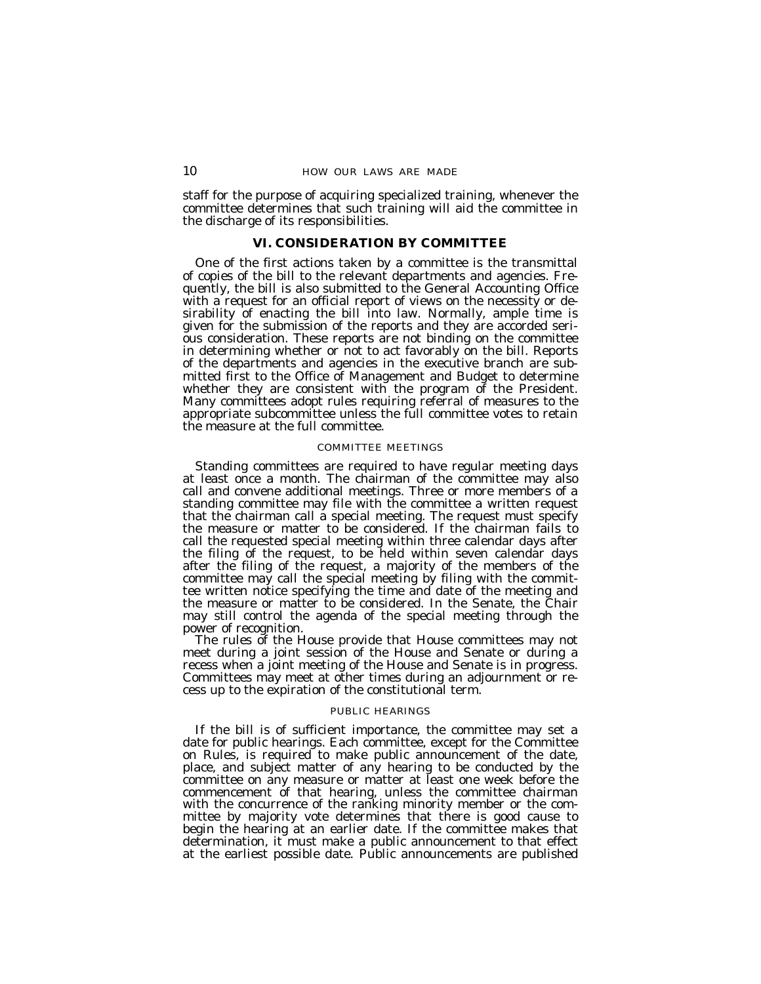staff for the purpose of acquiring specialized training, whenever the committee determines that such training will aid the committee in the discharge of its responsibilities.

#### **VI. CONSIDERATION BY COMMITTEE**

One of the first actions taken by a committee is the transmittal of copies of the bill to the relevant departments and agencies. Frequently, the bill is also submitted to the General Accounting Office with a request for an official report of views on the necessity or desirability of enacting the bill into law. Normally, ample time is given for the submission of the reports and they are accorded serious consideration. These reports are not binding on the committee in determining whether or not to act favorably on the bill. Reports of the departments and agencies in the executive branch are submitted first to the Office of Management and Budget to determine whether they are consistent with the program of the President. Many committees adopt rules requiring referral of measures to the appropriate subcommittee unless the full committee votes to retain the measure at the full committee.

#### COMMITTEE MEETINGS

Standing committees are required to have regular meeting days at least once a month. The chairman of the committee may also call and convene additional meetings. Three or more members of a standing committee may file with the committee a written request that the chairman call a special meeting. The request must specify the measure or matter to be considered. If the chairman fails to call the requested special meeting within three calendar days after the filing of the request, to be held within seven calendar days after the filing of the request, a majority of the members of the committee may call the special meeting by filing with the committee written notice specifying the time and date of the meeting and the measure or matter to be considered. In the Senate, the Chair may still control the agenda of the special meeting through the power of recognition.

The rules of the House provide that House committees may not meet during a joint session of the House and Senate or during a recess when a joint meeting of the House and Senate is in progress. Committees may meet at other times during an adjournment or recess up to the expiration of the constitutional term.

#### PUBLIC HEARINGS

If the bill is of sufficient importance, the committee may set a date for public hearings. Each committee, except for the Committee on Rules, is required to make public announcement of the date, place, and subject matter of any hearing to be conducted by the committee on any measure or matter at least one week before the commencement of that hearing, unless the committee chairman with the concurrence of the ranking minority member or the committee by majority vote determines that there is good cause to begin the hearing at an earlier date. If the committee makes that determination, it must make a public announcement to that effect at the earliest possible date. Public announcements are published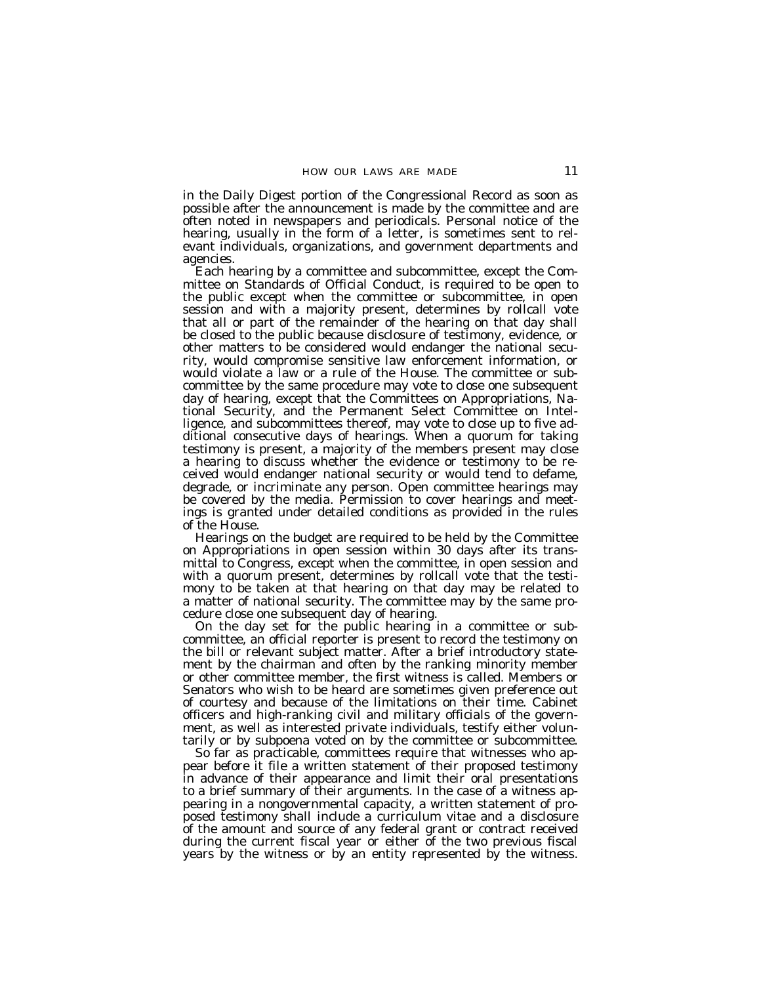in the Daily Digest portion of the Congressional Record as soon as possible after the announcement is made by the committee and are often noted in newspapers and periodicals. Personal notice of the hearing, usually in the form of a letter, is sometimes sent to relevant individuals, organizations, and government departments and agencies.

Each hearing by a committee and subcommittee, except the Committee on Standards of Official Conduct, is required to be open to the public except when the committee or subcommittee, in open session and with a majority present, determines by rollcall vote that all or part of the remainder of the hearing on that day shall be closed to the public because disclosure of testimony, evidence, or other matters to be considered would endanger the national security, would compromise sensitive law enforcement information, or would violate a law or a rule of the House. The committee or subcommittee by the same procedure may vote to close one subsequent day of hearing, except that the Committees on Appropriations, National Security, and the Permanent Select Committee on Intelligence, and subcommittees thereof, may vote to close up to five additional consecutive days of hearings. When a quorum for taking testimony is present, a majority of the members present may close a hearing to discuss whether the evidence or testimony to be received would endanger national security or would tend to defame, degrade, or incriminate any person. Open committee hearings may be covered by the media. Permission to cover hearings and meetings is granted under detailed conditions as provided in the rules of the House.

Hearings on the budget are required to be held by the Committee on Appropriations in open session within 30 days after its transmittal to Congress, except when the committee, in open session and with a quorum present, determines by rollcall vote that the testimony to be taken at that hearing on that day may be related to a matter of national security. The committee may by the same procedure close one subsequent day of hearing.

On the day set for the public hearing in a committee or subcommittee, an official reporter is present to record the testimony on the bill or relevant subject matter. After a brief introductory statement by the chairman and often by the ranking minority member or other committee member, the first witness is called. Members or Senators who wish to be heard are sometimes given preference out of courtesy and because of the limitations on their time. Cabinet officers and high-ranking civil and military officials of the government, as well as interested private individuals, testify either voluntarily or by subpoena voted on by the committee or subcommittee.

So far as practicable, committees require that witnesses who appear before it file a written statement of their proposed testimony in advance of their appearance and limit their oral presentations to a brief summary of their arguments. In the case of a witness appearing in a nongovernmental capacity, a written statement of proposed testimony shall include a curriculum vitae and a disclosure of the amount and source of any federal grant or contract received during the current fiscal year or either of the two previous fiscal years by the witness or by an entity represented by the witness.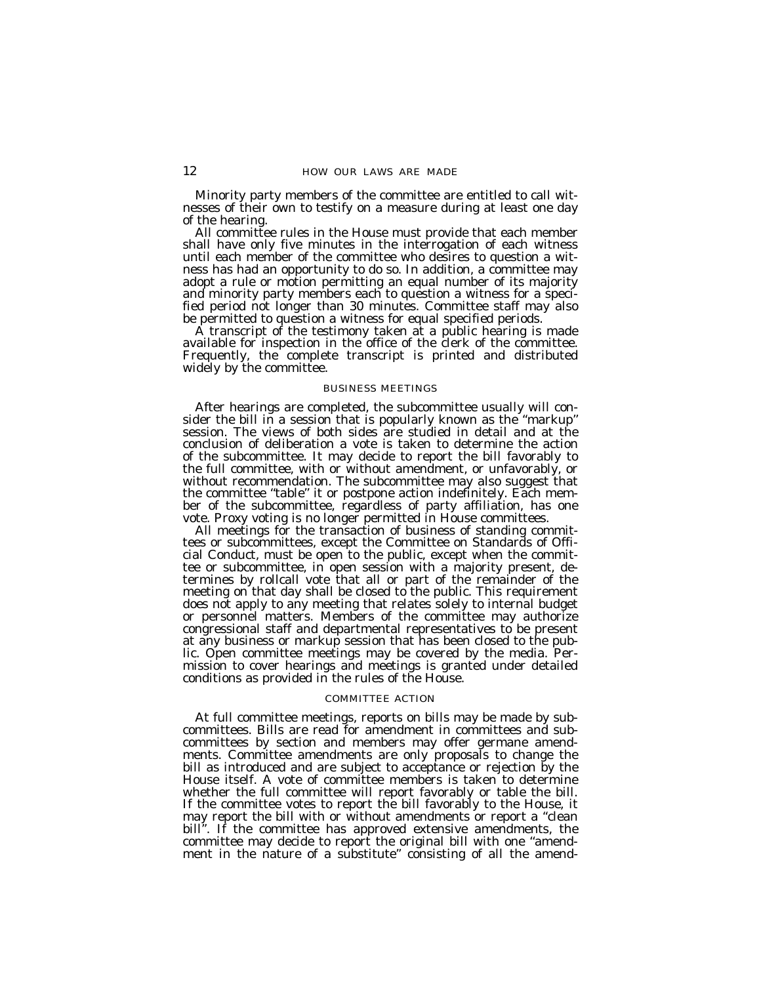Minority party members of the committee are entitled to call wit-<br>nesses of their own to testify on a measure during at least one day<br>of the hearing.

All committee rules in the House must provide that each member shall have only five minutes in the interrogation of each witness until each member of the committee who desires to question a witness has had an opportunity to do so. In addition, a committee may adopt a rule or motion permitting an equal number of its majority and minority party members each to question a witness for a specified period not longer than 30 minutes. Committee staff may also be permitted to question a witness for equal specified periods.

A transcript of the testimony taken at a public hearing is made available for inspection in the office of the clerk of the committee. Frequently, the complete transcript is printed and distributed widely by the committee.

#### BUSINESS MEETINGS

After hearings are completed, the subcommittee usually will consider the bill in a session that is popularly known as the "markup" session. The views of both sides are studied in detail and at the conclusion of deliberation a vote is taken to determine the action of the subcommittee. It may decide to report the bill favorably to the full committee, with or without amendment, or unfavorably, or without recommendation. The subcommittee may also suggest that the committee ''table'' it or postpone action indefinitely. Each member of the subcommittee, regardless of party affiliation, has one

vote. Proxy voting is no longer permitted in House committees. All meetings for the transaction of business of standing commit- tees or subcommittees, except the Committee on Standards of Official Conduct, must be open to the public, except when the committee or subcommittee, in open session with a majority present, determines by rollcall vote that all or part of the remainder of the meeting on that day shall be closed to the public. This requirement does not apply to any meeting that relates solely to internal budget or personnel matters. Members of the committee may authorize congressional staff and departmental representatives to be present at any business or markup session that has been closed to the public. Open committee meetings may be covered by the media. Permission to cover hearings and meetings is granted under detailed conditions as provided in the rules of the House.

#### COMMITTEE ACTION

At full committee meetings, reports on bills may be made by subcommittees. Bills are read for amendment in committees and subcommittees by section and members may offer germane amendments. Committee amendments are only proposals to change the bill as introduced and are subject to acceptance or rejection by the House itself. A vote of committee members is taken to determine whether the full committee will report favorably or table the bill. If the committee votes to report the bill favorably to the House, it may report the bill with or without amendments or report a ''clean bill''. If the committee has approved extensive amendments, the committee may decide to report the original bill with one ''amendment in the nature of a substitute'' consisting of all the amend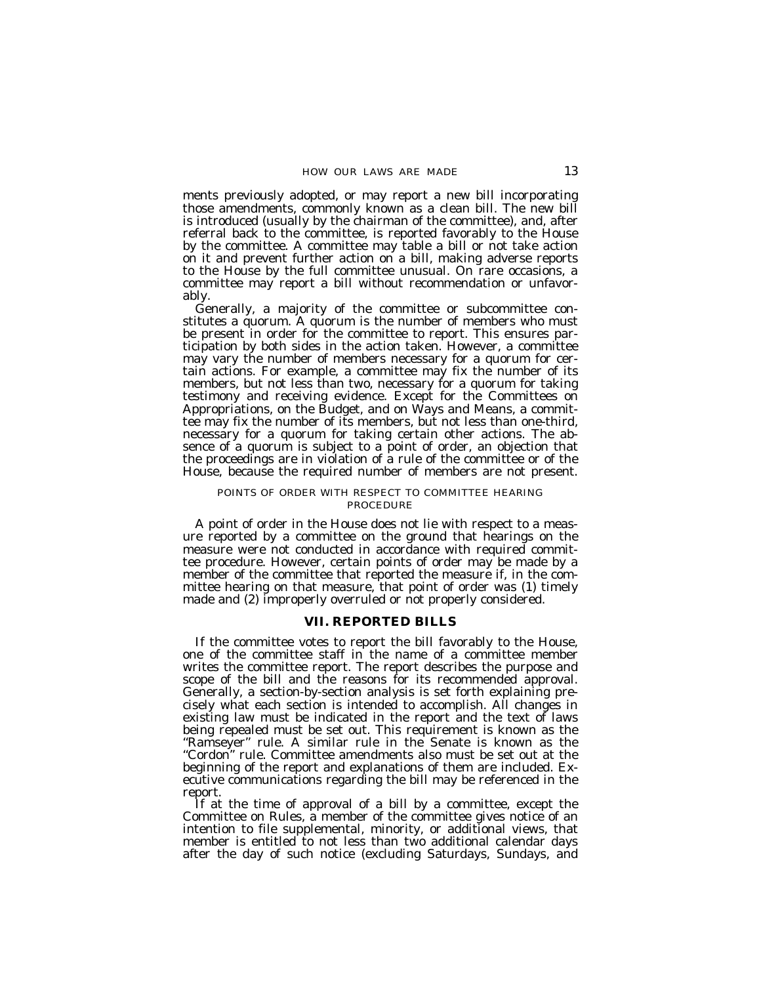ments previously adopted, or may report a new bill incorporating those amendments, commonly known as a clean bill. The new bill is introduced (usually by the chairman of the committee), and, after referral back to the committee, is reported favorably to the House by the committee. A committee may table a bill or not take action on it and prevent further action on a bill, making adverse reports to the House by the full committee unusual. On rare occasions, a committee may report a bill without recommendation or unfavorably.

Generally, a majority of the committee or subcommittee constitutes a quorum. A quorum is the number of members who must be present in order for the committee to report. This ensures participation by both sides in the action taken. However, a committee may vary the number of members necessary for a quorum for certain actions. For example, a committee may fix the number of its members, but not less than two, necessary for a quorum for taking testimony and receiving evidence. Except for the Committees on Appropriations, on the Budget, and on Ways and Means, a committee may fix the number of its members, but not less than one-third, necessary for a quorum for taking certain other actions. The absence of a quorum is subject to a point of order, an objection that the proceedings are in violation of a rule of the committee or of the House, because the required number of members are not present.

#### POINTS OF ORDER WITH RESPECT TO COMMITTEE HEARING **PROCEDURE**

A point of order in the House does not lie with respect to a measure reported by a committee on the ground that hearings on the measure were not conducted in accordance with required committee procedure. However, certain points of order may be made by a member of the committee that reported the measure if, in the committee hearing on that measure, that point of order was (1) timely made and (2) improperly overruled or not properly considered.

#### **VII. REPORTED BILLS**

If the committee votes to report the bill favorably to the House, one of the committee staff in the name of a committee member writes the committee report. The report describes the purpose and scope of the bill and the reasons for its recommended approval. Generally, a section-by-section analysis is set forth explaining precisely what each section is intended to accomplish. All changes in existing law must be indicated in the report and the text of laws being repealed must be set out. This requirement is known as the "Ramseyer" rule. A similar rule in the Senate is known as the ''Cordon'' rule. Committee amendments also must be set out at the beginning of the report and explanations of them are included. Executive communications regarding the bill may be referenced in the report.

If at the time of approval of a bill by a committee, except the Committee on Rules, a member of the committee gives notice of an intention to file supplemental, minority, or additional views, that member is entitled to not less than two additional calendar days after the day of such notice (excluding Saturdays, Sundays, and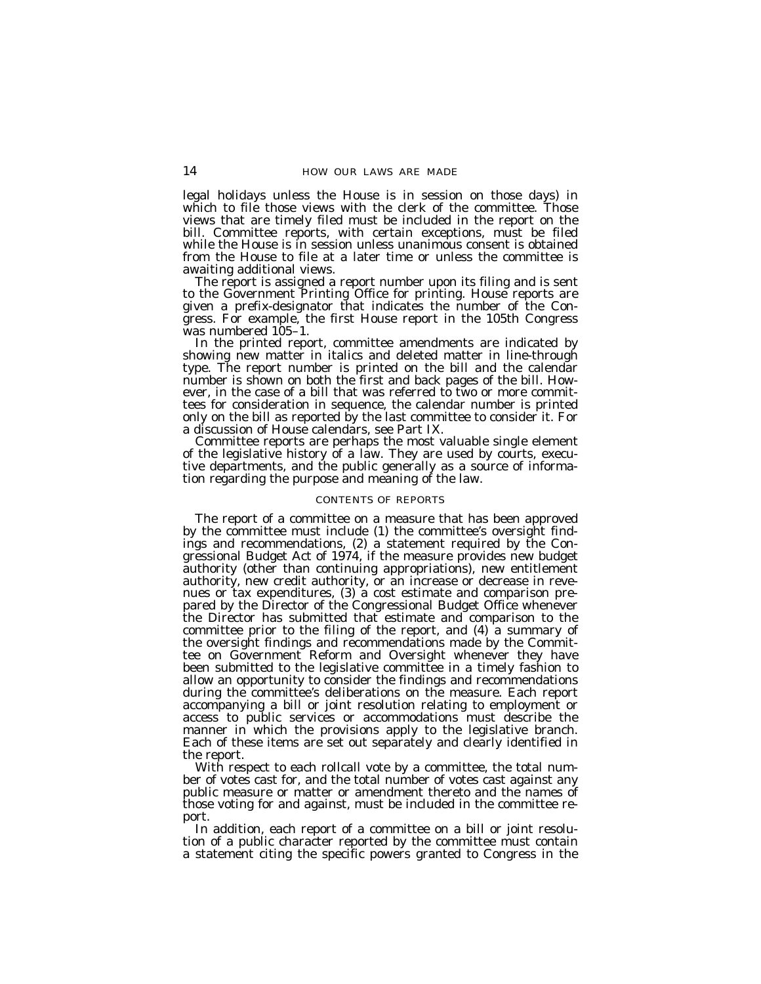legal holidays unless the House is in session on those days) in which to file those views with the clerk of the committee. Those views that are timely filed must be included in the report on the bill. Committee reports, with certain exceptions, must be filed while the House is in session unless unanimous consent is obtained from the House to file at a later time or unless the committee is

The report is assigned a report number upon its filing and is sent to the Government Printing Office for printing. House reports are given a prefix-designator that indicates the number of the Congress. For example, the first House report in the 105th Congress was numbered 105–1.

In the printed report, committee amendments are indicated by showing new matter in italics and deleted matter in line-through type. The report number is printed on the bill and the calendar number is shown on both the first and back pages of the bill. However, in the case of a bill that was referred to two or more committees for consideration in sequence, the calendar number is printed only on the bill as reported by the last committee to consider it. For a discussion of House calendars, see Part IX.

Committee reports are perhaps the most valuable single element of the legislative history of a law. They are used by courts, executive departments, and the public generally as a source of information regarding the purpose and meaning of the law.

#### CONTENTS OF REPORTS

The report of a committee on a measure that has been approved by the committee must include (1) the committee's oversight findings and recommendations, (2) a statement required by the Congressional Budget Act of 1974, if the measure provides new budget authority (other than continuing appropriations), new entitlement authority, new credit authority, or an increase or decrease in revenues or tax expenditures, (3) a cost estimate and comparison prepared by the Director of the Congressional Budget Office whenever the Director has submitted that estimate and comparison to the committee prior to the filing of the report, and  $(4)$  a summary of the oversight findings and recommendations made by the Committee on Government Reform and Oversight whenever they have been submitted to the legislative committee in a timely fashion to allow an opportunity to consider the findings and recommendations during the committee's deliberations on the measure. Each report accompanying a bill or joint resolution relating to employment or access to public services or accommodations must describe the manner in which the provisions apply to the legislative branch. Each of these items are set out separately and clearly identified in the report.

With respect to each rollcall vote by a committee, the total number of votes cast for, and the total number of votes cast against any public measure or matter or amendment thereto and the names of those voting for and against, must be included in the committee report.

In addition, each report of a committee on a bill or joint resolution of a public character reported by the committee must contain a statement citing the specific powers granted to Congress in the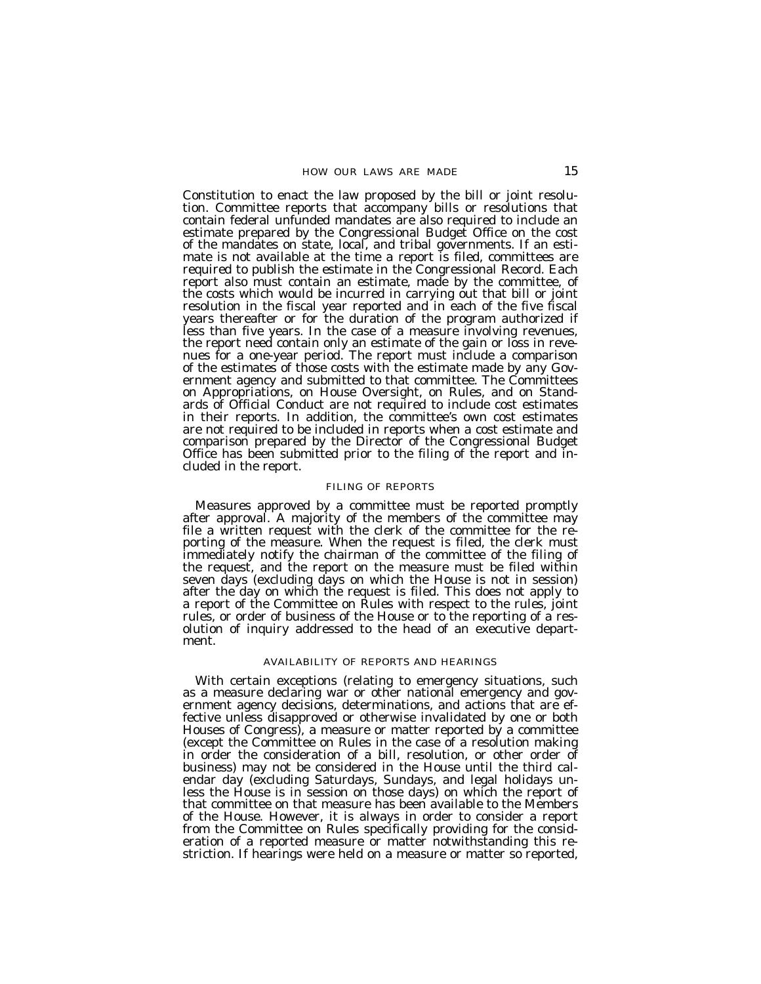Constitution to enact the law proposed by the bill or joint resolution. Committee reports that accompany bills or resolutions that contain federal unfunded mandates are also required to include an estimate prepared by the Congressional Budget Office on the cost of the mandates on state, local, and tribal governments. If an estimate is not available at the time a report is filed, committees are required to publish the estimate in the Congressional Record. Each report also must contain an estimate, made by the committee, of the costs which would be incurred in carrying out that bill or joint resolution in the fiscal year reported and in each of the five fiscal years thereafter or for the duration of the program authorized if less than five years. In the case of a measure involving revenues, the report need contain only an estimate of the gain or loss in revenues for a one-year period. The report must include a comparison of the estimates of those costs with the estimate made by any Government agency and submitted to that committee. The Committees on Appropriations, on House Oversight, on Rules, and on Standards of Official Conduct are not required to include cost estimates in their reports. In addition, the committee's own cost estimates are not required to be included in reports when a cost estimate and comparison prepared by the Director of the Congressional Budget Office has been submitted prior to the filing of the report and included in the report.

#### FILING OF REPORTS

Measures approved by a committee must be reported promptly after approval. A majority of the members of the committee may file a written request with the clerk of the committee for the reporting of the measure. When the request is filed, the clerk must immediately notify the chairman of the committee of the filing of the request, and the report on the measure must be filed within seven days (excluding days on which the House is not in session) after the day on which the request is filed. This does not apply to a report of the Committee on Rules with respect to the rules, joint rules, or order of business of the House or to the reporting of a resolution of inquiry addressed to the head of an executive department.

#### AVAILABILITY OF REPORTS AND HEARINGS

With certain exceptions (relating to emergency situations, such as a measure declaring war or other national emergency and government agency decisions, determinations, and actions that are effective unless disapproved or otherwise invalidated by one or both Houses of Congress), a measure or matter reported by a committee (except the Committee on Rules in the case of a resolution making in order the consideration of a bill, resolution, or other order of business) may not be considered in the House until the third calendar day (excluding Saturdays, Sundays, and legal holidays unless the House is in session on those days) on which the report of that committee on that measure has been available to the Members of the House. However, it is always in order to consider a report from the Committee on Rules specifically providing for the consideration of a reported measure or matter notwithstanding this restriction. If hearings were held on a measure or matter so reported,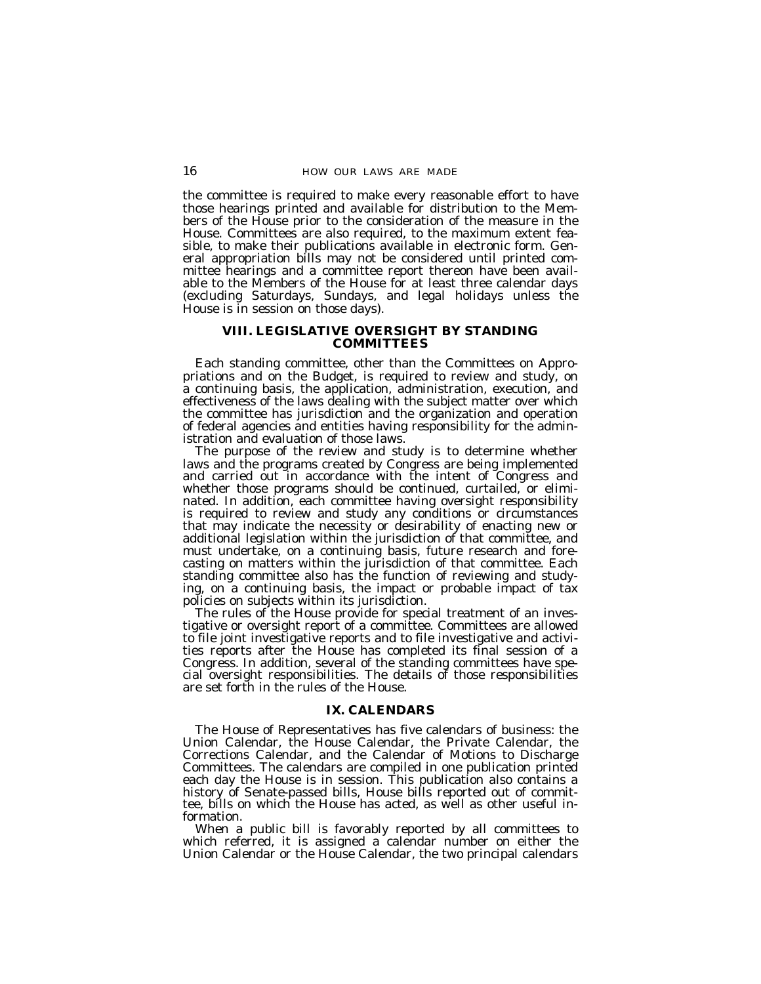the committee is required to make every reasonable effort to have those hearings printed and available for distribution to the Members of the House prior to the consideration of the measure in the House. Committees are also required, to the maximum extent feasible, to make their publications available in electronic form. General appropriation bills may not be considered until printed committee hearings and a committee report thereon have been available to the Members of the House for at least three calendar days (excluding Saturdays, Sundays, and legal holidays unless the House is in session on those days).

#### **VIII. LEGISLATIVE OVERSIGHT BY STANDING COMMITTEES**

Each standing committee, other than the Committees on Appropriations and on the Budget, is required to review and study, on a continuing basis, the application, administration, execution, and effectiveness of the laws dealing with the subject matter over which the committee has jurisdiction and the organization and operation of federal agencies and entities having responsibility for the administration and evaluation of those laws.

The purpose of the review and study is to determine whether laws and the programs created by Congress are being implemented and carried out in accordance with the intent of Congress and whether those programs should be continued, curtailed, or eliminated. In addition, each committee having oversight responsibility is required to review and study any conditions or circumstances that may indicate the necessity or desirability of enacting new or additional legislation within the jurisdiction of that committee, and must undertake, on a continuing basis, future research and forecasting on matters within the jurisdiction of that committee. Each standing committee also has the function of reviewing and studying, on a continuing basis, the impact or probable impact of tax policies on subjects within its jurisdiction.

The rules of the House provide for special treatment of an investigative or oversight report of a committee. Committees are allowed to file joint investigative reports and to file investigative and activities reports after the House has completed its final session of a Congress. In addition, several of the standing committees have special oversight responsibilities. The details of those responsibilities are set forth in the rules of the House.

#### **IX. CALENDARS**

The House of Representatives has five calendars of business: the Union Calendar, the House Calendar, the Private Calendar, the Corrections Calendar, and the Calendar of Motions to Discharge Committees. The calendars are compiled in one publication printed each day the House is in session. This publication also contains a history of Senate-passed bills, House bills reported out of committee, bills on which the House has acted, as well as other useful information.

When a public bill is favorably reported by all committees to which referred, it is assigned a calendar number on either the Union Calendar or the House Calendar, the two principal calendars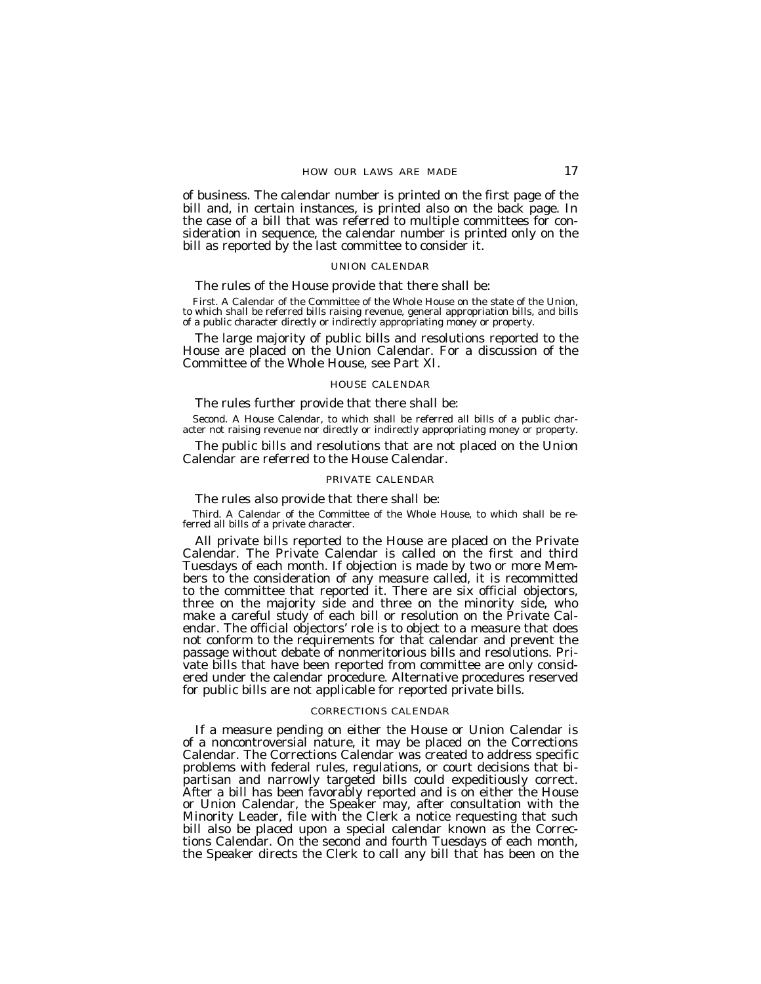of business. The calendar number is printed on the first page of the bill and, in certain instances, is printed also on the back page. In the case of a bill that was referred to multiple committees for consideration in sequence, the calendar number is printed only on the bill as reported by the last committee to consider it.

#### UNION CALENDAR

#### The rules of the House provide that there shall be:

First. A Calendar of the Committee of the Whole House on the state of the Union, to which shall be referred bills raising revenue, general appropriation bills, and bills of a public character directly or indirectly appropriating money or property.

The large majority of public bills and resolutions reported to the House are placed on the Union Calendar. For a discussion of the Committee of the Whole House, see Part XI.

#### HOUSE CALENDAR

The rules further provide that there shall be:

Second. A House Calendar, to which shall be referred all bills of a public character not raising revenue nor directly or indirectly appropriating money or property.

The public bills and resolutions that are not placed on the Union Calendar are referred to the House Calendar.

#### PRIVATE CALENDAR

The rules also provide that there shall be:

Third. A Calendar of the Committee of the Whole House, to which shall be referred all bills of a private character.

All private bills reported to the House are placed on the Private Calendar. The Private Calendar is called on the first and third Tuesdays of each month. If objection is made by two or more Members to the consideration of any measure called, it is recommitted to the committee that reported it. There are six official objectors, three on the majority side and three on the minority side, who make a careful study of each bill or resolution on the Private Calendar. The official objectors' role is to object to a measure that does not conform to the requirements for that calendar and prevent the passage without debate of nonmeritorious bills and resolutions. Private bills that have been reported from committee are only considered under the calendar procedure. Alternative procedures reserved for public bills are not applicable for reported private bills.

#### CORRECTIONS CALENDAR

If a measure pending on either the House or Union Calendar is of a noncontroversial nature, it may be placed on the Corrections Calendar. The Corrections Calendar was created to address specific problems with federal rules, regulations, or court decisions that bipartisan and narrowly targeted bills could expeditiously correct. After a bill has been favorably reported and is on either the House or Union Calendar, the Speaker may, after consultation with the Minority Leader, file with the Clerk a notice requesting that such bill also be placed upon a special calendar known as the Corrections Calendar. On the second and fourth Tuesdays of each month, the Speaker directs the Clerk to call any bill that has been on the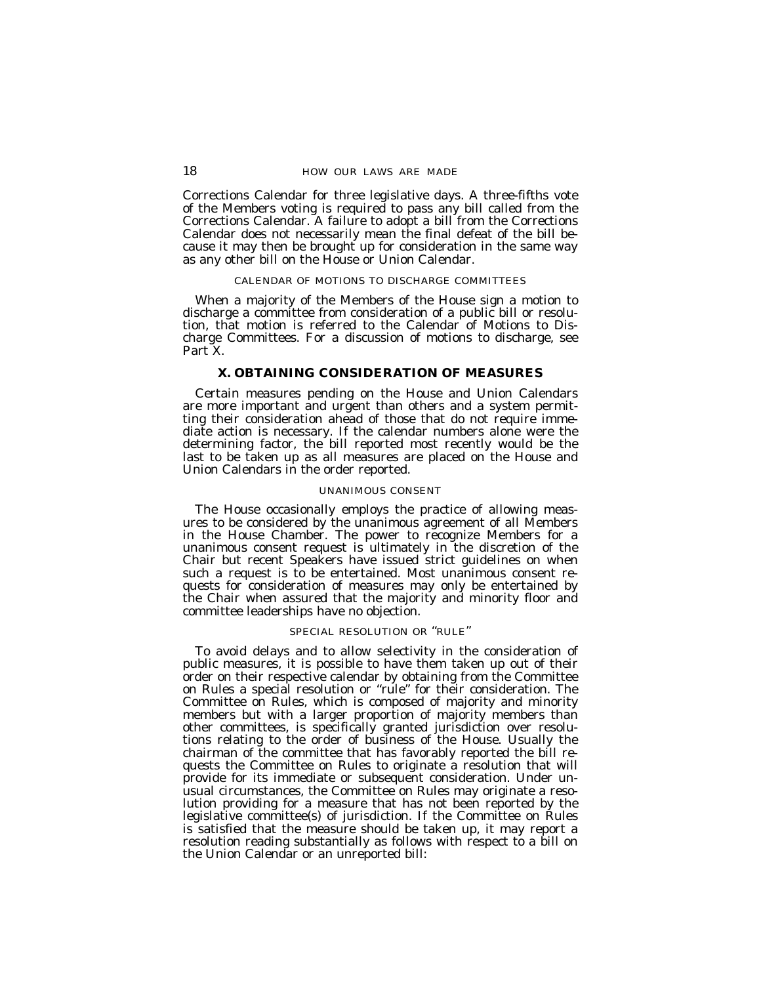Corrections Calendar for three legislative days. A three-fifths vote of the Members voting is required to pass any bill called from the Corrections Calendar. A failure to adopt a bill from the Corrections Calendar does not necessarily mean the final defeat of the bill because it may then be brought up for consideration in the same way as any other bill on the House or Union Calendar.

#### CALENDAR OF MOTIONS TO DISCHARGE COMMITTEES

When a majority of the Members of the House sign a motion to discharge a committee from consideration of a public bill or resolution, that motion is referred to the Calendar of Motions to Discharge Committees. For a discussion of motions to discharge, see Part X.

#### **X. OBTAINING CONSIDERATION OF MEASURES**

Certain measures pending on the House and Union Calendars are more important and urgent than others and a system permitting their consideration ahead of those that do not require immediate action is necessary. If the calendar numbers alone were the determining factor, the bill reported most recently would be the last to be taken up as all measures are placed on the House and Union Calendars in the order reported.

#### UNANIMOUS CONSENT

The House occasionally employs the practice of allowing measures to be considered by the unanimous agreement of all Members in the House Chamber. The power to recognize Members for a unanimous consent request is ultimately in the discretion of the Chair but recent Speakers have issued strict guidelines on when such a request is to be entertained. Most unanimous consent requests for consideration of measures may only be entertained by the Chair when assured that the majority and minority floor and committee leaderships have no objection.

#### SPECIAL RESOLUTION OR ''RULE''

To avoid delays and to allow selectivity in the consideration of public measures, it is possible to have them taken up out of their order on their respective calendar by obtaining from the Committee on Rules a special resolution or ''rule'' for their consideration. The Committee on Rules, which is composed of majority and minority members but with a larger proportion of majority members than other committees, is specifically granted jurisdiction over resolutions relating to the order of business of the House. Usually the chairman of the committee that has favorably reported the bill requests the Committee on Rules to originate a resolution that will provide for its immediate or subsequent consideration. Under unusual circumstances, the Committee on Rules may originate a resolution providing for a measure that has not been reported by the legislative committee(s) of jurisdiction. If the Committee on Rules is satisfied that the measure should be taken up, it may report a resolution reading substantially as follows with respect to a bill on the Union Calendar or an unreported bill: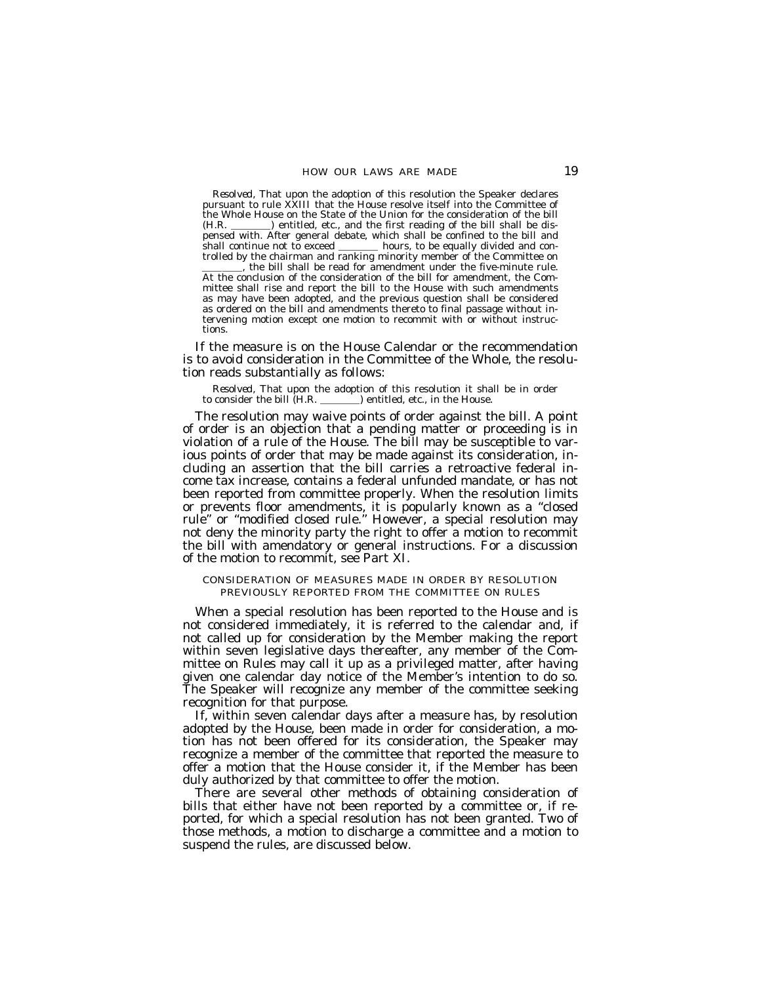*Resolved,* That upon the adoption of this resolution the Speaker declares pursuant to rule XXIII that the House resolve itself into the Committee of the Whole House on the State of the Union for the consideration of the bill (H.R. \_\_\_\_\_\_\_) entitled, etc., and the first reading of the bill shall be dispensed with. After general debate, which shall be confined to the bill and shall continue not to exceed \_\_\_\_\_\_\_\_ hours, to be equally divided and controlled by the chairman and ranking minority member of the Committee on  $\tilde{h}$ , the bill shall be read for amendment under the five-minute rule. At the conclusion of the consideration of the bill for amendment, the Committee shall rise and report the bill to the House with such amendments as may have been adopted, and the previous question shall be considered as ordered on the bill and amendments thereto to final passage without intervening motion except one motion to recommit with or without instructions.

If the measure is on the House Calendar or the recommendation is to avoid consideration in the Committee of the Whole, the resolution reads substantially as follows:

*Resolved,* That upon the adoption of this resolution it shall be in order to consider the bill (H.R. ) entitled, etc., in the House. ) entitled, etc., in the House.

The resolution may waive points of order against the bill. A point of order is an objection that a pending matter or proceeding is in violation of a rule of the House. The bill may be susceptible to various points of order that may be made against its consideration, including an assertion that the bill carries a retroactive federal income tax increase, contains a federal unfunded mandate, or has not been reported from committee properly. When the resolution limits or prevents floor amendments, it is popularly known as a ''closed rule'' or ''modified closed rule.'' However, a special resolution may not deny the minority party the right to offer a motion to recommit the bill with amendatory or general instructions. For a discussion of the motion to recommit, see Part XI.

#### CONSIDERATION OF MEASURES MADE IN ORDER BY RESOLUTION PREVIOUSLY REPORTED FROM THE COMMITTEE ON RULES

When a special resolution has been reported to the House and is not considered immediately, it is referred to the calendar and, if not called up for consideration by the Member making the report within seven legislative days thereafter, any member of the Committee on Rules may call it up as a privileged matter, after having given one calendar day notice of the Member's intention to do so. The Speaker will recognize any member of the committee seeking recognition for that purpose.

If, within seven calendar days after a measure has, by resolution adopted by the House, been made in order for consideration, a motion has not been offered for its consideration, the Speaker may recognize a member of the committee that reported the measure to offer a motion that the House consider it, if the Member has been duly authorized by that committee to offer the motion.

There are several other methods of obtaining consideration of bills that either have not been reported by a committee or, if reported, for which a special resolution has not been granted. Two of those methods, a motion to discharge a committee and a motion to suspend the rules, are discussed below.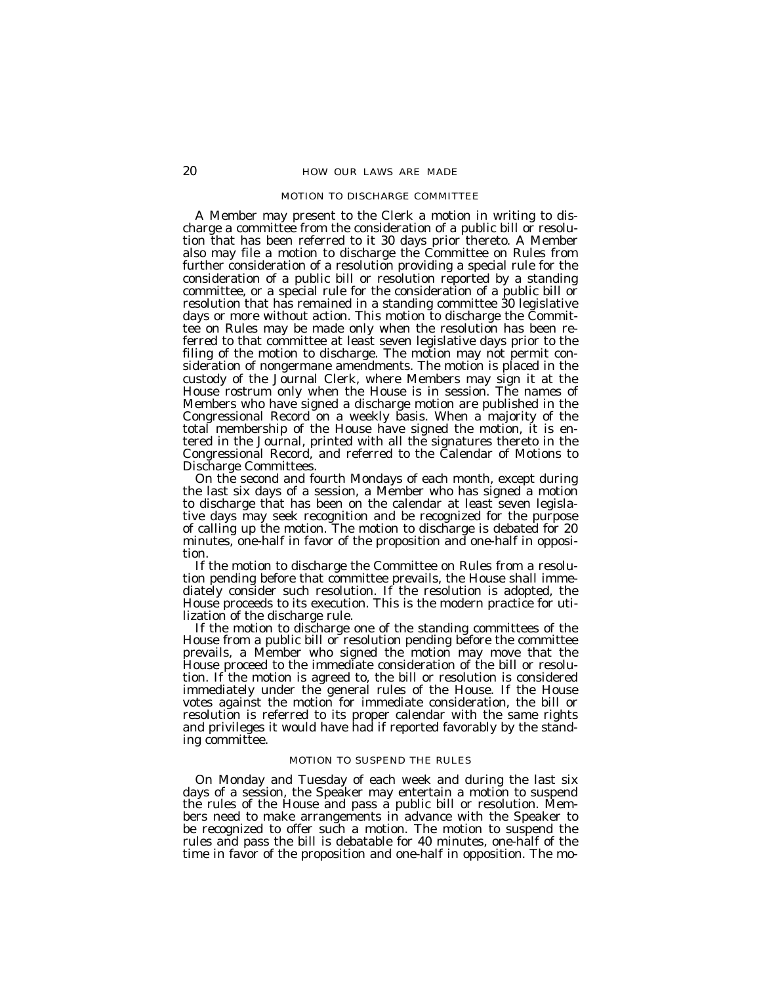#### MOTION TO DISCHARGE COMMITTEE

A Member may present to the Clerk a motion in writing to discharge a committee from the consideration of a public bill or resolution that has been referred to it 30 days prior thereto. A Member also may file a motion to discharge the Committee on Rules from further consideration of a resolution providing a special rule for the consideration of a public bill or resolution reported by a standing committee, or a special rule for the consideration of a public bill or resolution that has remained in a standing committee 30 legislative days or more without action. This motion to discharge the Committee on Rules may be made only when the resolution has been referred to that committee at least seven legislative days prior to the filing of the motion to discharge. The motion may not permit consideration of nongermane amendments. The motion is placed in the custody of the Journal Clerk, where Members may sign it at the House rostrum only when the House is in session. The names of Members who have signed a discharge motion are published in the Congressional Record on a weekly basis. When a majority of the total membership of the House have signed the motion, it is entered in the Journal, printed with all the signatures thereto in the Congressional Record, and referred to the Calendar of Motions to Discharge Committees.

On the second and fourth Mondays of each month, except during the last six days of a session, a Member who has signed a motion to discharge that has been on the calendar at least seven legislative days may seek recognition and be recognized for the purpose of calling up the motion. The motion to discharge is debated for 20 minutes, one-half in favor of the proposition and one-half in opposition.

If the motion to discharge the Committee on Rules from a resolution pending before that committee prevails, the House shall immediately consider such resolution. If the resolution is adopted, the House proceeds to its execution. This is the modern practice for utilization of the discharge rule.

If the motion to discharge one of the standing committees of the House from a public bill or resolution pending before the committee prevails, a Member who signed the motion may move that the House proceed to the immediate consideration of the bill or resolution. If the motion is agreed to, the bill or resolution is considered immediately under the general rules of the House. If the House votes against the motion for immediate consideration, the bill or resolution is referred to its proper calendar with the same rights and privileges it would have had if reported favorably by the standing committee.

#### MOTION TO SUSPEND THE RULES

On Monday and Tuesday of each week and during the last six days of a session, the Speaker may entertain a motion to suspend the rules of the House and pass a public bill or resolution. Members need to make arrangements in advance with the Speaker to be recognized to offer such a motion. The motion to suspend the rules and pass the bill is debatable for 40 minutes, one-half of the time in favor of the proposition and one-half in opposition. The mo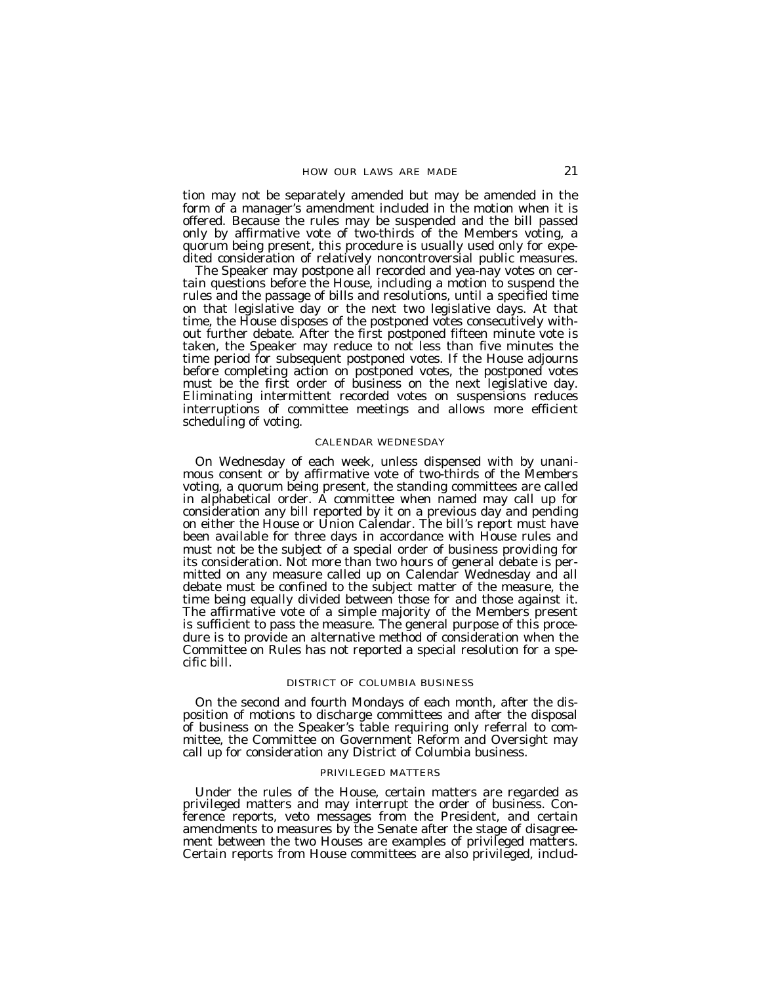tion may not be separately amended but may be amended in the form of a manager's amendment included in the motion when it is offered. Because the rules may be suspended and the bill passed only by affirmative vote of two-thirds of the Members voting, a quorum being present, this procedure is usually used only for expedited consideration of relatively noncontroversial public measures.

The Speaker may postpone all recorded and yea-nay votes on certain questions before the House, including a motion to suspend the rules and the passage of bills and resolutions, until a specified time on that legislative day or the next two legislative days. At that time, the House disposes of the postponed votes consecutively without further debate. After the first postponed fifteen minute vote is taken, the Speaker may reduce to not less than five minutes the time period for subsequent postponed votes. If the House adjourns before completing action on postponed votes, the postponed votes must be the first order of business on the next legislative day. Eliminating intermittent recorded votes on suspensions reduces interruptions of committee meetings and allows more efficient scheduling of voting.

#### CALENDAR WEDNESDAY

On Wednesday of each week, unless dispensed with by unanimous consent or by affirmative vote of two-thirds of the Members voting, a quorum being present, the standing committees are called in alphabetical order. A committee when named may call up for consideration any bill reported by it on a previous day and pending on either the House or Union Calendar. The bill's report must have been available for three days in accordance with House rules and must not be the subject of a special order of business providing for its consideration. Not more than two hours of general debate is permitted on any measure called up on Calendar Wednesday and all debate must be confined to the subject matter of the measure, the time being equally divided between those for and those against it. The affirmative vote of a simple majority of the Members present is sufficient to pass the measure. The general purpose of this procedure is to provide an alternative method of consideration when the Committee on Rules has not reported a special resolution for a specific bill.

#### DISTRICT OF COLUMBIA BUSINESS

On the second and fourth Mondays of each month, after the disposition of motions to discharge committees and after the disposal of business on the Speaker's table requiring only referral to committee, the Committee on Government Reform and Oversight may call up for consideration any District of Columbia business.

#### PRIVILEGED MATTERS

Under the rules of the House, certain matters are regarded as privileged matters and may interrupt the order of business. Conference reports, veto messages from the President, and certain amendments to measures by the Senate after the stage of disagreement between the two Houses are examples of privileged matters. Certain reports from House committees are also privileged, includ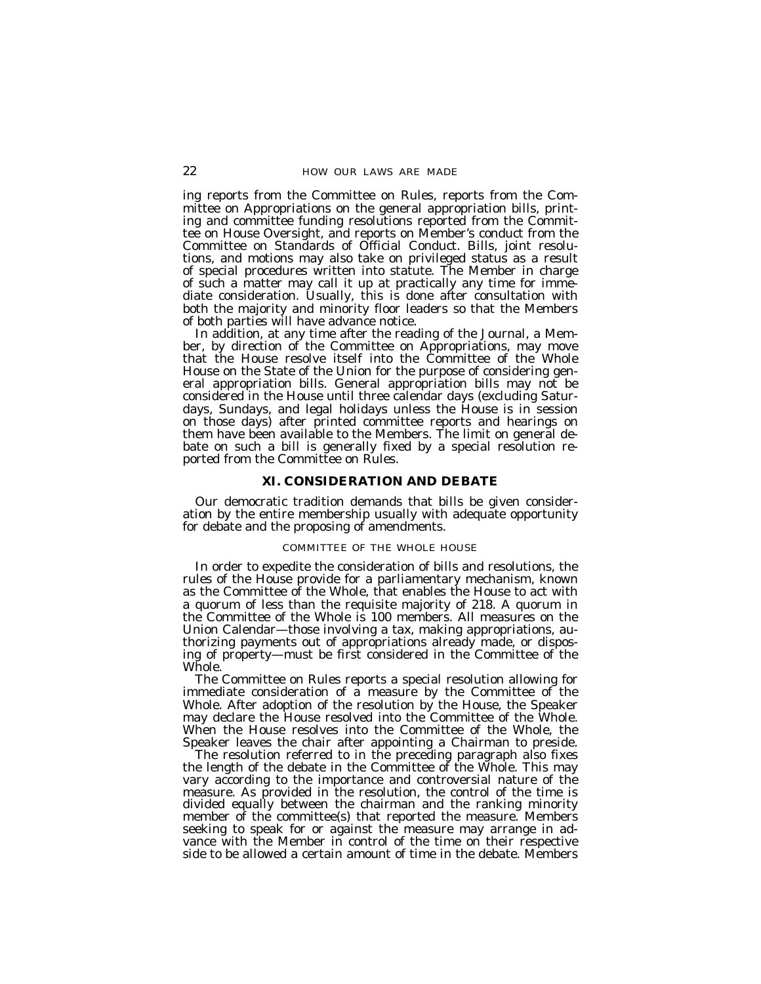ing reports from the Committee on Rules, reports from the Committee on Appropriations on the general appropriation bills, printing and committee funding resolutions reported from the Committee on House Oversight, and reports on Member's conduct from the Committee on Standards of Official Conduct. Bills, joint resolutions, and motions may also take on privileged status as a result of special procedures written into statute. The Member in charge of such a matter may call it up at practically any time for immediate consideration. Usually, this is done after consultation with both the majority and minority floor leaders so that the Members of both parties will have advance notice.

In addition, at any time after the reading of the Journal, a Member, by direction of the Committee on Appropriations, may move that the House resolve itself into the Committee of the Whole House on the State of the Union for the purpose of considering general appropriation bills. General appropriation bills may not be considered in the House until three calendar days (excluding Saturdays, Sundays, and legal holidays unless the House is in session on those days) after printed committee reports and hearings on them have been available to the Members. The limit on general debate on such a bill is generally fixed by a special resolution reported from the Committee on Rules.

#### **XI. CONSIDERATION AND DEBATE**

Our democratic tradition demands that bills be given consideration by the entire membership usually with adequate opportunity for debate and the proposing of amendments.

#### COMMITTEE OF THE WHOLE HOUSE

In order to expedite the consideration of bills and resolutions, the rules of the House provide for a parliamentary mechanism, known as the Committee of the Whole, that enables the House to act with a quorum of less than the requisite majority of 218. A quorum in the Committee of the Whole is 100 members. All measures on the Union Calendar—those involving a tax, making appropriations, authorizing payments out of appropriations already made, or disposing of property—must be first considered in the Committee of the Whole.

The Committee on Rules reports a special resolution allowing for immediate consideration of a measure by the Committee of the Whole. After adoption of the resolution by the House, the Speaker may declare the House resolved into the Committee of the Whole. When the House resolves into the Committee of the Whole, the Speaker leaves the chair after appointing a Chairman to preside.

The resolution referred to in the preceding paragraph also fixes the length of the debate in the Committee of the Whole. This may vary according to the importance and controversial nature of the measure. As provided in the resolution, the control of the time is divided equally between the chairman and the ranking minority member of the committee(s) that reported the measure. Members seeking to speak for or against the measure may arrange in advance with the Member in control of the time on their respective side to be allowed a certain amount of time in the debate. Members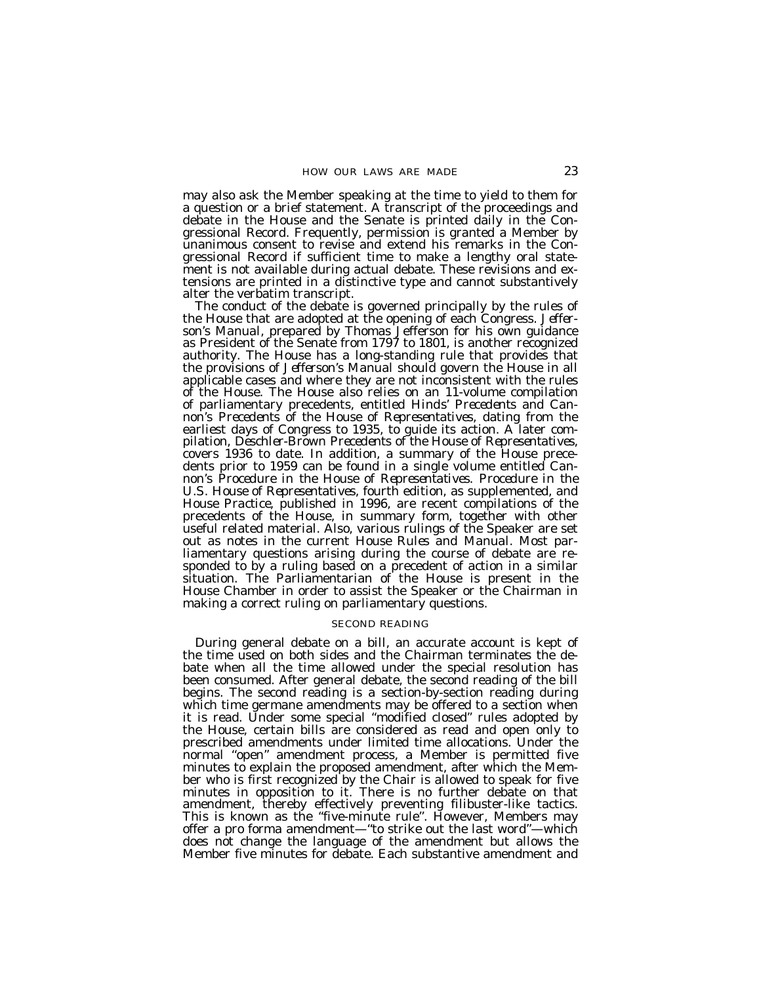may also ask the Member speaking at the time to yield to them for a question or a brief statement. A transcript of the proceedings and debate in the House and the Senate is printed daily in the Congressional Record. Frequently, permission is granted a Member by unanimous consent to revise and extend his remarks in the Congressional Record if sufficient time to make a lengthy oral statement is not available during actual debate. These revisions and extensions are printed in a distinctive type and cannot substantively

alter the verbatim transcript.<br>The conduct of the debate is governed principally by the rules of the House that are adopted at the opening of each Congress. *Jefferson's Manual,* prepared by Thomas Jefferson for his own guidance as President of the Senate from 1797 to 1801, is another recognized authority. The House has a long-standing rule that provides that<br>the provisions of *Jefferson's Manual* should govern the House in all applicable cases and where they are not inconsistent with the rules of the House. The House also relies on an 11-volume compilation of parliamentary precedents, entitled *Hinds' Precedents* and *Cannon's Precedents of the House of Representatives,* dating from the earliest days of Congress to 1935, to guide its action. A later compilation, *Deschler-Brown Precedents of the House of Representatives,* covers 1936 to date. In addition, a summary of the House precedents prior to 1959 can be found in a single volume entitled *Cannon's Procedure in the House of Representatives. Procedure in the U.S. House of Representatives,* fourth edition, as supplemented, and *House Practice,* published in 1996, are recent compilations of the precedents of the House, in summary form, together with other useful related material. Also, various rulings of the Speaker are set out as notes in the current *House Rules and Manual.* Most parliamentary questions arising during the course of debate are responded to by a ruling based on a precedent of action in a similar situation. The Parliamentarian of the House is present in the House Chamber in order to assist the Speaker or the Chairman in making a correct ruling on parliamentary questions.

#### SECOND READING

During general debate on a bill, an accurate account is kept of the time used on both sides and the Chairman terminates the debate when all the time allowed under the special resolution has been consumed. After general debate, the second reading of the bill begins. The second reading is a section-by-section reading during which time germane amendments may be offered to a section when it is read. Under some special ''modified closed'' rules adopted by the House, certain bills are considered as read and open only to prescribed amendments under limited time allocations. Under the normal ''open'' amendment process, a Member is permitted five minutes to explain the proposed amendment, after which the Member who is first recognized by the Chair is allowed to speak for five minutes in opposition to it. There is no further debate on that amendment, thereby effectively preventing filibuster-like tactics. This is known as the ''five-minute rule''. However, Members may offer a pro forma amendment—''to strike out the last word''—which does not change the language of the amendment but allows the Member five minutes for debate. Each substantive amendment and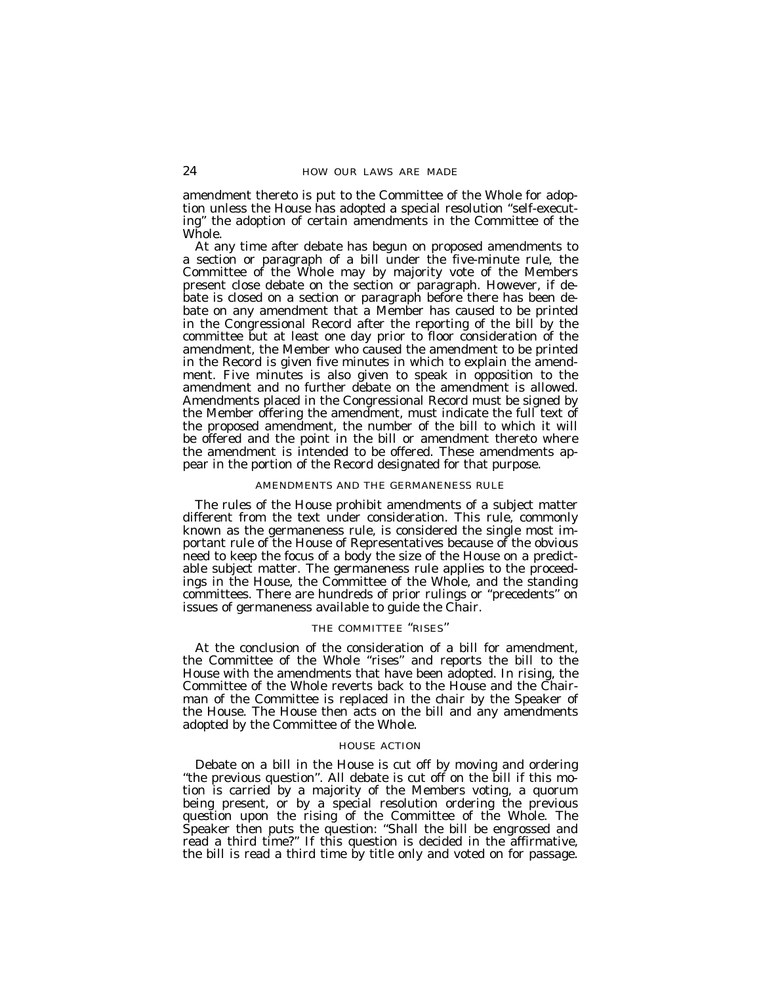amendment thereto is put to the Committee of the Whole for adoption unless the House has adopted a special resolution ''self-executing'' the adoption of certain amendments in the Committee of the Whole.

At any time after debate has begun on proposed amendments to a section or paragraph of a bill under the five-minute rule, the Committee of the Whole may by majority vote of the Members present close debate on the section or paragraph. However, if debate is closed on a section or paragraph before there has been debate on any amendment that a Member has caused to be printed in the Congressional Record after the reporting of the bill by the committee but at least one day prior to floor consideration of the amendment, the Member who caused the amendment to be printed in the Record is given five minutes in which to explain the amendment. Five minutes is also given to speak in opposition to the amendment and no further debate on the amendment is allowed. Amendments placed in the Congressional Record must be signed by the Member offering the amendment, must indicate the full text of the proposed amendment, the number of the bill to which it will be offered and the point in the bill or amendment thereto where the amendment is intended to be offered. These amendments appear in the portion of the Record designated for that purpose.

#### AMENDMENTS AND THE GERMANENESS RULE

The rules of the House prohibit amendments of a subject matter different from the text under consideration. This rule, commonly known as the germaneness rule, is considered the single most important rule of the House of Representatives because of the obvious need to keep the focus of a body the size of the House on a predictable subject matter. The germaneness rule applies to the proceedings in the House, the Committee of the Whole, and the standing committees. There are hundreds of prior rulings or ''precedents'' on issues of germaneness available to guide the Chair.

#### THE COMMITTEE ''RISES''

At the conclusion of the consideration of a bill for amendment, the Committee of the Whole "rises" and reports the bill to the House with the amendments that have been adopted. In rising, the Committee of the Whole reverts back to the House and the Chairman of the Committee is replaced in the chair by the Speaker of the House. The House then acts on the bill and any amendments adopted by the Committee of the Whole.

#### HOUSE ACTION

Debate on a bill in the House is cut off by moving and ordering "the previous question". All debate is cut off on the bill if this motion is carried by a majority of the Members voting, a quorum being present, or by a special resolution ordering the previous question upon the rising of the Committee of the Whole. The Speaker then puts the question: ''Shall the bill be engrossed and read a third time?'' If this question is decided in the affirmative, the bill is read a third time by title only and voted on for passage.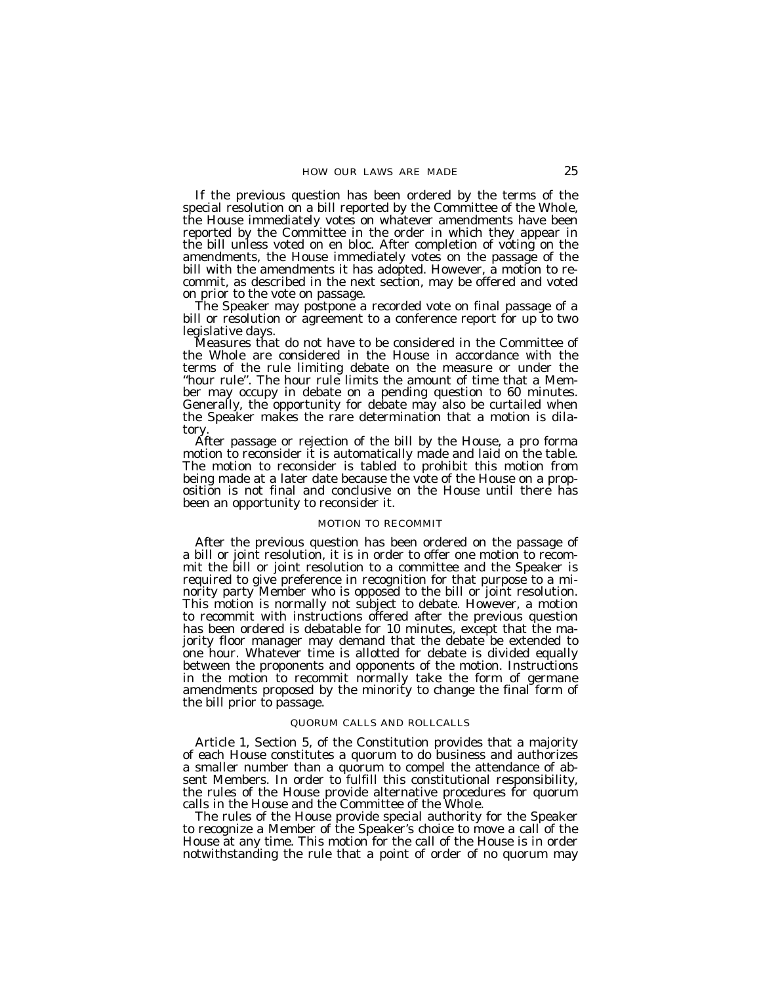If the previous question has been ordered by the terms of the special resolution on a bill reported by the Committee of the Whole, the House immediately votes on whatever amendments have been reported by the Committee in the order in which they appear in the bill unless voted on en bloc. After completion of voting on the amendments, the House immediately votes on the passage of the bill with the amendments it has adopted. However, a motion to recommit, as described in the next section, may be offered and voted

on prior to the vote on passage.<br>The Speaker may postpone a recorded vote on final passage of a<br>bill or resolution or agreement to a conference report for up to two<br>legislative days.

Measures that do not have to be considered in the Committee of the Whole are considered in the House in accordance with the terms of the rule limiting debate on the measure or under the "hour rule". The hour rule limits the amount of time that a Member may occupy in debate on a pending question to 60 minutes. Generally, the opportunity for debate may also be curtailed when the Speaker makes the rare determination that a motion is dilatory.

After passage or rejection of the bill by the House, a pro forma motion to reconsider it is automatically made and laid on the table. The motion to reconsider is tabled to prohibit this motion from being made at a later date because the vote of the House on a proposition is not final and conclusive on the House until there has been an opportunity to reconsider it.

#### MOTION TO RECOMMIT

After the previous question has been ordered on the passage of a bill or joint resolution, it is in order to offer one motion to recommit the bill or joint resolution to a committee and the Speaker is required to give preference in recognition for that purpose to a minority party Member who is opposed to the bill or joint resolution. This motion is normally not subject to debate. However, a motion to recommit with instructions offered after the previous question has been ordered is debatable for 10 minutes, except that the majority floor manager may demand that the debate be extended to one hour. Whatever time is allotted for debate is divided equally between the proponents and opponents of the motion. Instructions in the motion to recommit normally take the form of germane amendments proposed by the minority to change the final form of the bill prior to passage.

#### QUORUM CALLS AND ROLLCALLS

Article 1, Section 5, of the Constitution provides that a majority of each House constitutes a quorum to do business and authorizes a smaller number than a quorum to compel the attendance of absent Members. In order to fulfill this constitutional responsibility, the rules of the House provide alternative procedures for quorum calls in the House and the Committee of the Whole.

The rules of the House provide special authority for the Speaker to recognize a Member of the Speaker's choice to move a call of the House at any time. This motion for the call of the House is in order notwithstanding the rule that a point of order of no quorum may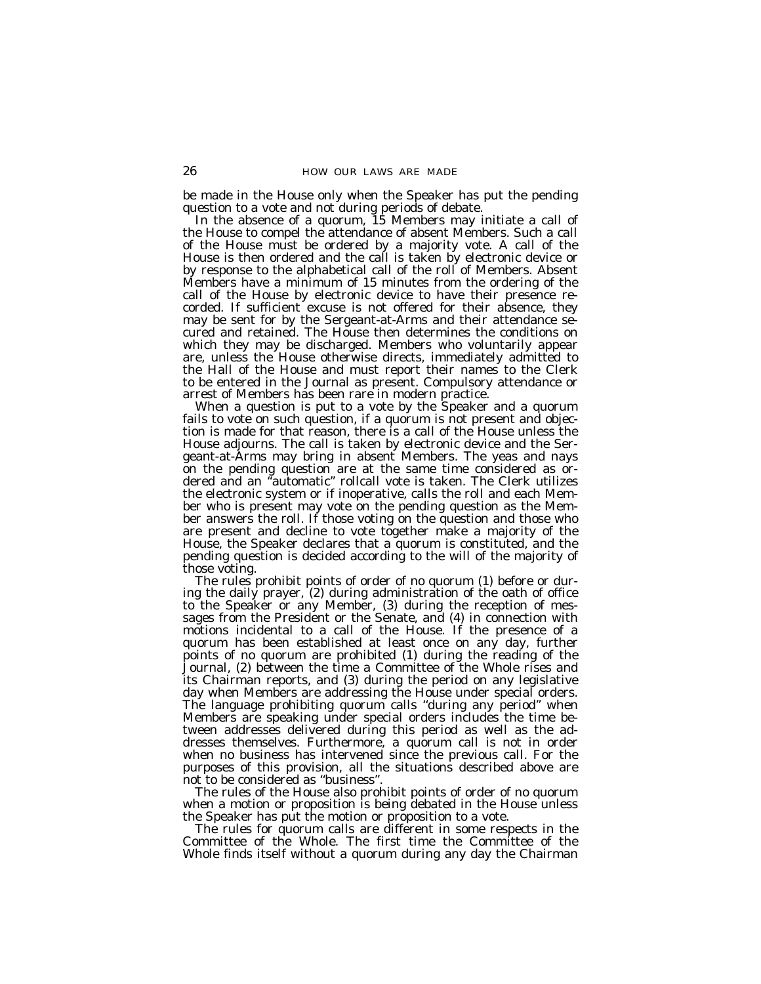be made in the House only when the Speaker has put the pending question to a vote and not during periods of debate.

In the absence of a quorum, 15 Members may initiate a call of the House to compel the attendance of absent Members. Such a call of the House must be ordered by a majority vote. A call of the House is then ordered and the call is taken by electronic device or by response to the alphabetical call of the roll of Members. Absent Members have a minimum of 15 minutes from the ordering of the call of the House by electronic device to have their presence recorded. If sufficient excuse is not offered for their absence, they may be sent for by the Sergeant-at-Arms and their attendance secured and retained. The House then determines the conditions on which they may be discharged. Members who voluntarily appear are, unless the House otherwise directs, immediately admitted to the Hall of the House and must report their names to the Clerk to be entered in the Journal as present. Compulsory attendance or arrest of Members has been rare in modern practice.

When a question is put to a vote by the Speaker and a quorum fails to vote on such question, if a quorum is not present and objection is made for that reason, there is a call of the House unless the House adjourns. The call is taken by electronic device and the Sergeant-at-Arms may bring in absent Members. The yeas and nays on the pending question are at the same time considered as ordered and an ''automatic'' rollcall vote is taken. The Clerk utilizes the electronic system or if inoperative, calls the roll and each Member who is present may vote on the pending question as the Member answers the roll. If those voting on the question and those who are present and decline to vote together make a majority of the House, the Speaker declares that a quorum is constituted, and the pending question is decided according to the will of the majority of

The rules prohibit points of order of no quorum (1) before or during the daily prayer, (2) during administration of the oath of office to the Speaker or any Member, (3) during the reception of messages from the President or the Senate, and (4) in connection with motions incidental to a call of the House. If the presence of a quorum has been established at least once on any day, further points of no quorum are prohibited (1) during the reading of the Journal, (2) between the time a Committee of the Whole rises and its Chairman reports, and (3) during the period on any legislative day when Members are addressing the House under special orders. The language prohibiting quorum calls ''during any period'' when Members are speaking under special orders includes the time between addresses delivered during this period as well as the addresses themselves. Furthermore, a quorum call is not in order when no business has intervened since the previous call. For the purposes of this provision, all the situations described above are not to be considered as ''business''.

The rules of the House also prohibit points of order of no quorum when a motion or proposition is being debated in the House unless the Speaker has put the motion or proposition to a vote.

The rules for quorum calls are different in some respects in the Committee of the Whole. The first time the Committee of the Whole finds itself without a quorum during any day the Chairman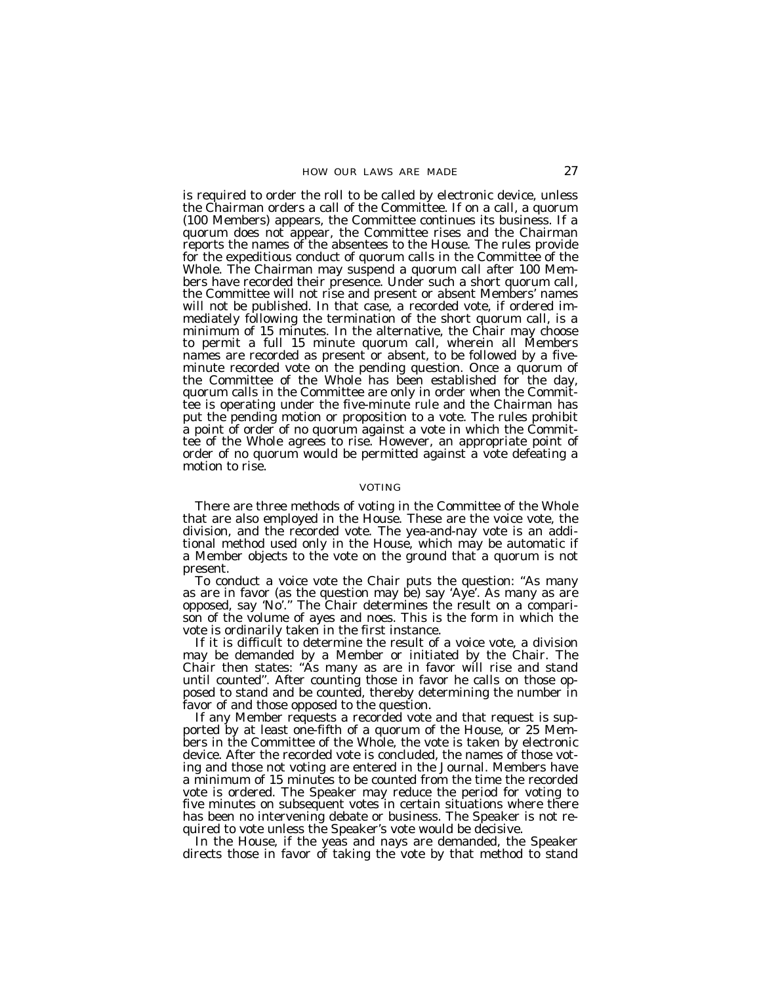is required to order the roll to be called by electronic device, unless the Chairman orders a call of the Committee. If on a call, a quorum (100 Members) appears, the Committee continues its business. If a quorum does not appear, the Committee rises and the Chairman reports the names of the absentees to the House. The rules provide for the expeditious conduct of quorum calls in the Committee of the Whole. The Chairman may suspend a quorum call after 100 Members have recorded their presence. Under such a short quorum call, the Committee will not rise and present or absent Members' names will not be published. In that case, a recorded vote, if ordered immediately following the termination of the short quorum call, is a minimum of 15 minutes. In the alternative, the Chair may choose to permit a full 15 minute quorum call, wherein all Members names are recorded as present or absent, to be followed by a fiveminute recorded vote on the pending question. Once a quorum of the Committee of the Whole has been established for the day, quorum calls in the Committee are only in order when the Committee is operating under the five-minute rule and the Chairman has put the pending motion or proposition to a vote. The rules prohibit a point of order of no quorum against a vote in which the Committee of the Whole agrees to rise. However, an appropriate point of order of no quorum would be permitted against a vote defeating a motion to rise.

#### VOTING

There are three methods of voting in the Committee of the Whole that are also employed in the House. These are the voice vote, the division, and the recorded vote. The yea-and-nay vote is an additional method used only in the House, which may be automatic if a Member objects to the vote on the ground that a quorum is not present.

To conduct a voice vote the Chair puts the question: ''As many as are in favor (as the question may be) say 'Aye'. As many as are opposed, say 'No'.'' The Chair determines the result on a comparison of the volume of ayes and noes. This is the form in which the vote is ordinarily taken in the first instance.

If it is difficult to determine the result of a voice vote, a division may be demanded by a Member or initiated by the Chair. The Chair then states: ''As many as are in favor will rise and stand until counted''. After counting those in favor he calls on those opposed to stand and be counted, thereby determining the number in favor of and those opposed to the question.

If any Member requests a recorded vote and that request is supported by at least one-fifth of a quorum of the House, or 25 Members in the Committee of the Whole, the vote is taken by electronic device. After the recorded vote is concluded, the names of those voting and those not voting are entered in the Journal. Members have a minimum of 15 minutes to be counted from the time the recorded vote is ordered. The Speaker may reduce the period for voting to five minutes on subsequent votes in certain situations where there has been no intervening debate or business. The Speaker is not required to vote unless the Speaker's vote would be decisive.

In the House, if the yeas and nays are demanded, the Speaker directs those in favor of taking the vote by that method to stand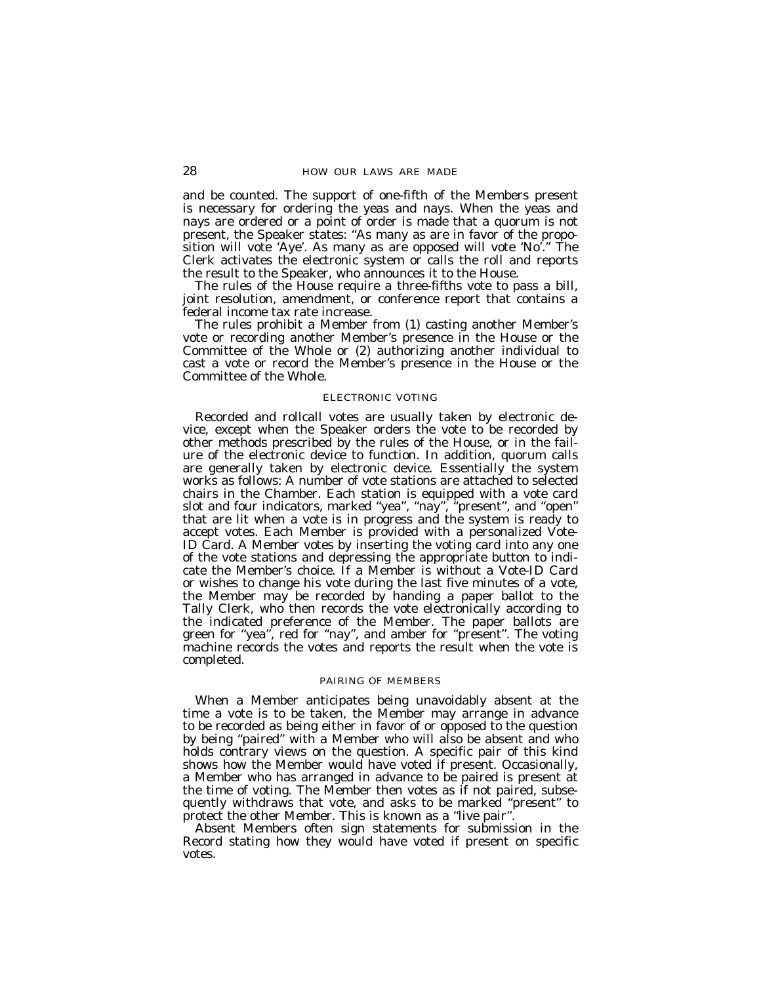and be counted. The support of one-fifth of the Members present is necessary for ordering the yeas and nays. When the yeas and nays are ordered or a point of order is made that a quorum is not present, the Speaker states: ''As many as are in favor of the proposition will vote 'Aye'. As many as are opposed will vote 'No'.'' The Clerk activates the electronic system or calls the roll and reports the result to the Speaker, who announces it to the House.

The rules of the House require a three-fifths vote to pass a bill, joint resolution, amendment, or conference report that contains a federal income tax rate increase.

The rules prohibit a Member from (1) casting another Member's vote or recording another Member's presence in the House or the Committee of the Whole or (2) authorizing another individual to cast a vote or record the Member's presence in the House or the Committee of the Whole.

#### ELECTRONIC VOTING

Recorded and rollcall votes are usually taken by electronic device, except when the Speaker orders the vote to be recorded by other methods prescribed by the rules of the House, or in the failure of the electronic device to function. In addition, quorum calls are generally taken by electronic device. Essentially the system works as follows: A number of vote stations are attached to selected chairs in the Chamber. Each station is equipped with a vote card slot and four indicators, marked ''yea'', ''nay'', ''present'', and ''open'' that are lit when a vote is in progress and the system is ready to accept votes. Each Member is provided with a personalized Vote-ID Card. A Member votes by inserting the voting card into any one of the vote stations and depressing the appropriate button to indicate the Member's choice. If a Member is without a Vote-ID Card or wishes to change his vote during the last five minutes of a vote, the Member may be recorded by handing a paper ballot to the Tally Clerk, who then records the vote electronically according to the indicated preference of the Member. The paper ballots are green for ''yea'', red for ''nay'', and amber for ''present''. The voting machine records the votes and reports the result when the vote is completed.

#### PAIRING OF MEMBERS

When a Member anticipates being unavoidably absent at the time a vote is to be taken, the Member may arrange in advance to be recorded as being either in favor of or opposed to the question by being ''paired'' with a Member who will also be absent and who holds contrary views on the question. A specific pair of this kind shows how the Member would have voted if present. Occasionally, a Member who has arranged in advance to be paired is present at the time of voting. The Member then votes as if not paired, subsequently withdraws that vote, and asks to be marked ''present'' to protect the other Member. This is known as a ''live pair''.

Absent Members often sign statements for submission in the Record stating how they would have voted if present on specific votes.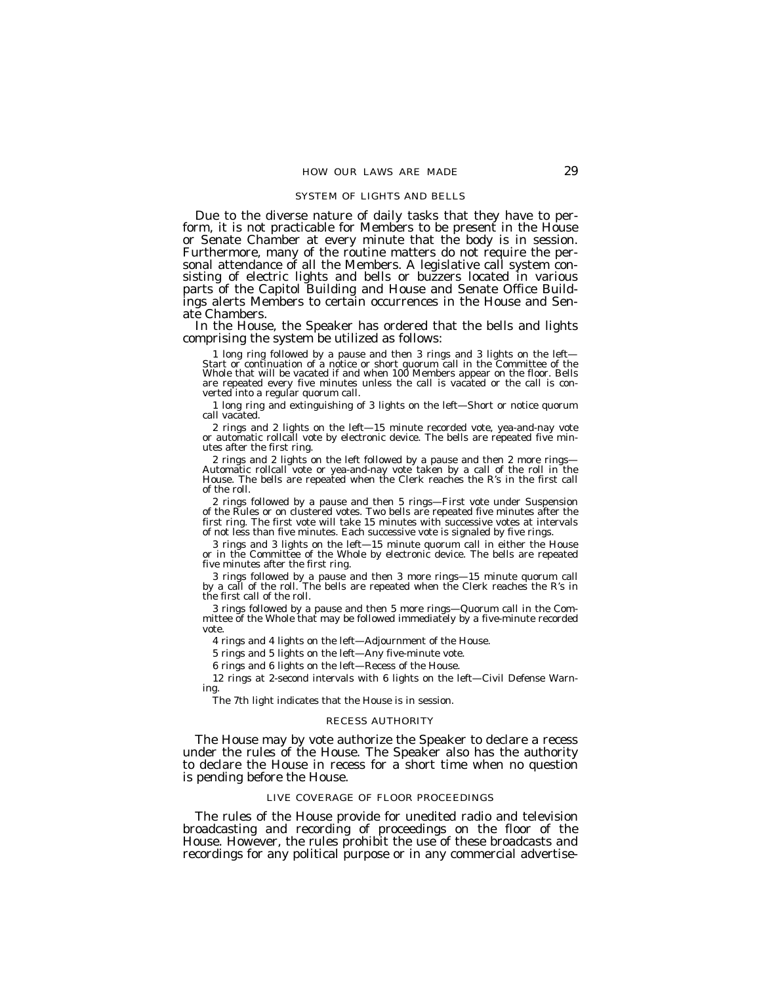#### SYSTEM OF LIGHTS AND BELLS

Due to the diverse nature of daily tasks that they have to per- form, it is not practicable for Members to be present in the House or Senate Chamber at every minute that the body is in session. Furthermore, many of the routine matters do not require the personal attendance of all the Members. A legislative call system consisting of electric lights and bells or buzzers located in various parts of the Capitol Building and House and Senate Office Buildings alerts Members to certain occurrences in the House and Senate Chambers.

In the House, the Speaker has ordered that the bells and lights comprising the system be utilized as follows:

1 long ring followed by a pause and then 3 rings and 3 lights on the left— Start or continuation of a notice or short quorum call in the Committee of the Whole that will be vacated if and when 100 Members appear on the floor. Bells are repeated every five minutes unless the call is vacated or the call is converted into a regular quorum call.

1 long ring and extinguishing of 3 lights on the left—Short or notice quorum call vacated.

2 rings and 2 lights on the left—15 minute recorded vote, yea-and-nay vote or automatic rollcall vote by electronic device. The bells are repeated five minutes after the first ring.

2 rings and 2 lights on the left followed by a pause and then 2 more rings— Automatic rollcall vote or yea-and-nay vote taken by a call of the roll in the House. The bells are repeated when the Clerk reaches the R's in the first call of the roll.

2 rings followed by a pause and then 5 rings—First vote under Suspension of the Rules or on clustered votes. Two bells are repeated five minutes after the first ring. The first vote will take 15 minutes with successive votes at intervals of not less than five minutes. Each successive vote is signaled by five rings.

3 rings and 3 lights on the left—15 minute quorum call in either the House or in the Committee of the Whole by electronic device. The bells are repeated five minutes after the first ring.

3 rings followed by a pause and then 3 more rings—15 minute quorum call by a call of the roll. The bells are repeated when the Clerk reaches the R's in the first call of the roll.

3 rings followed by a pause and then 5 more rings—Quorum call in the Committee of the Whole that may be followed immediately by a five-minute recorded vote.

4 rings and 4 lights on the left—Adjournment of the House.

5 rings and 5 lights on the left—Any five-minute vote.

6 rings and 6 lights on the left—Recess of the House.

12 rings at 2-second intervals with 6 lights on the left—Civil Defense Warning.

The 7th light indicates that the House is in session.

#### RECESS AUTHORITY

The House may by vote authorize the Speaker to declare a recess under the rules of the House. The Speaker also has the authority to declare the House in recess for a short time when no question is pending before the House.

#### LIVE COVERAGE OF FLOOR PROCEEDINGS

The rules of the House provide for unedited radio and television broadcasting and recording of proceedings on the floor of the House. However, the rules prohibit the use of these broadcasts and recordings for any political purpose or in any commercial advertise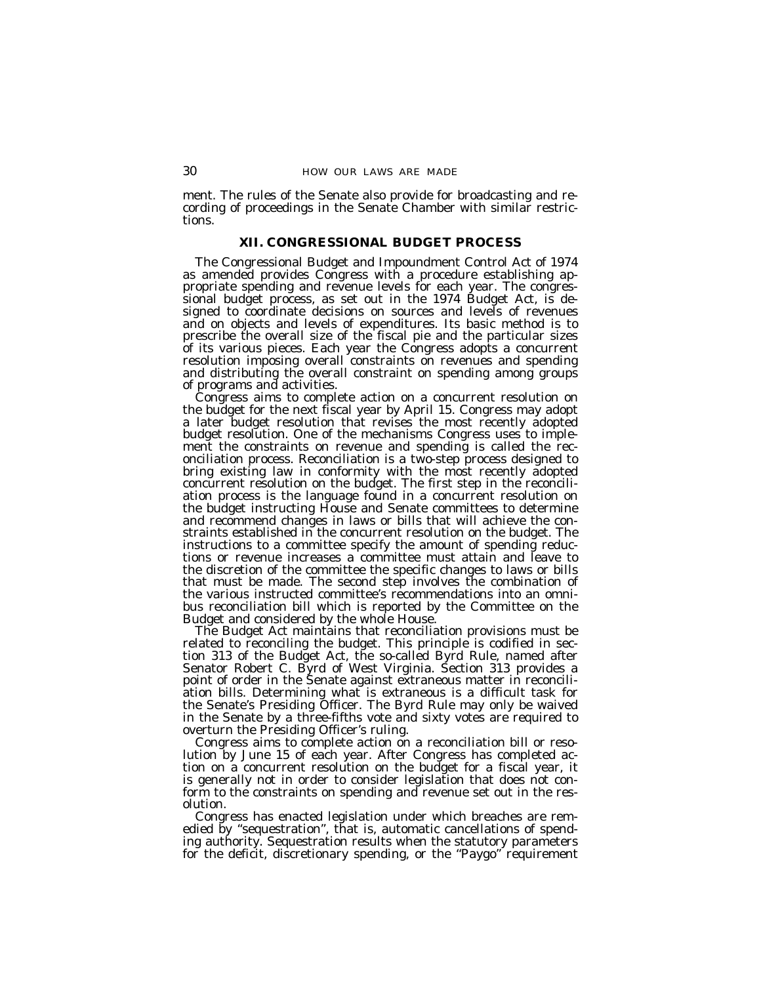ment. The rules of the Senate also provide for broadcasting and recording of proceedings in the Senate Chamber with similar restrictions.

#### **XII. CONGRESSIONAL BUDGET PROCESS**

The Congressional Budget and Impoundment Control Act of 1974 as amended provides Congress with a procedure establishing appropriate spending and revenue levels for each year. The congressional budget process, as set out in the 1974 Budget Act, is designed to coordinate decisions on sources and levels of revenues and on objects and levels of expenditures. Its basic method is to prescribe the overall size of the fiscal pie and the particular sizes of its various pieces. Each year the Congress adopts a concurrent resolution imposing overall constraints on revenues and spending and distributing the overall constraint on spending among groups

of programs and activities. Congress aims to complete action on a concurrent resolution on the budget for the next fiscal year by April 15. Congress may adopt a later budget resolution that revises the most recently adopted budget resolution. One of the mechanisms Congress uses to implement the constraints on revenue and spending is called the reconciliation process. Reconciliation is a two-step process designed to bring existing law in conformity with the most recently adopted concurrent resolution on the budget. The first step in the reconciliation process is the language found in a concurrent resolution on the budget instructing House and Senate committees to determine and recommend changes in laws or bills that will achieve the constraints established in the concurrent resolution on the budget. The instructions to a committee specify the amount of spending reductions or revenue increases a committee must attain and leave to the discretion of the committee the specific changes to laws or bills that must be made. The second step involves the combination of the various instructed committee's recommendations into an omnibus reconciliation bill which is reported by the Committee on the Budget and considered by the whole House.

The Budget Act maintains that reconciliation provisions must be related to reconciling the budget. This principle is codified in section 313 of the Budget Act, the so-called Byrd Rule, named after Senator Robert C. Byrd of West Virginia. Section 313 provides a point of order in the Senate against extraneous matter in reconciliation bills. Determining what is extraneous is a difficult task for the Senate's Presiding Officer. The Byrd Rule may only be waived in the Senate by a three-fifths vote and sixty votes are required to overturn the Presiding Officer's ruling.

Congress aims to complete action on a reconciliation bill or resolution by June 15 of each year. After Congress has completed action on a concurrent resolution on the budget for a fiscal year, it is generally not in order to consider legislation that does not conform to the constraints on spending and revenue set out in the resolution.

Congress has enacted legislation under which breaches are remedied by ''sequestration'', that is, automatic cancellations of spending authority. Sequestration results when the statutory parameters for the deficit, discretionary spending, or the ''Paygo'' requirement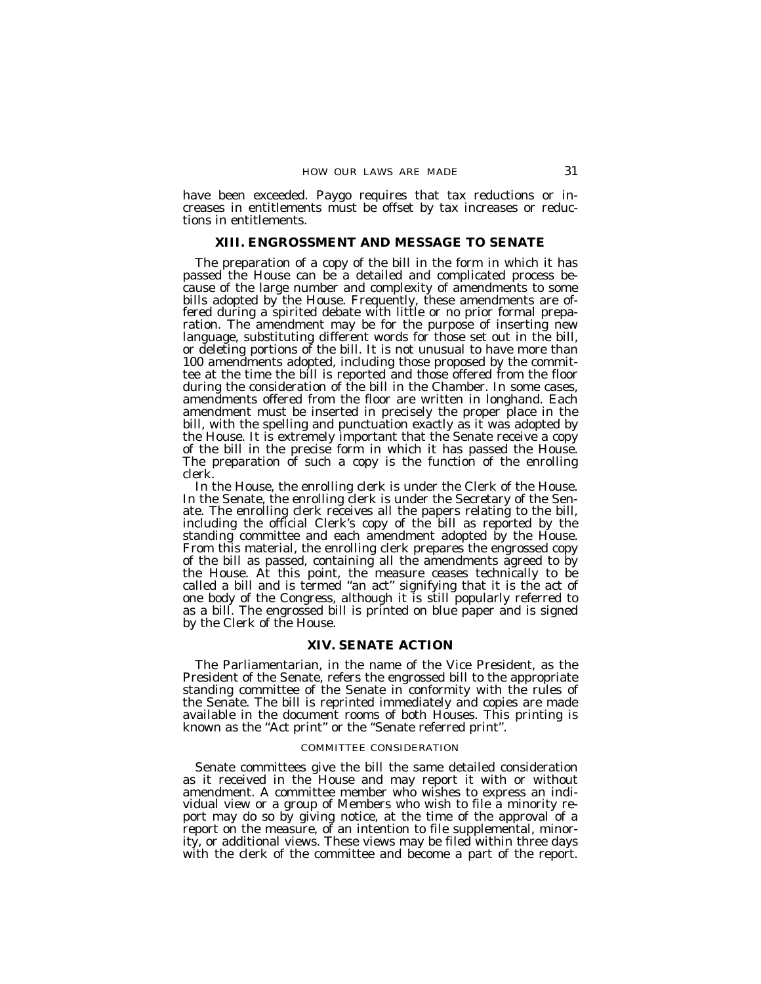have been exceeded. Paygo requires that tax reductions or increases in entitlements must be offset by tax increases or reductions in entitlements.

#### **XIII. ENGROSSMENT AND MESSAGE TO SENATE**

The preparation of a copy of the bill in the form in which it has passed the House can be a detailed and complicated process because of the large number and complexity of amendments to some bills adopted by the House. Frequently, these amendments are offered during a spirited debate with little or no prior formal preparation. The amendment may be for the purpose of inserting new language, substituting different words for those set out in the bill, or deleting portions of the bill. It is not unusual to have more than 100 amendments adopted, including those proposed by the committee at the time the bill is reported and those offered from the floor during the consideration of the bill in the Chamber. In some cases, amendments offered from the floor are written in longhand. Each amendment must be inserted in precisely the proper place in the bill, with the spelling and punctuation exactly as it was adopted by the House. It is extremely important that the Senate receive a copy of the bill in the precise form in which it has passed the House. The preparation of such a copy is the function of the enrolling clerk.

In the House, the enrolling clerk is under the Clerk of the House. In the Senate, the enrolling clerk is under the Secretary of the Senate. The enrolling clerk receives all the papers relating to the bill, including the official Clerk's copy of the bill as reported by the standing committee and each amendment adopted by the House. From this material, the enrolling clerk prepares the engrossed copy of the bill as passed, containing all the amendments agreed to by the House. At this point, the measure ceases technically to be called a bill and is termed ''an act'' signifying that it is the act of one body of the Congress, although it is still popularly referred to as a bill. The engrossed bill is printed on blue paper and is signed by the Clerk of the House.

#### **XIV. SENATE ACTION**

The Parliamentarian, in the name of the Vice President, as the President of the Senate, refers the engrossed bill to the appropriate standing committee of the Senate in conformity with the rules of the Senate. The bill is reprinted immediately and copies are made available in the document rooms of both Houses. This printing is known as the ''Act print'' or the ''Senate referred print''.

#### COMMITTEE CONSIDERATION

Senate committees give the bill the same detailed consideration as it received in the House and may report it with or without amendment. A committee member who wishes to express an individual view or a group of Members who wish to file a minority report may do so by giving notice, at the time of the approval of a report on the measure, of an intention to file supplemental, minority, or additional views. These views may be filed within three days with the clerk of the committee and become a part of the report.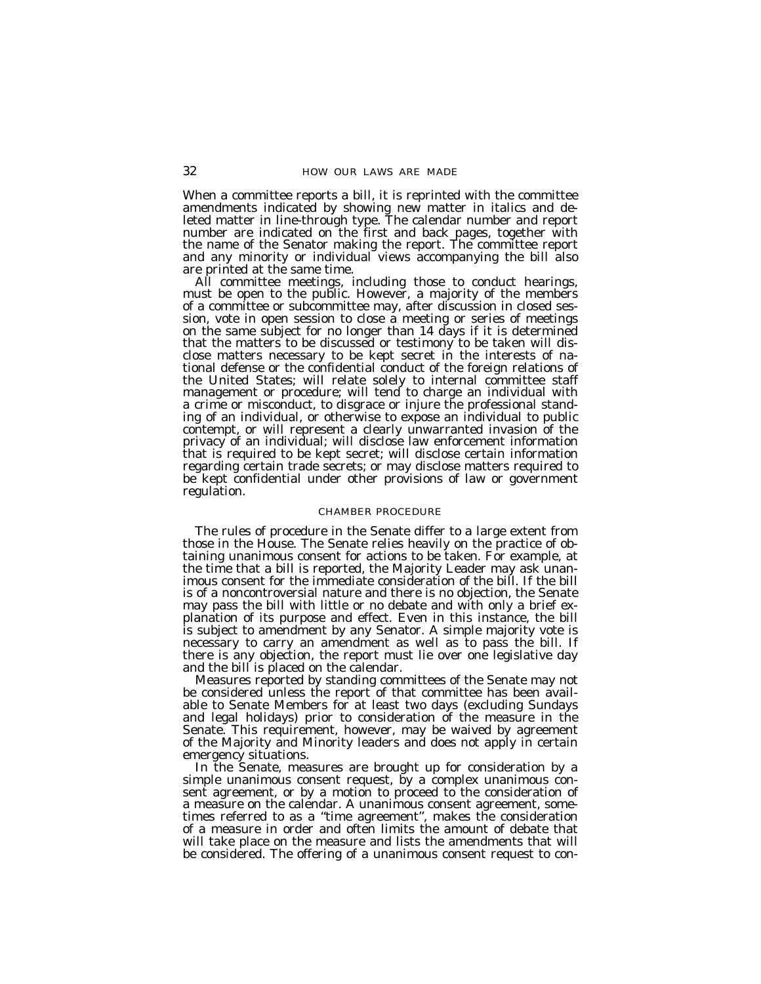When a committee reports a bill, it is reprinted with the committee amendments indicated by showing new matter in italics and deleted matter in line-through type. The calendar number and report number are indicated on the first and back pages, together with the name of the Senator making the report. The committee report and any minority or individual views accompanying the bill also are printed at the same time.

All committee meetings, including those to conduct hearings, must be open to the public. However, a majority of the members of a committee or subcommittee may, after discussion in closed session, vote in open session to close a meeting or series of meetings on the same subject for no longer than 14 days if it is determined that the matters to be discussed or testimony to be taken will disclose matters necessary to be kept secret in the interests of national defense or the confidential conduct of the foreign relations of the United States; will relate solely to internal committee staff management or procedure; will tend to charge an individual with a crime or misconduct, to disgrace or injure the professional standing of an individual, or otherwise to expose an individual to public contempt, or will represent a clearly unwarranted invasion of the privacy of an individual; will disclose law enforcement information that is required to be kept secret; will disclose certain information regarding certain trade secrets; or may disclose matters required to be kept confidential under other provisions of law or government regulation.

#### CHAMBER PROCEDURE

The rules of procedure in the Senate differ to a large extent from those in the House. The Senate relies heavily on the practice of obtaining unanimous consent for actions to be taken. For example, at the time that a bill is reported, the Majority Leader may ask unanimous consent for the immediate consideration of the bill. If the bill is of a noncontroversial nature and there is no objection, the Senate may pass the bill with little or no debate and with only a brief explanation of its purpose and effect. Even in this instance, the bill is subject to amendment by any Senator. A simple majority vote is necessary to carry an amendment as well as to pass the bill. If there is any objection, the report must lie over one legislative day and the bill is placed on the calendar.

Measures reported by standing committees of the Senate may not be considered unless the report of that committee has been available to Senate Members for at least two days (excluding Sundays and legal holidays) prior to consideration of the measure in the Senate. This requirement, however, may be waived by agreement of the Majority and Minority leaders and does not apply in certain emergency situations.

In the Senate, measures are brought up for consideration by a simple unanimous consent request, by a complex unanimous consent agreement, or by a motion to proceed to the consideration of a measure on the calendar. A unanimous consent agreement, sometimes referred to as a ''time agreement'', makes the consideration of a measure in order and often limits the amount of debate that will take place on the measure and lists the amendments that will be considered. The offering of a unanimous consent request to con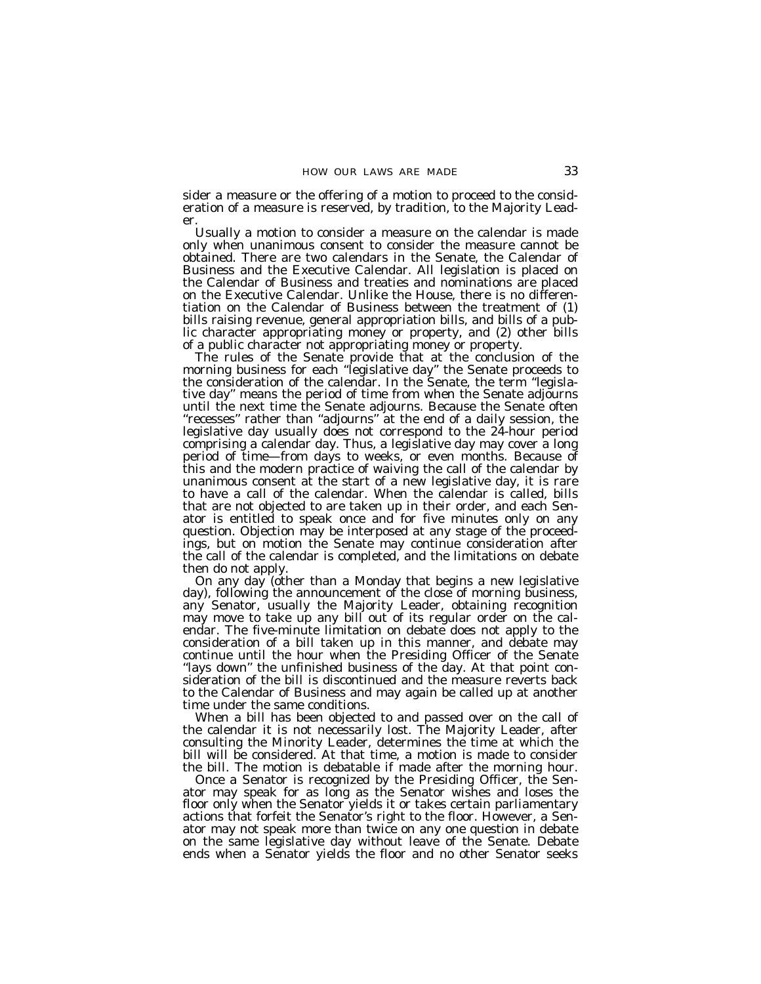sider a measure or the offering of a motion to proceed to the consideration of a measure is reserved, by tradition, to the Majority Leader.

Usually a motion to consider a measure on the calendar is made only when unanimous consent to consider the measure cannot be obtained. There are two calendars in the Senate, the Calendar of Business and the Executive Calendar. All legislation is placed on the Calendar of Business and treaties and nominations are placed on the Executive Calendar. Unlike the House, there is no differentiation on the Calendar of Business between the treatment of (1) bills raising revenue, general appropriation bills, and bills of a public character appropriating money or property, and (2) other bills of a public character not appropriating money or property.

The rules of the Senate provide that at the conclusion of the morning business for each ''legislative day'' the Senate proceeds to the consideration of the calendar. In the Senate, the term ''legislative day'' means the period of time from when the Senate adjourns until the next time the Senate adjourns. Because the Senate often ''recesses'' rather than ''adjourns'' at the end of a daily session, the legislative day usually does not correspond to the 24-hour period comprising a calendar day. Thus, a legislative day may cover a long period of time—from days to weeks, or even months. Because of this and the modern practice of waiving the call of the calendar by unanimous consent at the start of a new legislative day, it is rare to have a call of the calendar. When the calendar is called, bills that are not objected to are taken up in their order, and each Senator is entitled to speak once and for five minutes only on any question. Objection may be interposed at any stage of the proceedings, but on motion the Senate may continue consideration after the call of the calendar is completed, and the limitations on debate

then do not apply. On any day (other than a Monday that begins a new legislative day), following the announcement of the close of morning business, any Senator, usually the Majority Leader, obtaining recognition may move to take up any bill out of its regular order on the calendar. The five-minute limitation on debate does not apply to the consideration of a bill taken up in this manner, and debate may continue until the hour when the Presiding Officer of the Senate "lays down" the unfinished business of the day. At that point consideration of the bill is discontinued and the measure reverts back to the Calendar of Business and may again be called up at another time under the same conditions.

When a bill has been objected to and passed over on the call of the calendar it is not necessarily lost. The Majority Leader, after consulting the Minority Leader, determines the time at which the bill will be considered. At that time, a motion is made to consider the bill. The motion is debatable if made after the morning hour.

Once a Senator is recognized by the Presiding Officer, the Senator may speak for as long as the Senator wishes and loses the floor only when the Senator yields it or takes certain parliamentary actions that forfeit the Senator's right to the floor. However, a Senator may not speak more than twice on any one question in debate on the same legislative day without leave of the Senate. Debate ends when a Senator yields the floor and no other Senator seeks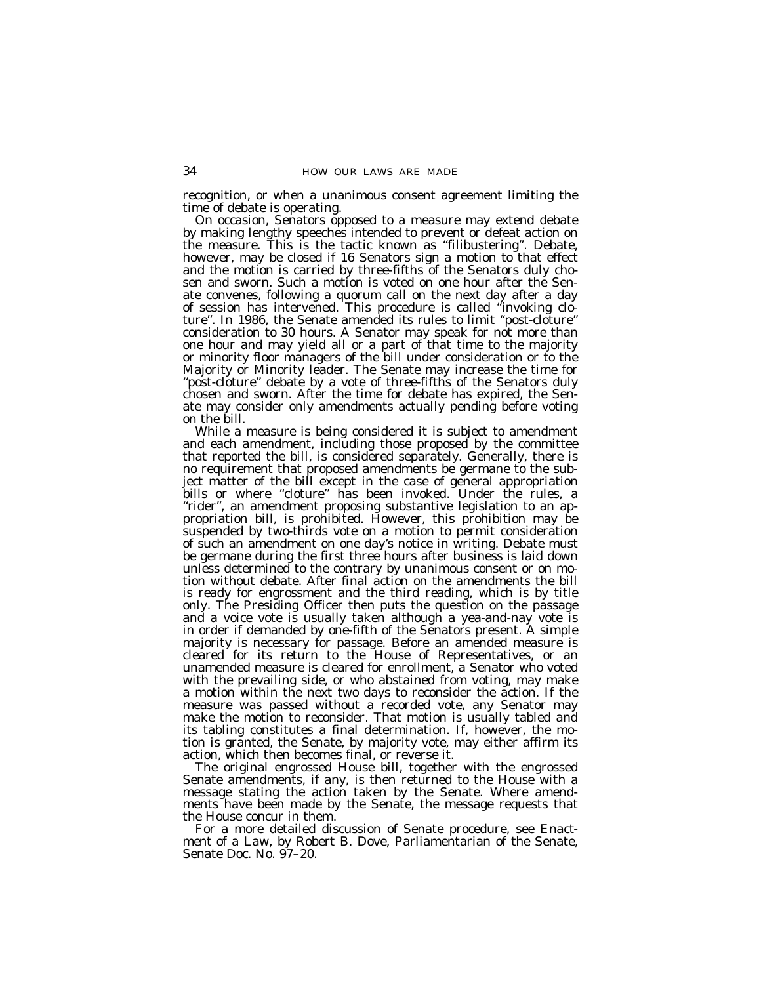recognition, or when a unanimous consent agreement limiting the time of debate is operating.

On occasion, Senators opposed to a measure may extend debate by making lengthy speeches intended to prevent or defeat action on the measure. This is the tactic known as "filibustering". Debate, however, may be closed if 16 Senators sign a motion to that effect and the motion is carried by three-fifths of the Senators duly chosen and sworn. Such a motion is voted on one hour after the Senate convenes, following a quorum call on the next day after a day of session has intervened. This procedure is called ''invoking cloture''. In 1986, the Senate amended its rules to limit ''post-cloture'' consideration to 30 hours. A Senator may speak for not more than one hour and may yield all or a part of that time to the majority or minority floor managers of the bill under consideration or to the Majority or Minority leader. The Senate may increase the time for "post-cloture" debate by a vote of three-fifths of the Senators duly chosen and sworn. After the time for debate has expired, the Senate may consider only amendments actually pending before voting on the bill.

While a measure is being considered it is subject to amendment and each amendment, including those proposed by the committee that reported the bill, is considered separately. Generally, there is no requirement that proposed amendments be germane to the subject matter of the bill except in the case of general appropriation bills or where "cloture" has been invoked. Under the rules, a "rider", an amendment proposing substantive legislation to an appropriation bill, is prohibited. However, this prohibition may be suspended by two-thirds vote on a motion to permit consideration of such an amendment on one day's notice in writing. Debate must be germane during the first three hours after business is laid down unless determined to the contrary by unanimous consent or on motion without debate. After final action on the amendments the bill is ready for engrossment and the third reading, which is by title only. The Presiding Officer then puts the question on the passage and a voice vote is usually taken although a yea-and-nay vote is in order if demanded by one-fifth of the Senators present. A simple majority is necessary for passage. Before an amended measure is cleared for its return to the House of Representatives, or an unamended measure is cleared for enrollment, a Senator who voted with the prevailing side, or who abstained from voting, may make a motion within the next two days to reconsider the action. If the measure was passed without a recorded vote, any Senator may make the motion to reconsider. That motion is usually tabled and its tabling constitutes a final determination. If, however, the motion is granted, the Senate, by majority vote, may either affirm its action, which then becomes final, or reverse it.

The original engrossed House bill, together with the engrossed Senate amendments, if any, is then returned to the House with a message stating the action taken by the Senate. Where amendments have been made by the Senate, the message requests that the House concur in them.

For a more detailed discussion of Senate procedure, see *Enactment of a Law,* by Robert B. Dove, Parliamentarian of the Senate, Senate Doc. No. 97–20.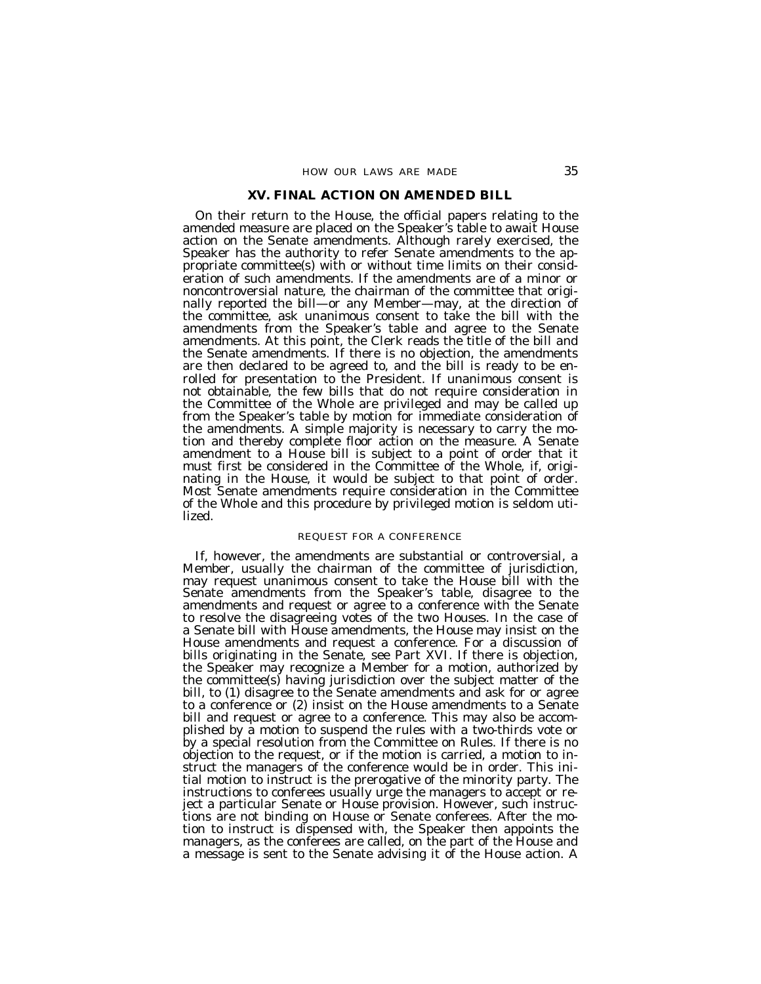#### **XV. FINAL ACTION ON AMENDED BILL**

On their return to the House, the official papers relating to the amended measure are placed on the Speaker's table to await House action on the Senate amendments. Although rarely exercised, the Speaker has the authority to refer Senate amendments to the appropriate committee(s) with or without time limits on their consideration of such amendments. If the amendments are of a minor or noncontroversial nature, the chairman of the committee that originally reported the bill—or any Member—may, at the direction of the committee, ask unanimous consent to take the bill with the amendments from the Speaker's table and agree to the Senate amendments. At this point, the Clerk reads the title of the bill and the Senate amendments. If there is no objection, the amendments are then declared to be agreed to, and the bill is ready to be enrolled for presentation to the President. If unanimous consent is not obtainable, the few bills that do not require consideration in the Committee of the Whole are privileged and may be called up from the Speaker's table by motion for immediate consideration of the amendments. A simple majority is necessary to carry the motion and thereby complete floor action on the measure. A Senate amendment to a House bill is subject to a point of order that it must first be considered in the Committee of the Whole, if, originating in the House, it would be subject to that point of order. Most Senate amendments require consideration in the Committee of the Whole and this procedure by privileged motion is seldom utilized.

#### REQUEST FOR A CONFERENCE

If, however, the amendments are substantial or controversial, a Member, usually the chairman of the committee of jurisdiction, may request unanimous consent to take the House bill with the Senate amendments from the Speaker's table, disagree to the amendments and request or agree to a conference with the Senate to resolve the disagreeing votes of the two Houses. In the case of a Senate bill with House amendments, the House may insist on the House amendments and request a conference. For a discussion of bills originating in the Senate, see Part XVI. If there is objection, the Speaker may recognize a Member for a motion, authorized by the committee(s) having jurisdiction over the subject matter of the bill, to (1) disagree to the Senate amendments and ask for or agree to a conference or (2) insist on the House amendments to a Senate bill and request or agree to a conference. This may also be accomplished by a motion to suspend the rules with a two-thirds vote or by a special resolution from the Committee on Rules. If there is no objection to the request, or if the motion is carried, a motion to instruct the managers of the conference would be in order. This initial motion to instruct is the prerogative of the minority party. The instructions to conferees usually urge the managers to accept or reject a particular Senate or House provision. However, such instructions are not binding on House or Senate conferees. After the motion to instruct is dispensed with, the Speaker then appoints the managers, as the conferees are called, on the part of the House and a message is sent to the Senate advising it of the House action. A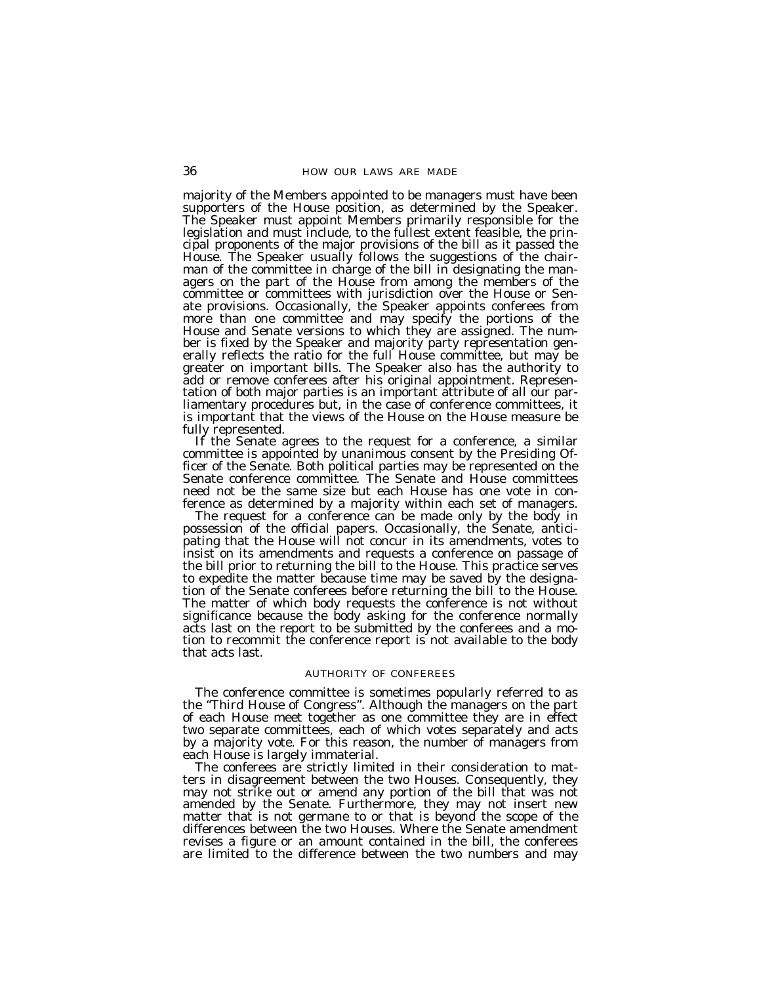majority of the Members appointed to be managers must have been supporters of the House position, as determined by the Speaker. The Speaker must appoint Members primarily responsible for the legislation and must include, to the fullest extent feasible, the principal proponents of the major provisions of the bill as it passed the House. The Speaker usually follows the suggestions of the chairman of the committee in charge of the bill in designating the managers on the part of the House from among the members of the committee or committees with jurisdiction over the House or Senate provisions. Occasionally, the Speaker appoints conferees from more than one committee and may specify the portions of the House and Senate versions to which they are assigned. The number is fixed by the Speaker and majority party representation generally reflects the ratio for the full House committee, but may be greater on important bills. The Speaker also has the authority to add or remove conferees after his original appointment. Representation of both major parties is an important attribute of all our parliamentary procedures but, in the case of conference committees, it is important that the views of the House on the House measure be fully represented.

If the Senate agrees to the request for a conference, a similar committee is appointed by unanimous consent by the Presiding Officer of the Senate. Both political parties may be represented on the Senate conference committee. The Senate and House committees need not be the same size but each House has one vote in conference as determined by a majority within each set of managers.

The request for a conference can be made only by the body in possession of the official papers. Occasionally, the Senate, anticipating that the House will not concur in its amendments, votes to insist on its amendments and requests a conference on passage of the bill prior to returning the bill to the House. This practice serves to expedite the matter because time may be saved by the designation of the Senate conferees before returning the bill to the House. The matter of which body requests the conference is not without significance because the body asking for the conference normally acts last on the report to be submitted by the conferees and a motion to recommit the conference report is not available to the body that acts last.

#### AUTHORITY OF CONFEREES

The conference committee is sometimes popularly referred to as the ''Third House of Congress''. Although the managers on the part of each House meet together as one committee they are in effect two separate committees, each of which votes separately and acts by a majority vote. For this reason, the number of managers from each House is largely immaterial.

The conferees are strictly limited in their consideration to matters in disagreement between the two Houses. Consequently, they may not strike out or amend any portion of the bill that was not amended by the Senate. Furthermore, they may not insert new matter that is not germane to or that is beyond the scope of the differences between the two Houses. Where the Senate amendment revises a figure or an amount contained in the bill, the conferees are limited to the difference between the two numbers and may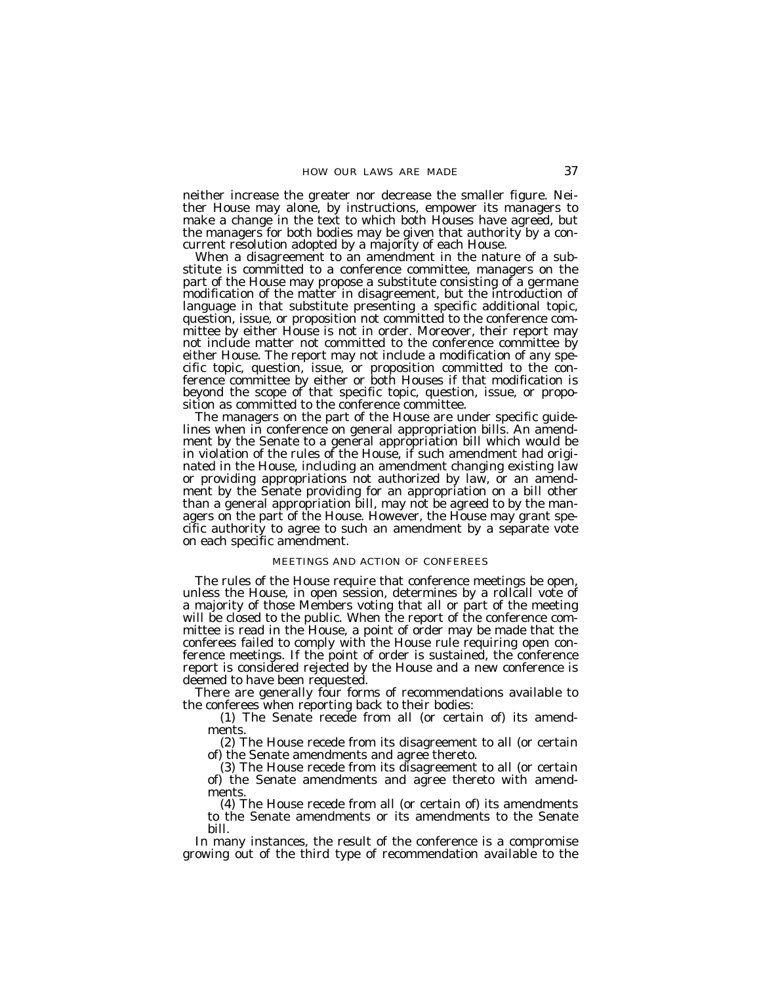neither increase the greater nor decrease the smaller figure. Neither House may alone, by instructions, empower its managers to make a change in the text to which both Houses have agreed, but the managers for both bodies may be given that authority by a con-<br>current resolution adopted by a majority of each House.

When a disagreement to an amendment in the nature of a substitute is committed to a conference committee, managers on the part of the House may propose a substitute consisting of a germane modification of the matter in disagreement, but the introduction of language in that substitute presenting a specific additional topic, question, issue, or proposition not committed to the conference committee by either House is not in order. Moreover, their report may not include matter not committed to the conference committee by either House. The report may not include a modification of any specific topic, question, issue, or proposition committed to the conference committee by either or both Houses if that modification is beyond the scope of that specific topic, question, issue, or proposition as committed to the conference committee.<br>The managers on the part of the House are under specific guide-

lines when in conference on general appropriation bills. An amendment by the Senate to a general appropriation bill which would be in violation of the rules of the House, if such amendment had originated in the House, including an amendment changing existing law or providing appropriations not authorized by law, or an amendment by the Senate providing for an appropriation on a bill other than a general appropriation bill, may not be agreed to by the managers on the part of the House. However, the House may grant specific authority to agree to such an amendment by a separate vote on each specific amendment.

#### MEETINGS AND ACTION OF CONFEREES

The rules of the House require that conference meetings be open, unless the House, in open session, determines by a rollcall vote of a majority of those Members voting that all or part of the meeting will be closed to the public. When the report of the conference committee is read in the House, a point of order may be made that the conferees failed to comply with the House rule requiring open conference meetings. If the point of order is sustained, the conference report is considered rejected by the House and a new conference is deemed to have been requested.

There are generally four forms of recommendations available to the conferees when reporting back to their bodies:

 $(1)$  The Senate recede from all (or certain of) its amendments.

(2) The House recede from its disagreement to all (or certain of) the Senate amendments and agree thereto.

(3) The House recede from its disagreement to all (or certain of) the Senate amendments and agree thereto with amendments

(4) The House recede from all (or certain of) its amendments to the Senate amendments or its amendments to the Senate bill.

In many instances, the result of the conference is a compromise growing out of the third type of recommendation available to the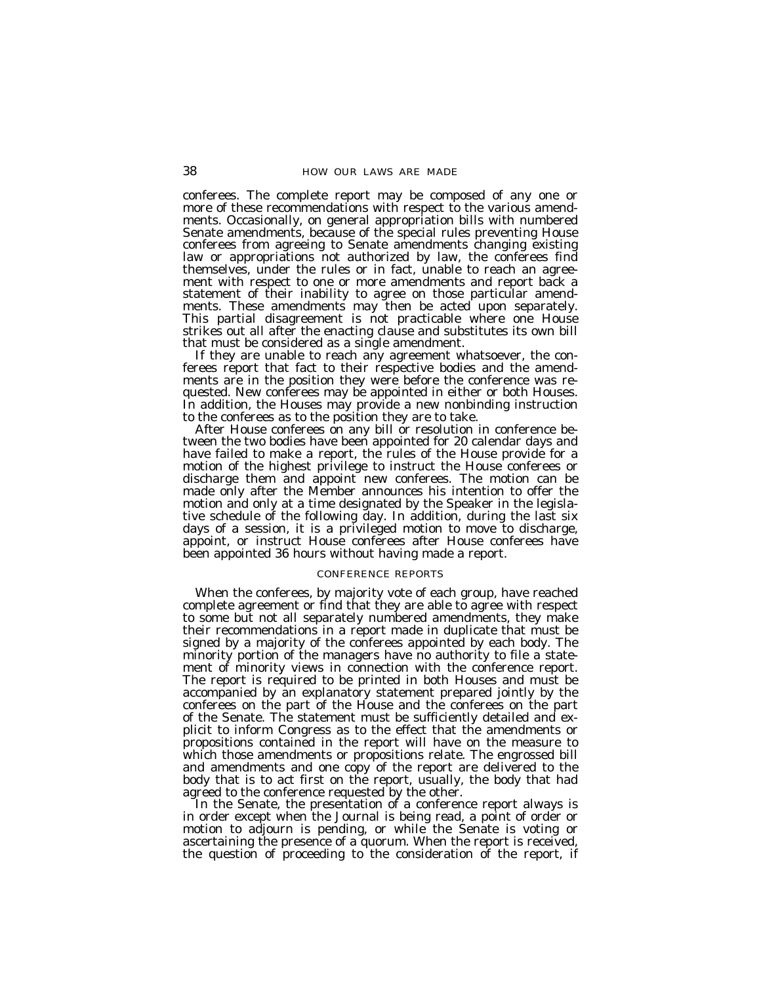conferees. The complete report may be composed of any one or more of these recommendations with respect to the various amendments. Occasionally, on general appropriation bills with numbered Senate amendments, because of the special rules preventing House conferees from agreeing to Senate amendments changing existing law or appropriations not authorized by law, the conferees find themselves, under the rules or in fact, unable to reach an agreement with respect to one or more amendments and report back a statement of their inability to agree on those particular amendments. These amendments may then be acted upon separately. This partial disagreement is not practicable where one House strikes out all after the enacting clause and substitutes its own bill

that must be considered as a single amendment.<br>If they are unable to reach any agreement whatsoever, the con-<br>ferees report that fact to their respective bodies and the amendments are in the position they were before the conference was requested. New conferees may be appointed in either or both Houses. In addition, the Houses may provide a new nonbinding instruction to the conferees as to the position they are to take.

After House conferees on any bill or resolution in conference be-<br>tween the two bodies have been appointed for 20 calendar days and have failed to make a report, the rules of the House provide for a motion of the highest privilege to instruct the House conferees or discharge them and appoint new conferees. The motion can be made only after the Member announces his intention to offer the motion and only at a time designated by the Speaker in the legislative schedule of the following day. In addition, during the last six days of a session, it is a privileged motion to move to discharge, appoint, or instruct House conferees after House conferees have been appointed 36 hours without having made a report.

#### CONFERENCE REPORTS

When the conferees, by majority vote of each group, have reached complete agreement or find that they are able to agree with respect to some but not all separately numbered amendments, they make their recommendations in a report made in duplicate that must be signed by a majority of the conferees appointed by each body. The minority portion of the managers have no authority to file a statement of minority views in connection with the conference report. The report is required to be printed in both Houses and must be accompanied by an explanatory statement prepared jointly by the conferees on the part of the House and the conferees on the part of the Senate. The statement must be sufficiently detailed and explicit to inform Congress as to the effect that the amendments or propositions contained in the report will have on the measure to which those amendments or propositions relate. The engrossed bill and amendments and one copy of the report are delivered to the body that is to act first on the report, usually, the body that had agreed to the conference requested by the other.

In the Senate, the presentation of a conference report always is in order except when the Journal is being read, a point of order or motion to adjourn is pending, or while the Senate is voting or ascertaining the presence of a quorum. When the report is received, the question of proceeding to the consideration of the report, if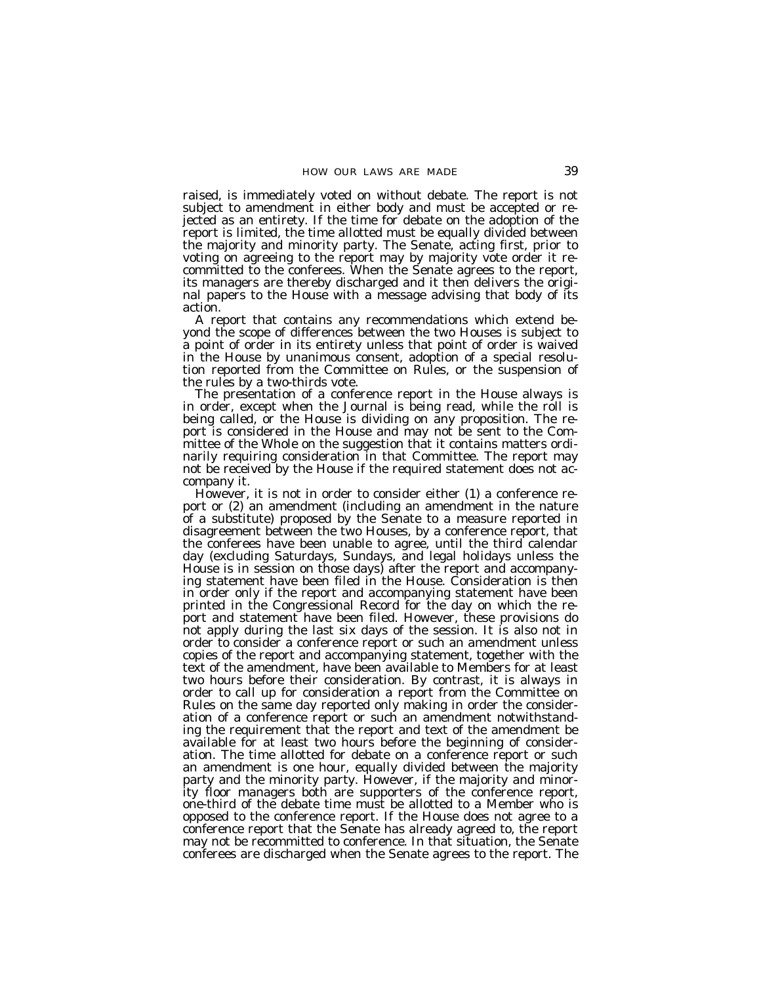raised, is immediately voted on without debate. The report is not subject to amendment in either body and must be accepted or rejected as an entirety. If the time for debate on the adoption of the report is limited, the time allotted must be equally divided between the majority and minority party. The Senate, acting first, prior to voting on agreeing to the report may by majority vote order it recommitted to the conferees. When the Senate agrees to the report, its managers are thereby discharged and it then delivers the original papers to the House with a message advising that body of its action.

A report that contains any recommendations which extend beyond the scope of differences between the two Houses is subject to a point of order in its entirety unless that point of order is waived in the House by unanimous consent, adoption of a special resolution reported from the Committee on Rules, or the suspension of the rules by a two-thirds vote.

The presentation of a conference report in the House always is in order, except when the Journal is being read, while the roll is being called, or the House is dividing on any proposition. The report is considered in the House and may not be sent to the Committee of the Whole on the suggestion that it contains matters ordinarily requiring consideration in that Committee. The report may not be received by the House if the required statement does not accompany it. However, it is not in order to consider either (1) a conference re-

port or (2) an amendment (including an amendment in the nature of a substitute) proposed by the Senate to a measure reported in disagreement between the two Houses, by a conference report, that the conferees have been unable to agree, until the third calendar day (excluding Saturdays, Sundays, and legal holidays unless the House is in session on those days) after the report and accompanying statement have been filed in the House. Consideration is then in order only if the report and accompanying statement have been printed in the Congressional Record for the day on which the report and statement have been filed. However, these provisions do not apply during the last six days of the session. It is also not in order to consider a conference report or such an amendment unless copies of the report and accompanying statement, together with the text of the amendment, have been available to Members for at least two hours before their consideration. By contrast, it is always in order to call up for consideration a report from the Committee on Rules on the same day reported only making in order the consideration of a conference report or such an amendment notwithstanding the requirement that the report and text of the amendment be available for at least two hours before the beginning of consideration. The time allotted for debate on a conference report or such an amendment is one hour, equally divided between the majority party and the minority party. However, if the majority and minority floor managers both are supporters of the conference report, one-third of the debate time must be allotted to a Member who is opposed to the conference report. If the House does not agree to a conference report that the Senate has already agreed to, the report may not be recommitted to conference. In that situation, the Senate conferees are discharged when the Senate agrees to the report. The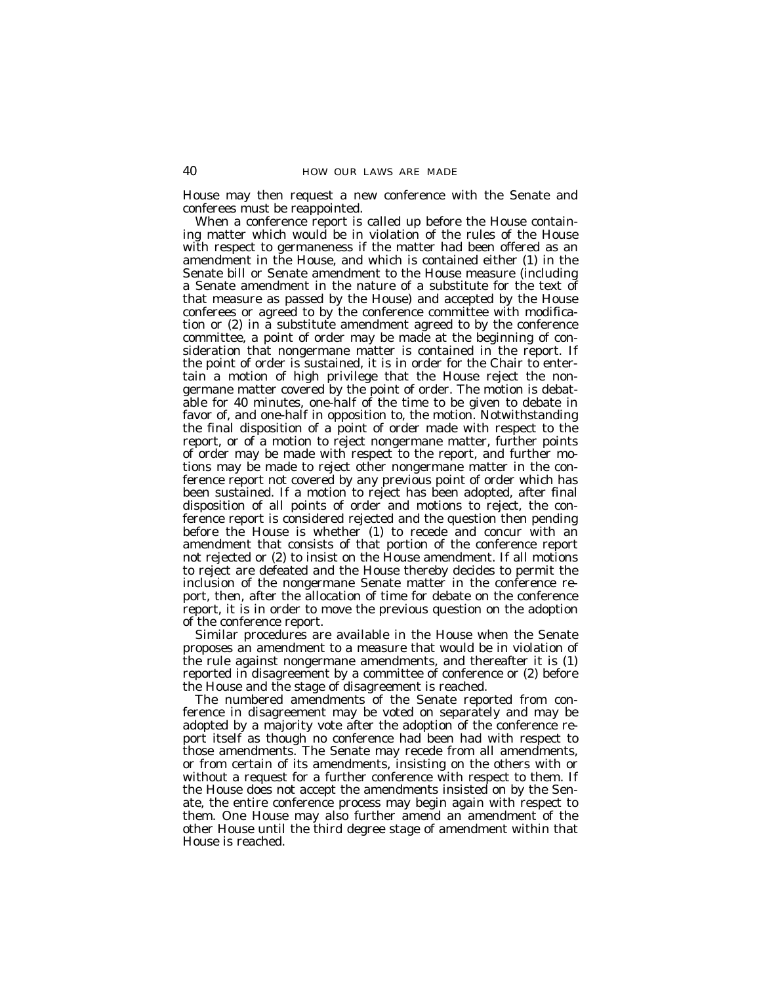House may then request a new conference with the Senate and conferees must be reappointed.

When a conference report is called up before the House containing matter which would be in violation of the rules of the House with respect to germaneness if the matter had been offered as an amendment in the House, and which is contained either (1) in the Senate bill or Senate amendment to the House measure (including a Senate amendment in the nature of a substitute for the text of that measure as passed by the House) and accepted by the House conferees or agreed to by the conference committee with modification or (2) in a substitute amendment agreed to by the conference committee, a point of order may be made at the beginning of consideration that nongermane matter is contained in the report. If the point of order is sustained, it is in order for the Chair to entertain a motion of high privilege that the House reject the nongermane matter covered by the point of order. The motion is debatable for 40 minutes, one-half of the time to be given to debate in favor of, and one-half in opposition to, the motion. Notwithstanding the final disposition of a point of order made with respect to the report, or of a motion to reject nongermane matter, further points of order may be made with respect to the report, and further motions may be made to reject other nongermane matter in the conference report not covered by any previous point of order which has been sustained. If a motion to reject has been adopted, after final disposition of all points of order and motions to reject, the conference report is considered rejected and the question then pending before the House is whether (1) to recede and concur with an amendment that consists of that portion of the conference report not rejected or (2) to insist on the House amendment. If all motions to reject are defeated and the House thereby decides to permit the inclusion of the nongermane Senate matter in the conference report, then, after the allocation of time for debate on the conference report, it is in order to move the previous question on the adoption of the conference report.

Similar procedures are available in the House when the Senate proposes an amendment to a measure that would be in violation of the rule against nongermane amendments, and thereafter it is (1) reported in disagreement by a committee of conference or (2) before the House and the stage of disagreement is reached.

The numbered amendments of the Senate reported from conference in disagreement may be voted on separately and may be adopted by a majority vote after the adoption of the conference report itself as though no conference had been had with respect to those amendments. The Senate may recede from all amendments, or from certain of its amendments, insisting on the others with or without a request for a further conference with respect to them. If the House does not accept the amendments insisted on by the Senate, the entire conference process may begin again with respect to them. One House may also further amend an amendment of the other House until the third degree stage of amendment within that House is reached.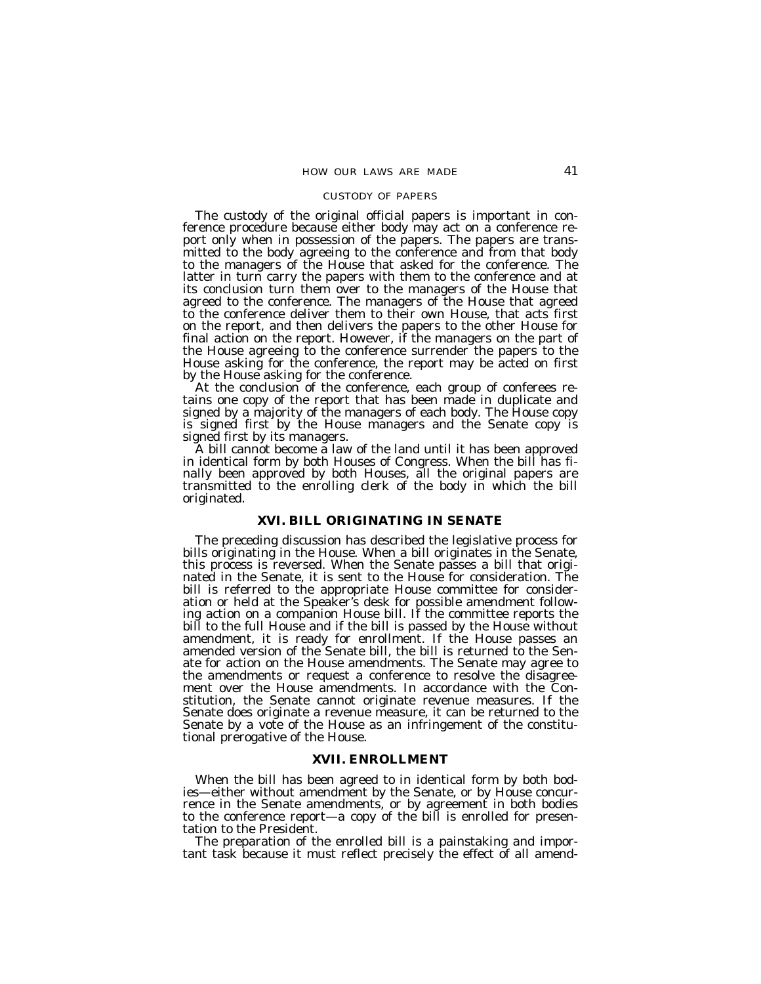#### CUSTODY OF PAPERS

The custody of the original official papers is important in con- ference procedure because either body may act on a conference report only when in possession of the papers. The papers are transmitted to the body agreeing to the conference and from that body to the managers of the House that asked for the conference. The latter in turn carry the papers with them to the conference and at its conclusion turn them over to the managers of the House that agreed to the conference. The managers of the House that agreed to the conference deliver them to their own House, that acts first on the report, and then delivers the papers to the other House for final action on the report. However, if the managers on the part of the House agreeing to the conference surrender the papers to the House asking for the conference, the report may be acted on first

by the House asking for the conference.<br>At the conclusion of the conference, each group of conferees re-<br>tains one copy of the report that has been made in duplicate and signed by a majority of the managers of each body. The House copy is signed first by the House managers and the Senate copy is signed first by its managers.<br>A bill cannot become a law of the land until it has been approved

in identical form by both Houses of Congress. When the bill has finally been approved by both Houses, all the original papers are transmitted to the enrolling clerk of the body in which the bill originated.

#### **XVI. BILL ORIGINATING IN SENATE**

The preceding discussion has described the legislative process for bills originating in the House. When a bill originates in the Senate, this process is reversed. When the Senate passes a bill that originated in the Senate, it is sent to the House for consideration. The bill is referred to the appropriate House committee for consideration or held at the Speaker's desk for possible amendment following action on a companion House bill. If the committee reports the bill to the full House and if the bill is passed by the House without amendment, it is ready for enrollment. If the House passes an amended version of the Senate bill, the bill is returned to the Senate for action on the House amendments. The Senate may agree to the amendments or request a conference to resolve the disagreement over the House amendments. In accordance with the Constitution, the Senate cannot originate revenue measures. If the Senate does originate a revenue measure, it can be returned to the Senate by a vote of the House as an infringement of the constitutional prerogative of the House.

#### **XVII. ENROLLMENT**

When the bill has been agreed to in identical form by both bodies—either without amendment by the Senate, or by House concurrence in the Senate amendments, or by agreement in both bodies to the conference report—a copy of the bill is enrolled for presentation to the President.

The preparation of the enrolled bill is a painstaking and important task because it must reflect precisely the effect of all amend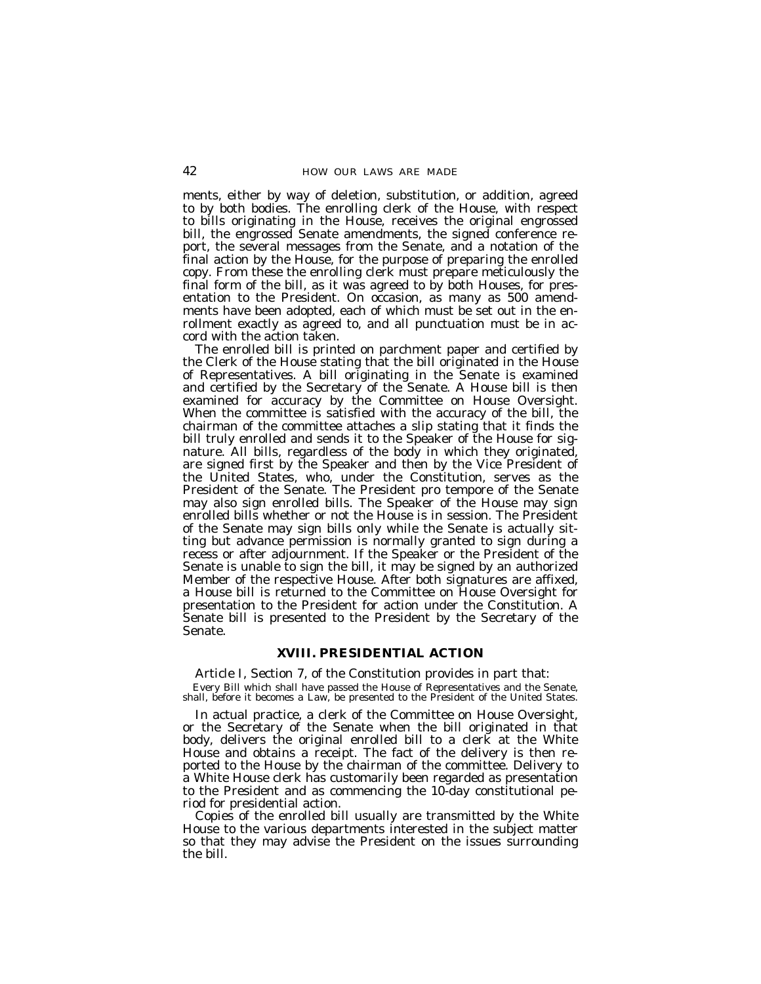ments, either by way of deletion, substitution, or addition, agreed to by both bodies. The enrolling clerk of the House, with respect to bills originating in the House, receives the original engrossed bill, the engrossed Senate amendments, the signed conference report, the several messages from the Senate, and a notation of the final action by the House, for the purpose of preparing the enrolled copy. From these the enrolling clerk must prepare meticulously the final form of the bill, as it was agreed to by both Houses, for presentation to the President. On occasion, as many as 500 amendments have been adopted, each of which must be set out in the enrollment exactly as agreed to, and all punctuation must be in accord with the action taken.

The enrolled bill is printed on parchment paper and certified by the Clerk of the House stating that the bill originated in the House of Representatives. A bill originating in the Senate is examined and certified by the Secretary of the Senate. A House bill is then examined for accuracy by the Committee on House Oversight. When the committee is satisfied with the accuracy of the bill, the chairman of the committee attaches a slip stating that it finds the bill truly enrolled and sends it to the Speaker of the House for signature. All bills, regardless of the body in which they originated, are signed first by the Speaker and then by the Vice President of the United States, who, under the Constitution, serves as the President of the Senate. The President pro tempore of the Senate may also sign enrolled bills. The Speaker of the House may sign enrolled bills whether or not the House is in session. The President of the Senate may sign bills only while the Senate is actually sitting but advance permission is normally granted to sign during a recess or after adjournment. If the Speaker or the President of the Senate is unable to sign the bill, it may be signed by an authorized Member of the respective House. After both signatures are affixed, a House bill is returned to the Committee on House Oversight for presentation to the President for action under the Constitution. A Senate bill is presented to the President by the Secretary of the Senate.

#### **XVIII. PRESIDENTIAL ACTION**

Article I, Section 7, of the Constitution provides in part that: Every Bill which shall have passed the House of Representatives and the Senate, shall, before it becomes a Law, be presented to the President of the United States.

In actual practice, a clerk of the Committee on House Oversight, or the Secretary of the Senate when the bill originated in that body, delivers the original enrolled bill to a clerk at the White House and obtains a receipt. The fact of the delivery is then reported to the House by the chairman of the committee. Delivery to a White House clerk has customarily been regarded as presentation to the President and as commencing the 10-day constitutional period for presidential action.

Copies of the enrolled bill usually are transmitted by the White House to the various departments interested in the subject matter so that they may advise the President on the issues surrounding the bill.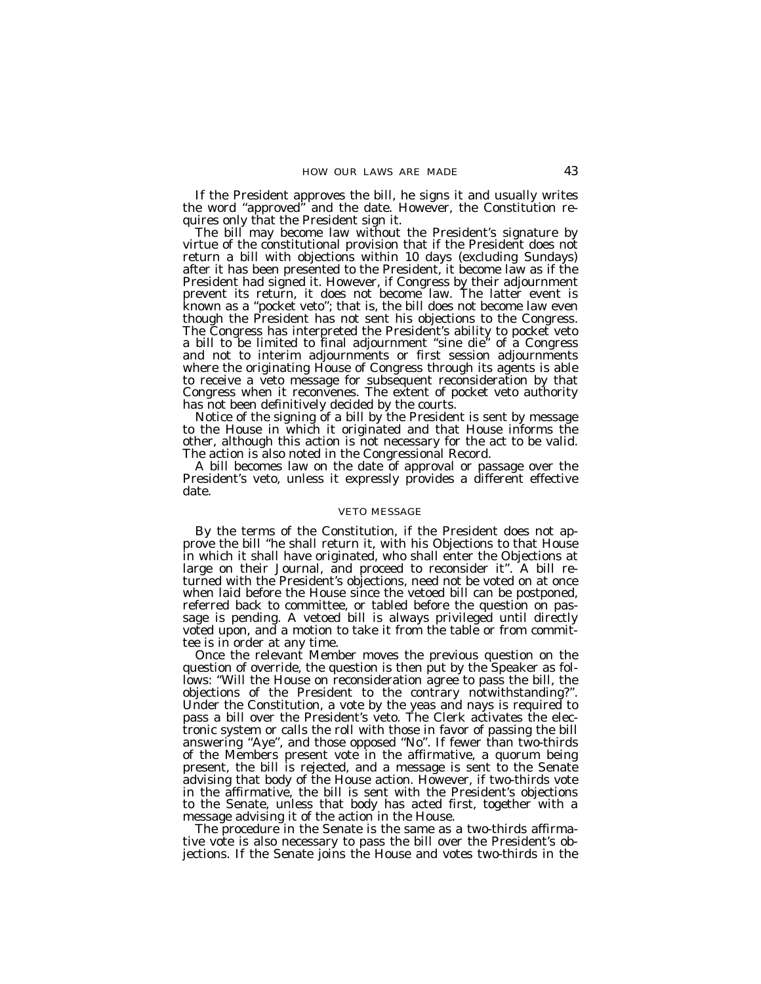If the President approves the bill, he signs it and usually writes the word ''approved'' and the date. However, the Constitution re-

quires only that the President sign it.<br>The bill may become law without the President's signature by<br>virtue of the constitutional provision that if the President does not return a bill with objections within 10 days (excluding Sundays) after it has been presented to the President, it become law as if the President had signed it. However, if Congress by their adjournment prevent its return, it does not become law. The latter event is known as a ''pocket veto''; that is, the bill does not become law even though the President has not sent his objections to the Congress. The Congress has interpreted the President's ability to pocket veto a bill to be limited to final adjournment ''sine die'' of a Congress and not to interim adjournments or first session adjournments where the originating House of Congress through its agents is able to receive a veto message for subsequent reconsideration by that Congress when it reconvenes. The extent of pocket veto authority

has not been definitively decided by the courts.<br>Notice of the signing of a bill by the President is sent by message<br>to the House in which it originated and that House informs the other, although this action is not necessary for the act to be valid. The action is also noted in the Congressional Record.

A bill becomes law on the date of approval or passage over the President's veto, unless it expressly provides a different effective date.

#### VETO MESSAGE

By the terms of the Constitution, if the President does not approve the bill ''he shall return it, with his Objections to that House in which it shall have originated, who shall enter the Objections at large on their Journal, and proceed to reconsider it". A bill returned with the President's objections, need not be voted on at once when laid before the House since the vetoed bill can be postponed, referred back to committee, or tabled before the question on passage is pending. A vetoed bill is always privileged until directly voted upon, and a motion to take it from the table or from committee is in order at any time.

Once the relevant Member moves the previous question on the question of override, the question is then put by the Speaker as follows: ''Will the House on reconsideration agree to pass the bill, the objections of the President to the contrary notwithstanding?''. Under the Constitution, a vote by the yeas and nays is required to pass a bill over the President's veto. The Clerk activates the electronic system or calls the roll with those in favor of passing the bill answering "Aye", and those opposed "No". If fewer than two-thirds of the Members present vote in the affirmative, a quorum being present, the bill is rejected, and a message is sent to the Senate advising that body of the House action. However, if two-thirds vote in the affirmative, the bill is sent with the President's objections to the Senate, unless that body has acted first, together with a message advising it of the action in the House.

The procedure in the Senate is the same as a two-thirds affirmative vote is also necessary to pass the bill over the President's objections. If the Senate joins the House and votes two-thirds in the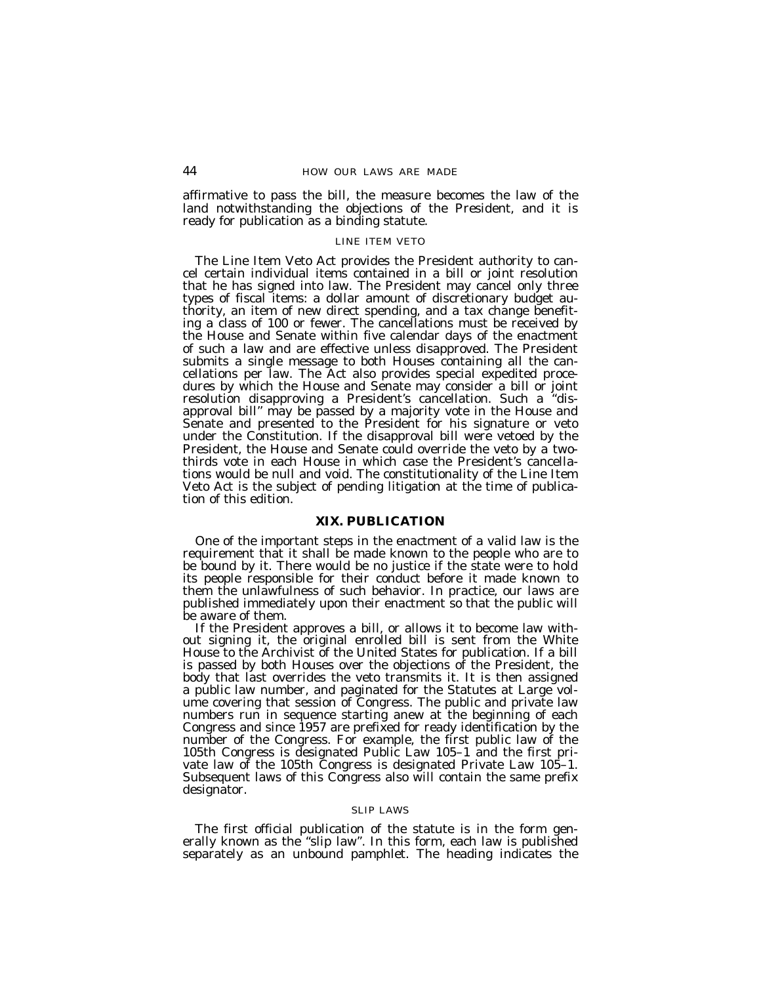affirmative to pass the bill, the measure becomes the law of the land notwithstanding the objections of the President, and it is ready for publication as a binding statute.

#### LINE ITEM VETO

The Line Item Veto Act provides the President authority to cancel certain individual items contained in a bill or joint resolution that he has signed into law. The President may cancel only three types of fiscal items: a dollar amount of discretionary budget authority, an item of new direct spending, and a tax change benefiting a class of 100 or fewer. The cancellations must be received by the House and Senate within five calendar days of the enactment of such a law and are effective unless disapproved. The President submits a single message to both Houses containing all the cancellations per law. The Act also provides special expedited procedures by which the House and Senate may consider a bill or joint resolution disapproving a President's cancellation. Such a ''disapproval bill'' may be passed by a majority vote in the House and Senate and presented to the President for his signature or veto under the Constitution. If the disapproval bill were vetoed by the President, the House and Senate could override the veto by a twothirds vote in each House in which case the President's cancellations would be null and void. The constitutionality of the Line Item Veto Act is the subject of pending litigation at the time of publication of this edition.

#### **XIX. PUBLICATION**

One of the important steps in the enactment of a valid law is the requirement that it shall be made known to the people who are to be bound by it. There would be no justice if the state were to hold its people responsible for their conduct before it made known to them the unlawfulness of such behavior. In practice, our laws are published immediately upon their enactment so that the public will be aware of them.

If the President approves a bill, or allows it to become law without signing it, the original enrolled bill is sent from the White House to the Archivist of the United States for publication. If a bill is passed by both Houses over the objections of the President, the body that last overrides the veto transmits it. It is then assigned a public law number, and paginated for the Statutes at Large volume covering that session of Congress. The public and private law numbers run in sequence starting anew at the beginning of each Congress and since 1957 are prefixed for ready identification by the number of the Congress. For example, the first public law of the 105th Congress is designated Public Law 105–1 and the first private law of the 105th Congress is designated Private Law 105–1. Subsequent laws of this Congress also will contain the same prefix designator.

#### SLIP LAWS

The first official publication of the statute is in the form generally known as the ''slip law''. In this form, each law is published separately as an unbound pamphlet. The heading indicates the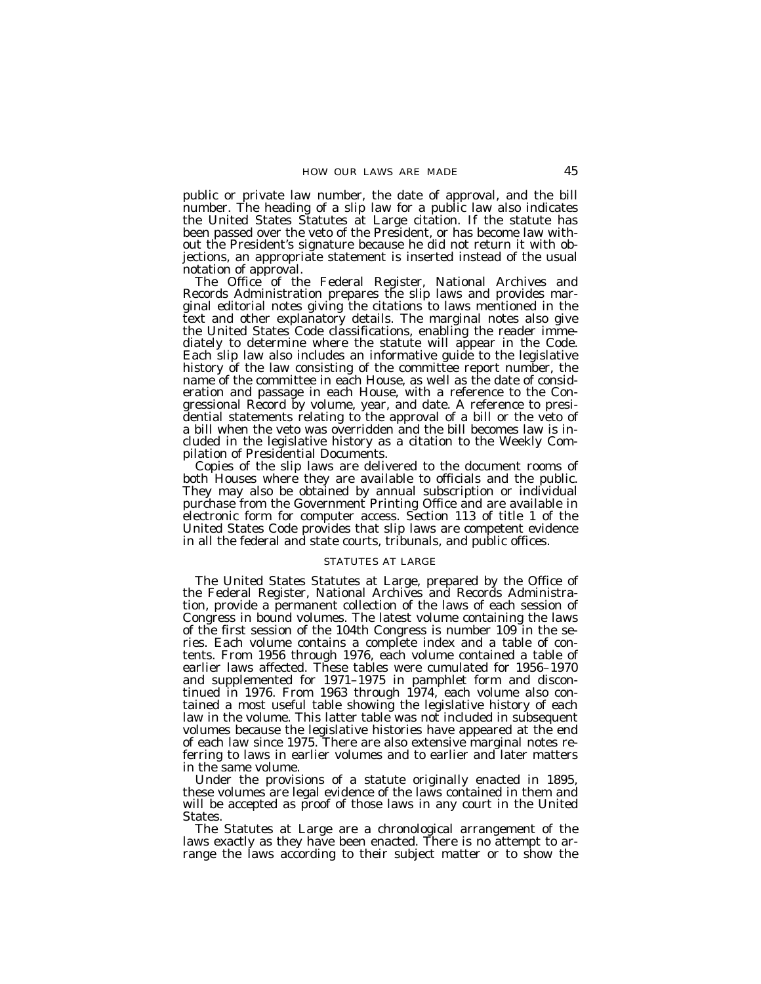public or private law number, the date of approval, and the bill number. The heading of a slip law for a public law also indicates the United States Statutes at Large citation. If the statute has been passed over the veto of the President, or has become law without the President's signature because he did not return it with objections, an appropriate statement is inserted instead of the usual notation of approval.

The Office of the Federal Register, National Archives and Records Administration prepares the slip laws and provides marginal editorial notes giving the citations to laws mentioned in the text and other explanatory details. The marginal notes also give the United States Code classifications, enabling the reader immediately to determine where the statute will appear in the Code. Each slip law also includes an informative guide to the legislative history of the law consisting of the committee report number, the name of the committee in each House, as well as the date of consideration and passage in each House, with a reference to the Congressional Record by volume, year, and date. A reference to presidential statements relating to the approval of a bill or the veto of a bill when the veto was overridden and the bill becomes law is included in the legislative history as a citation to the Weekly Compilation of Presidential Documents.

Copies of the slip laws are delivered to the document rooms of both Houses where they are available to officials and the public. They may also be obtained by annual subscription or individual purchase from the Government Printing Office and are available in electronic form for computer access. Section 113 of title 1 of the United States Code provides that slip laws are competent evidence in all the federal and state courts, tribunals, and public offices.

#### STATUTES AT LARGE

The United States Statutes at Large, prepared by the Office of the Federal Register, National Archives and Records Administration, provide a permanent collection of the laws of each session of Congress in bound volumes. The latest volume containing the laws of the first session of the 104th Congress is number 109 in the series. Each volume contains a complete index and a table of contents. From 1956 through 1976, each volume contained a table of earlier laws affected. These tables were cumulated for 1956–1970 and supplemented for 1971–1975 in pamphlet form and discontinued in 1976. From 1963 through 1974, each volume also contained a most useful table showing the legislative history of each law in the volume. This latter table was not included in subsequent volumes because the legislative histories have appeared at the end of each law since 1975. There are also extensive marginal notes referring to laws in earlier volumes and to earlier and later matters in the same volume.

Under the provisions of a statute originally enacted in 1895, these volumes are legal evidence of the laws contained in them and will be accepted as proof of those laws in any court in the United States.

The Statutes at Large are a chronological arrangement of the laws exactly as they have been enacted. There is no attempt to arrange the laws according to their subject matter or to show the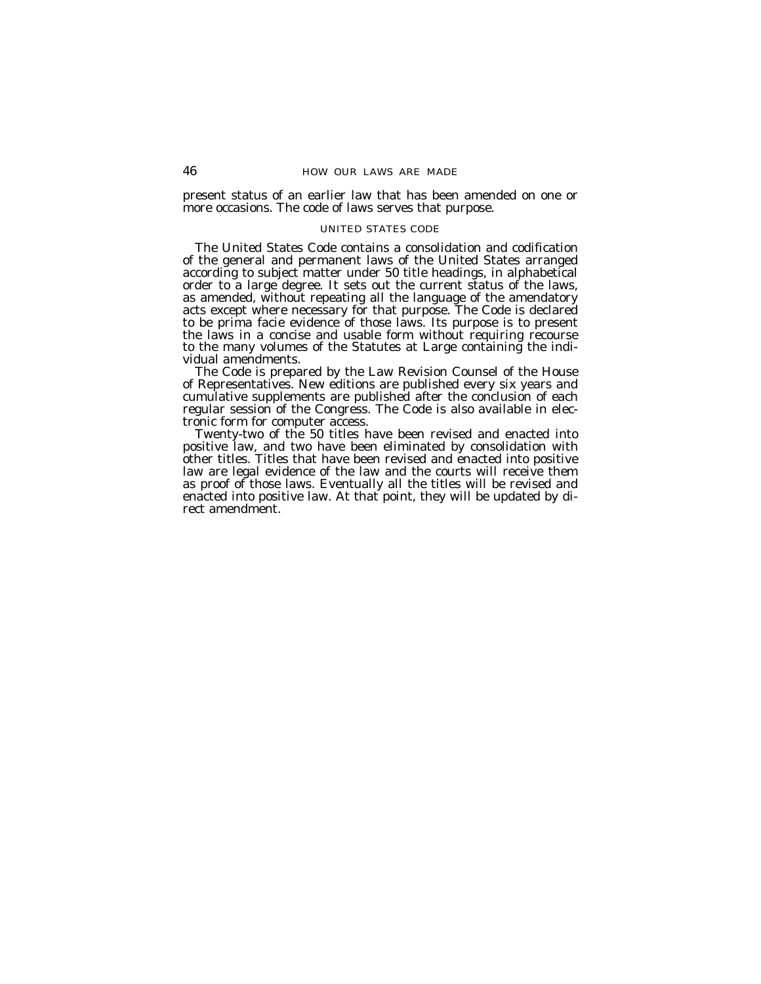present status of an earlier law that has been amended on one or more occasions. The code of laws serves that purpose.

#### UNITED STATES CODE

The United States Code contains a consolidation and codification of the general and permanent laws of the United States arranged according to subject matter under 50 title headings, in alphabetical order to a large degree. It sets out the current status of the laws, as amended, without repeating all the language of the amendatory acts except where necessary for that purpose. The Code is declared to be prima facie evidence of those laws. Its purpose is to present the laws in a concise and usable form without requiring recourse to the many volumes of the Statutes at Large containing the individual amendments.

The Code is prepared by the Law Revision Counsel of the House of Representatives. New editions are published every six years and cumulative supplements are published after the conclusion of each regular session of the Congress. The Code is also available in electronic form for computer access.

Twenty-two of the 50 titles have been revised and enacted into positive law, and two have been eliminated by consolidation with other titles. Titles that have been revised and enacted into positive law are legal evidence of the law and the courts will receive them as proof of those laws. Eventually all the titles will be revised and enacted into positive law. At that point, they will be updated by direct amendment.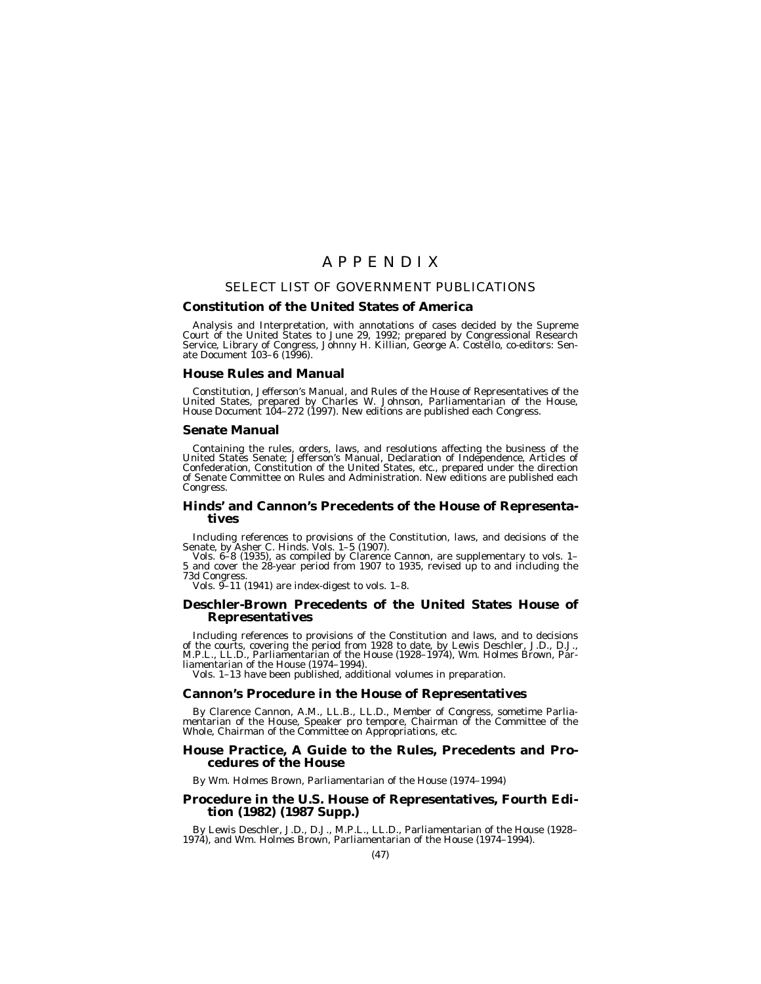### A P P E N D I X

### SELECT LIST OF GOVERNMENT PUBLICATIONS

#### **Constitution of the United States of America**

Analysis and Interpretation, with annotations of cases decided by the Supreme<br>Court of the United States to June 29, 1992; prepared by Congressional Research<br>Service, Library of Congress, Johnny H. Killian, George A. Coste ate Document 103–6 (1996).

#### **House Rules and Manual**

Constitution, Jefferson's Manual, and Rules of the House of Representatives of the United States, prepared by Charles W. Johnson, Parliamentarian of the House, House Document 104–272 (1997). New editions are published each Congress.

#### **Senate Manual**

Containing the rules, orders, laws, and resolutions affecting the business of the<br>United States Senate; Jefferson's Manual, Declaration of Independence, Articles of<br>Confederation, Constitution of the United States, etc., p of Senate Committee on Rules and Administration. New editions are published each Congress.

#### **Hinds' and Cannon's Precedents of the House of Representatives**

Including references to provisions of the Constitution, laws, and decisions of the Senate, by Asher C. Hinds. Vols. 1–5 (1907).<br>Vols. 6–8 (1935), as compiled by Clarence Cannon, are supplementary to vols. 1–5 (and cover th

Vols.  $9-11$  (1941) are index-digest to vols. 1–8.

#### **Deschler-Brown Precedents of the United States House of Representatives**

Including references to provisions of the Constitution and laws, and to decisions of the courts, covering the period from 1928 to date, by Lewis Deschler, J.D., D.J., M.P.L., LL.D., Parliamentarian of the House (1928–1974), Wm. Holmes Brown, Parliamentarian of the House (1974–1994).

Vols. 1–13 have been published, additional volumes in preparation.

#### **Cannon's Procedure in the House of Representatives**

By Clarence Cannon, A.M., LL.B., LL.D., Member of Congress, sometime Parlia- mentarian of the House, Speaker pro tempore, Chairman of the Committee of the Whole, Chairman of the Committee on Appropriations, etc.

#### **House Practice, A Guide to the Rules, Precedents and Procedures of the House**

By Wm. Holmes Brown, Parliamentarian of the House (1974–1994)

## **Procedure in the U.S. House of Representatives, Fourth Edi- tion (1982) (1987 Supp.)**

By Lewis Deschler, J.D., D.J., M.P.L., LL.D., Parliamentarian of the House (1928– 1974), and Wm. Holmes Brown, Parliamentarian of the House (1974–1994).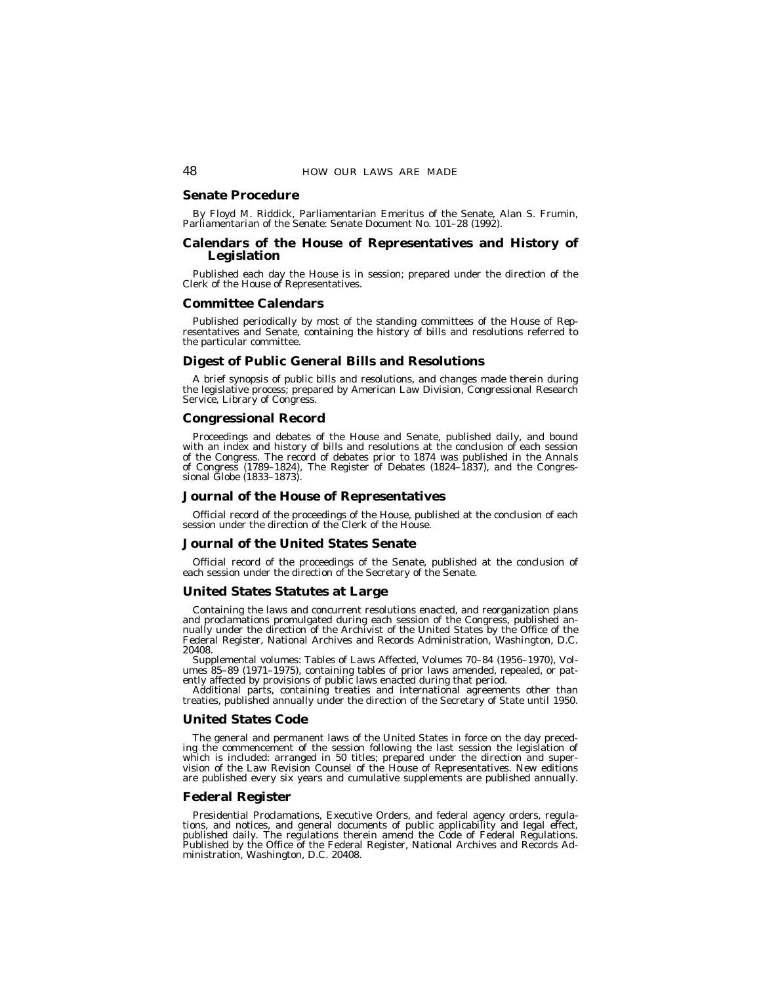#### **Senate Procedure**

By Floyd M. Riddick, Parliamentarian Emeritus of the Senate, Alan S. Frumin, Parliamentarian of the Senate: Senate Document No. 101–28 (1992).

#### **Calendars of the House of Representatives and History of Legislation**

Published each day the House is in session; prepared under the direction of the Clerk of the House of Representatives.

#### **Committee Calendars**

Published periodically by most of the standing committees of the House of Representatives and Senate, containing the history of bills and resolutions referred to the particular committee.

#### **Digest of Public General Bills and Resolutions**

A brief synopsis of public bills and resolutions, and changes made therein during the legislative process; prepared by American Law Division, Congressional Research Service, Library of Congress.

#### **Congressional Record**

Proceedings and debates of the House and Senate, published daily, and bound with an index and history of bills and resolutions at the conclusion of each session of the Congress. The record of debates prior to 1874 was published in the Annals of Congress (1789–1824), The Register of Debates (1824–1837), and the Congressional Globe (1833–1873).

#### **Journal of the House of Representatives**

Official record of the proceedings of the House, published at the conclusion of each session under the direction of the Clerk of the House.

#### **Journal of the United States Senate**

Official record of the proceedings of the Senate, published at the conclusion of each session under the direction of the Secretary of the Senate.

#### **United States Statutes at Large**

Containing the laws and concurrent resolutions enacted, and reorganization plans and proclamations promulgated during each session of the Congress, published annually under the direction of the Archivist of the United States by the Office of the Federal Register, National Archives and Records Administration, Washington, D.C. 20408.

Supplemental volumes: Tables of Laws Affected, Volumes 70–84 (1956–1970), Volumes 85-89 (1971-1975), containing tables of prior laws amended, repealed, or patently affected by provisions of public laws enacted during that period.

Additional parts, containing treaties and international agreements other than treaties, published annually under the direction of the Secretary of State until 1950.

#### **United States Code**

The general and permanent laws of the United States in force on the day preceding the commencement of the session following the last session the legislation of which is included: arranged in 50 titles; prepared under the direction and supervision of the Law Revision Counsel of the House of Representatives. New editions are published every six years and cumulative supplements are published annually.

#### **Federal Register**

Presidential Proclamations, Executive Orders, and federal agency orders, regulations, and notices, and general documents of public applicability and legal effect, published daily. The regulations therein amend the Code of Federal Regulations. Published by the Office of the Federal Register, National Archives and Records Administration, Washington, D.C. 20408.